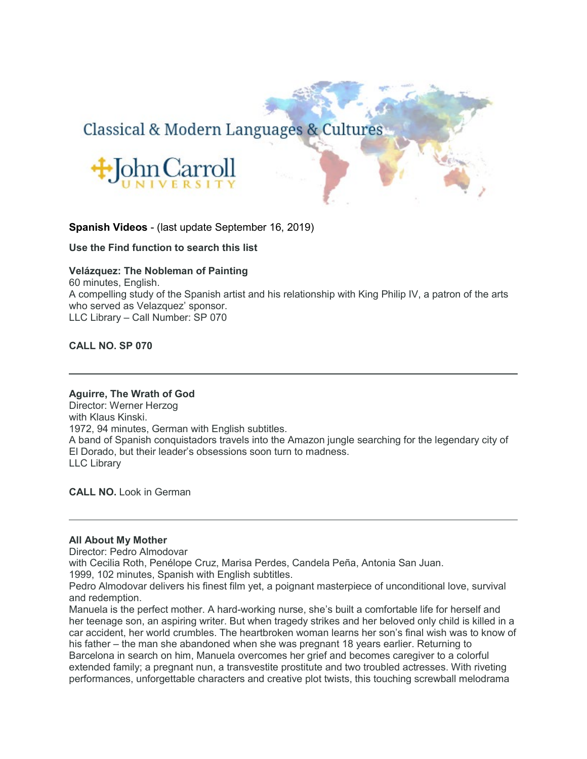# Classical & Modern Languages & Cultures



# **Spanish Videos** - (last update September 16, 2019)

**Use the Find function to search this list**

## **Velázquez: The Nobleman of Painting**

60 minutes, English. A compelling study of the Spanish artist and his relationship with King Philip IV, a patron of the arts who served as Velazquez' sponsor. LLC Library – Call Number: SP 070

**CALL NO. SP 070**

## **Aguirre, The Wrath of God**

Director: Werner Herzog with Klaus Kinski. 1972, 94 minutes, German with English subtitles. A band of Spanish conquistadors travels into the Amazon jungle searching for the legendary city of El Dorado, but their leader's obsessions soon turn to madness. LLC Library

**CALL NO.** Look in German

## **All About My Mother**

Director: Pedro Almodovar

with Cecilia Roth, Penélope Cruz, Marisa Perdes, Candela Peña, Antonia San Juan.

1999, 102 minutes, Spanish with English subtitles.

Pedro Almodovar delivers his finest film yet, a poignant masterpiece of unconditional love, survival and redemption.

Manuela is the perfect mother. A hard-working nurse, she's built a comfortable life for herself and her teenage son, an aspiring writer. But when tragedy strikes and her beloved only child is killed in a car accident, her world crumbles. The heartbroken woman learns her son's final wish was to know of his father – the man she abandoned when she was pregnant 18 years earlier. Returning to Barcelona in search on him, Manuela overcomes her grief and becomes caregiver to a colorful extended family; a pregnant nun, a transvestite prostitute and two troubled actresses. With riveting performances, unforgettable characters and creative plot twists, this touching screwball melodrama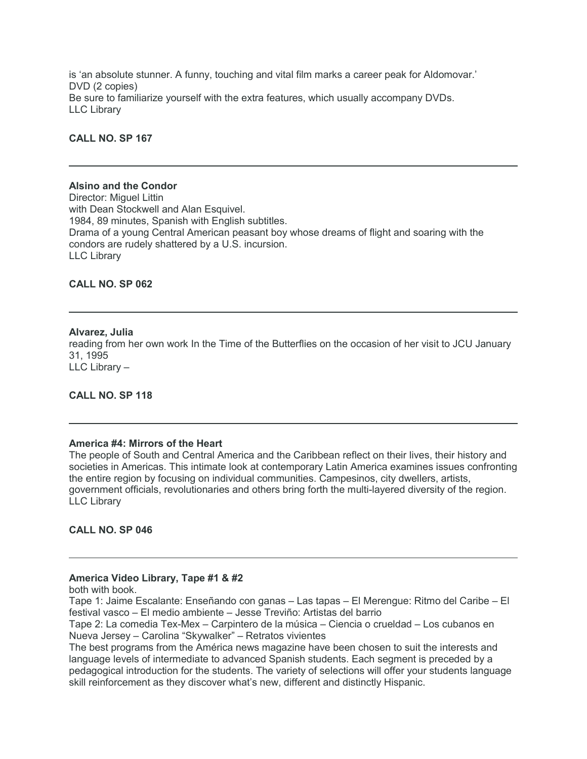is 'an absolute stunner. A funny, touching and vital film marks a career peak for Aldomovar.' DVD (2 copies) Be sure to familiarize yourself with the extra features, which usually accompany DVDs. LLC Library

**CALL NO. SP 167**

#### **Alsino and the Condor**

Director: Miguel Littin with Dean Stockwell and Alan Esquivel. 1984, 89 minutes, Spanish with English subtitles. Drama of a young Central American peasant boy whose dreams of flight and soaring with the condors are rudely shattered by a U.S. incursion. LLC Library

**CALL NO. SP 062**

## **Alvarez, Julia**

reading from her own work In the Time of the Butterflies on the occasion of her visit to JCU January 31, 1995 LLC Library –

**CALL NO. SP 118**

## **America #4: Mirrors of the Heart**

The people of South and Central America and the Caribbean reflect on their lives, their history and societies in Americas. This intimate look at contemporary Latin America examines issues confronting the entire region by focusing on individual communities. Campesinos, city dwellers, artists, government officials, revolutionaries and others bring forth the multi-layered diversity of the region. LLC Library

**CALL NO. SP 046**

#### **America Video Library, Tape #1 & #2**

both with book.

Tape 1: Jaime Escalante: Enseñando con ganas – Las tapas – El Merengue: Ritmo del Caribe – El festival vasco – El medio ambiente – Jesse Treviño: Artistas del barrio

Tape 2: La comedia Tex-Mex – Carpintero de la música – Ciencia o crueldad – Los cubanos en Nueva Jersey – Carolina "Skywalker" – Retratos vivientes

The best programs from the América news magazine have been chosen to suit the interests and language levels of intermediate to advanced Spanish students. Each segment is preceded by a pedagogical introduction for the students. The variety of selections will offer your students language skill reinforcement as they discover what's new, different and distinctly Hispanic.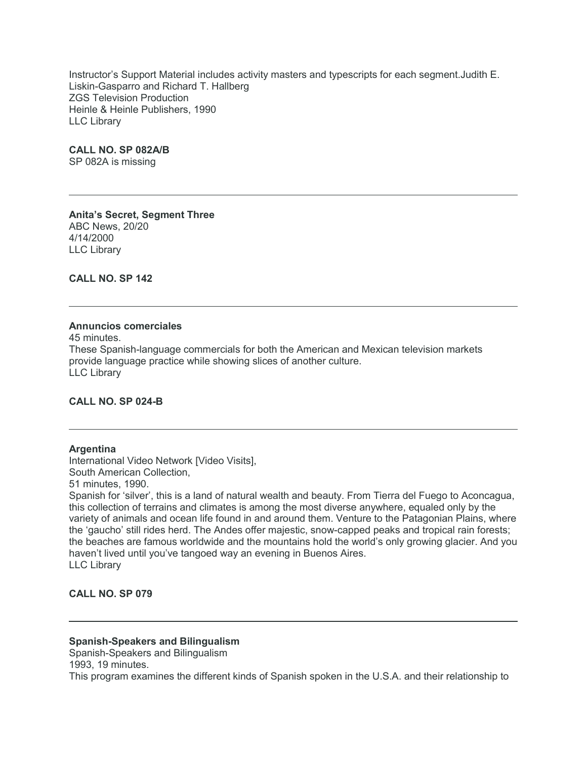Instructor's Support Material includes activity masters and typescripts for each segment.Judith E. Liskin-Gasparro and Richard T. Hallberg ZGS Television Production Heinle & Heinle Publishers, 1990 LLC Library

#### **CALL NO. SP 082A/B**

SP 082A is missing

**Anita's Secret, Segment Three** ABC News, 20/20 4/14/2000 LLC Library

**CALL NO. SP 142**

#### **Annuncios comerciales**

45 minutes. These Spanish-language commercials for both the American and Mexican television markets provide language practice while showing slices of another culture. LLC Library

# **CALL NO. SP 024-B**

#### **Argentina**

International Video Network [Video Visits], South American Collection,

51 minutes, 1990.

Spanish for 'silver', this is a land of natural wealth and beauty. From Tierra del Fuego to Aconcagua, this collection of terrains and climates is among the most diverse anywhere, equaled only by the variety of animals and ocean life found in and around them. Venture to the Patagonian Plains, where the 'gaucho' still rides herd. The Andes offer majestic, snow-capped peaks and tropical rain forests; the beaches are famous worldwide and the mountains hold the world's only growing glacier. And you haven't lived until you've tangoed way an evening in Buenos Aires. LLC Library

## **CALL NO. SP 079**

## **Spanish-Speakers and Bilingualism**

Spanish-Speakers and Bilingualism 1993, 19 minutes.

This program examines the different kinds of Spanish spoken in the U.S.A. and their relationship to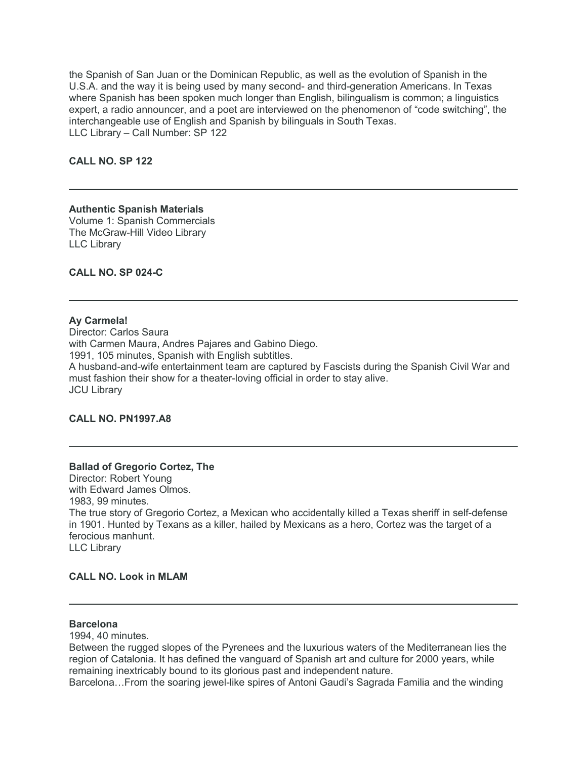the Spanish of San Juan or the Dominican Republic, as well as the evolution of Spanish in the U.S.A. and the way it is being used by many second- and third-generation Americans. In Texas where Spanish has been spoken much longer than English, bilingualism is common; a linguistics expert, a radio announcer, and a poet are interviewed on the phenomenon of "code switching", the interchangeable use of English and Spanish by bilinguals in South Texas. LLC Library – Call Number: SP 122

**CALL NO. SP 122**

# **Authentic Spanish Materials**

Volume 1: Spanish Commercials The McGraw-Hill Video Library LLC Library

**CALL NO. SP 024-C**

#### **Ay Carmela!**

Director: Carlos Saura with Carmen Maura, Andres Pajares and Gabino Diego. 1991, 105 minutes, Spanish with English subtitles. A husband-and-wife entertainment team are captured by Fascists during the Spanish Civil War and must fashion their show for a theater-loving official in order to stay alive. JCU Library

## **CALL NO. PN1997.A8**

## **Ballad of Gregorio Cortez, The**

Director: Robert Young with Edward James Olmos. 1983, 99 minutes. The true story of Gregorio Cortez, a Mexican who accidentally killed a Texas sheriff in self-defense in 1901. Hunted by Texans as a killer, hailed by Mexicans as a hero, Cortez was the target of a ferocious manhunt. LLC Library

#### **CALL NO. Look in MLAM**

#### **Barcelona**

1994, 40 minutes.

Between the rugged slopes of the Pyrenees and the luxurious waters of the Mediterranean lies the region of Catalonia. It has defined the vanguard of Spanish art and culture for 2000 years, while remaining inextricably bound to its glorious past and independent nature.

Barcelona…From the soaring jewel-like spires of Antoni Gaudi's Sagrada Familia and the winding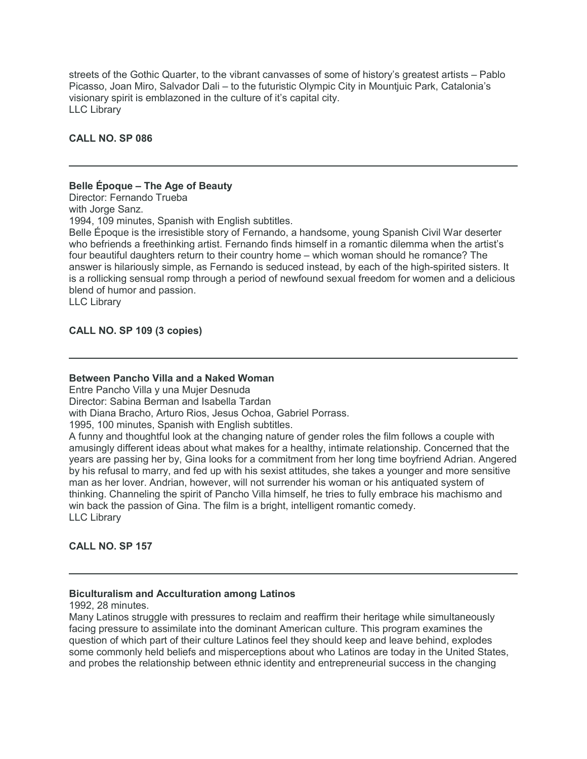streets of the Gothic Quarter, to the vibrant canvasses of some of history's greatest artists – Pablo Picasso, Joan Miro, Salvador Dali – to the futuristic Olympic City in Mountjuic Park, Catalonia's visionary spirit is emblazoned in the culture of it's capital city. LLC Library

## **CALL NO. SP 086**

#### **Belle Époque – The Age of Beauty**

Director: Fernando Trueba with Jorge Sanz.

1994, 109 minutes, Spanish with English subtitles.

Belle Époque is the irresistible story of Fernando, a handsome, young Spanish Civil War deserter who befriends a freethinking artist. Fernando finds himself in a romantic dilemma when the artist's four beautiful daughters return to their country home – which woman should he romance? The answer is hilariously simple, as Fernando is seduced instead, by each of the high-spirited sisters. It is a rollicking sensual romp through a period of newfound sexual freedom for women and a delicious blend of humor and passion.

LLC Library

#### **CALL NO. SP 109 (3 copies)**

#### **Between Pancho Villa and a Naked Woman**

Entre Pancho Villa y una Mujer Desnuda

Director: Sabina Berman and Isabella Tardan

with Diana Bracho, Arturo Rios, Jesus Ochoa, Gabriel Porrass.

1995, 100 minutes, Spanish with English subtitles.

A funny and thoughtful look at the changing nature of gender roles the film follows a couple with amusingly different ideas about what makes for a healthy, intimate relationship. Concerned that the years are passing her by, Gina looks for a commitment from her long time boyfriend Adrian. Angered by his refusal to marry, and fed up with his sexist attitudes, she takes a younger and more sensitive man as her lover. Andrian, however, will not surrender his woman or his antiquated system of thinking. Channeling the spirit of Pancho Villa himself, he tries to fully embrace his machismo and win back the passion of Gina. The film is a bright, intelligent romantic comedy. LLC Library

**CALL NO. SP 157**

#### **Biculturalism and Acculturation among Latinos**

1992, 28 minutes.

Many Latinos struggle with pressures to reclaim and reaffirm their heritage while simultaneously facing pressure to assimilate into the dominant American culture. This program examines the question of which part of their culture Latinos feel they should keep and leave behind, explodes some commonly held beliefs and misperceptions about who Latinos are today in the United States, and probes the relationship between ethnic identity and entrepreneurial success in the changing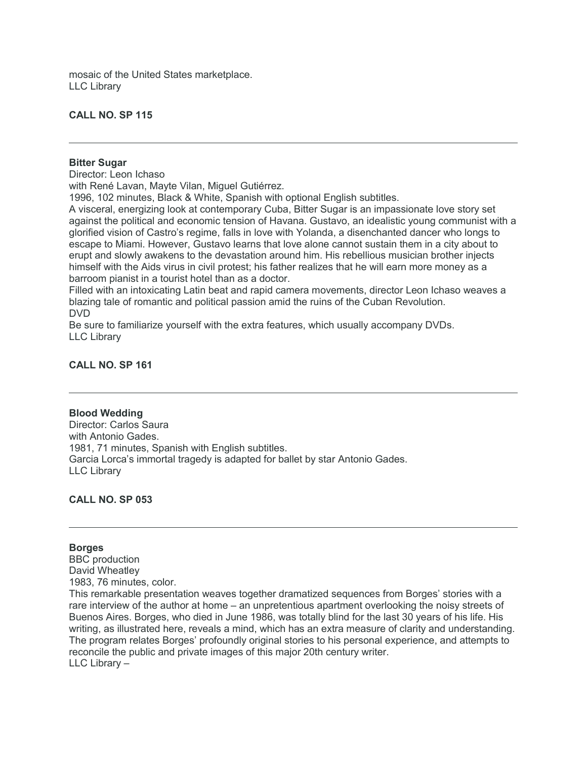mosaic of the United States marketplace. LLC Library

#### **CALL NO. SP 115**

#### **Bitter Sugar**

Director: Leon Ichaso

with René Lavan, Mayte Vilan, Miguel Gutiérrez.

1996, 102 minutes, Black & White, Spanish with optional English subtitles.

A visceral, energizing look at contemporary Cuba, Bitter Sugar is an impassionate love story set against the political and economic tension of Havana. Gustavo, an idealistic young communist with a glorified vision of Castro's regime, falls in love with Yolanda, a disenchanted dancer who longs to escape to Miami. However, Gustavo learns that love alone cannot sustain them in a city about to erupt and slowly awakens to the devastation around him. His rebellious musician brother injects himself with the Aids virus in civil protest; his father realizes that he will earn more money as a barroom pianist in a tourist hotel than as a doctor.

Filled with an intoxicating Latin beat and rapid camera movements, director Leon Ichaso weaves a blazing tale of romantic and political passion amid the ruins of the Cuban Revolution. DVD

Be sure to familiarize yourself with the extra features, which usually accompany DVDs. LLC Library

#### **CALL NO. SP 161**

#### **Blood Wedding**

Director: Carlos Saura with Antonio Gades. 1981, 71 minutes, Spanish with English subtitles. Garcia Lorca's immortal tragedy is adapted for ballet by star Antonio Gades. LLC Library

**CALL NO. SP 053**

#### **Borges**

BBC production David Wheatley 1983, 76 minutes, color. This remarkable presentation weaves together dramatized sequences from Borges' stories with a

rare interview of the author at home – an unpretentious apartment overlooking the noisy streets of Buenos Aires. Borges, who died in June 1986, was totally blind for the last 30 years of his life. His writing, as illustrated here, reveals a mind, which has an extra measure of clarity and understanding. The program relates Borges' profoundly original stories to his personal experience, and attempts to reconcile the public and private images of this major 20th century writer. LLC Library –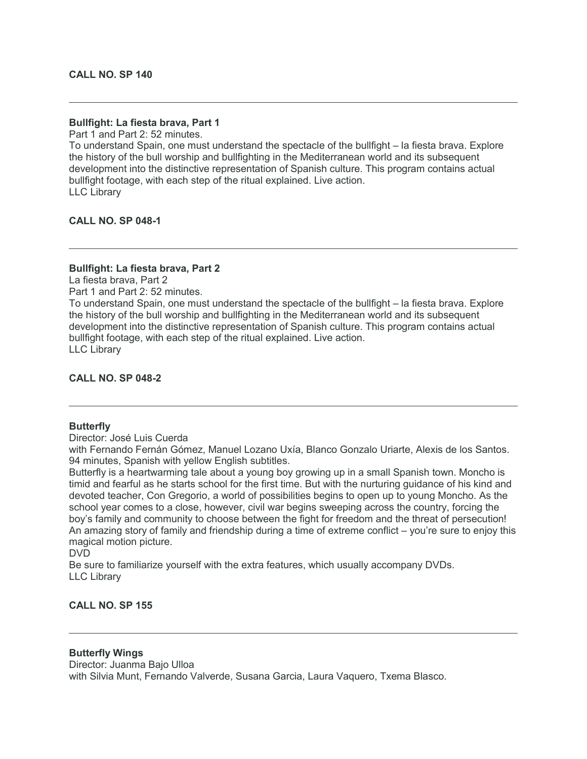#### **Bullfight: La fiesta brava, Part 1**

Part 1 and Part 2: 52 minutes.

To understand Spain, one must understand the spectacle of the bullfight – la fiesta brava. Explore the history of the bull worship and bullfighting in the Mediterranean world and its subsequent development into the distinctive representation of Spanish culture. This program contains actual bullfight footage, with each step of the ritual explained. Live action. LLC Library

**CALL NO. SP 048-1**

#### **Bullfight: La fiesta brava, Part 2**

La fiesta brava, Part 2

Part 1 and Part 2: 52 minutes.

To understand Spain, one must understand the spectacle of the bullfight – la fiesta brava. Explore the history of the bull worship and bullfighting in the Mediterranean world and its subsequent development into the distinctive representation of Spanish culture. This program contains actual bullfight footage, with each step of the ritual explained. Live action. LLC Library

## **CALL NO. SP 048-2**

#### **Butterfly**

Director: José Luis Cuerda

with Fernando Fernán Gómez, Manuel Lozano Uxía, Blanco Gonzalo Uriarte, Alexis de los Santos. 94 minutes, Spanish with yellow English subtitles.

Butterfly is a heartwarming tale about a young boy growing up in a small Spanish town. Moncho is timid and fearful as he starts school for the first time. But with the nurturing guidance of his kind and devoted teacher, Con Gregorio, a world of possibilities begins to open up to young Moncho. As the school year comes to a close, however, civil war begins sweeping across the country, forcing the boy's family and community to choose between the fight for freedom and the threat of persecution! An amazing story of family and friendship during a time of extreme conflict – you're sure to enjoy this magical motion picture.

DVD

Be sure to familiarize yourself with the extra features, which usually accompany DVDs. LLC Library

#### **CALL NO. SP 155**

#### **Butterfly Wings**

Director: Juanma Bajo Ulloa

with Silvia Munt, Fernando Valverde, Susana Garcia, Laura Vaquero, Txema Blasco.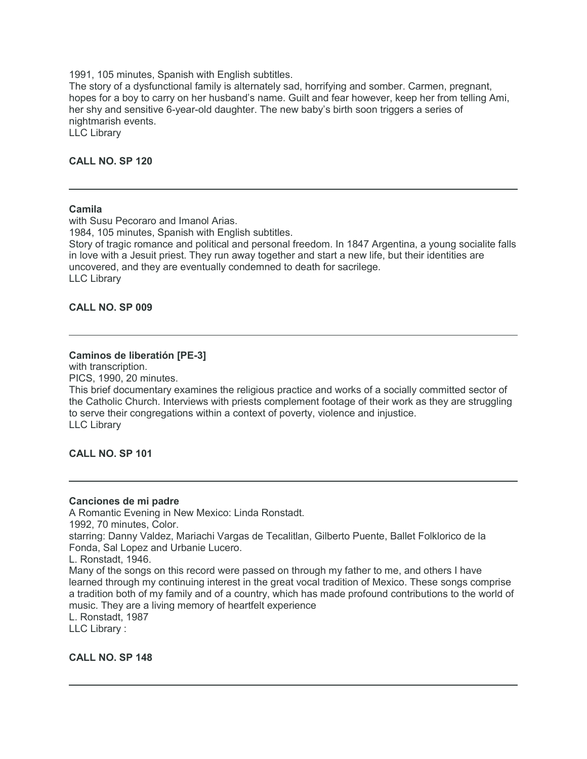1991, 105 minutes, Spanish with English subtitles.

The story of a dysfunctional family is alternately sad, horrifying and somber. Carmen, pregnant, hopes for a boy to carry on her husband's name. Guilt and fear however, keep her from telling Ami, her shy and sensitive 6-year-old daughter. The new baby's birth soon triggers a series of nightmarish events.

LLC Library

#### **CALL NO. SP 120**

#### **Camila**

with Susu Pecoraro and Imanol Arias. 1984, 105 minutes, Spanish with English subtitles. Story of tragic romance and political and personal freedom. In 1847 Argentina, a young socialite falls in love with a Jesuit priest. They run away together and start a new life, but their identities are uncovered, and they are eventually condemned to death for sacrilege. LLC Library

#### **CALL NO. SP 009**

#### **Caminos de liberatión [PE-3]**

with transcription. PICS, 1990, 20 minutes.

This brief documentary examines the religious practice and works of a socially committed sector of the Catholic Church. Interviews with priests complement footage of their work as they are struggling to serve their congregations within a context of poverty, violence and injustice. LLC Library

**CALL NO. SP 101**

#### **Canciones de mi padre**

A Romantic Evening in New Mexico: Linda Ronstadt. 1992, 70 minutes, Color. starring: Danny Valdez, Mariachi Vargas de Tecalitlan, Gilberto Puente, Ballet Folklorico de la Fonda, Sal Lopez and Urbanie Lucero. L. Ronstadt, 1946. Many of the songs on this record were passed on through my father to me, and others I have learned through my continuing interest in the great vocal tradition of Mexico. These songs comprise a tradition both of my family and of a country, which has made profound contributions to the world of music. They are a living memory of heartfelt experience L. Ronstadt, 1987

LLC Library :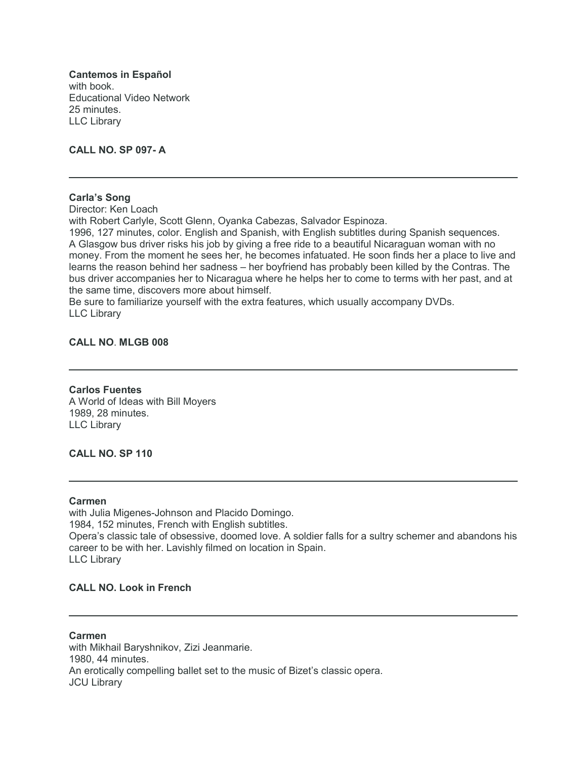**Cantemos in Español** with book. Educational Video Network 25 minutes. LLC Library

**CALL NO. SP 097- A**

#### **Carla's Song**

Director: Ken Loach

with Robert Carlyle, Scott Glenn, Oyanka Cabezas, Salvador Espinoza.

1996, 127 minutes, color. English and Spanish, with English subtitles during Spanish sequences. A Glasgow bus driver risks his job by giving a free ride to a beautiful Nicaraguan woman with no money. From the moment he sees her, he becomes infatuated. He soon finds her a place to live and learns the reason behind her sadness – her boyfriend has probably been killed by the Contras. The bus driver accompanies her to Nicaragua where he helps her to come to terms with her past, and at the same time, discovers more about himself.

Be sure to familiarize yourself with the extra features, which usually accompany DVDs. LLC Library

#### **CALL NO**. **MLGB 008**

**Carlos Fuentes** A World of Ideas with Bill Moyers 1989, 28 minutes. LLC Library

## **CALL NO. SP 110**

#### **Carmen**

with Julia Migenes-Johnson and Placido Domingo. 1984, 152 minutes, French with English subtitles. Opera's classic tale of obsessive, doomed love. A soldier falls for a sultry schemer and abandons his career to be with her. Lavishly filmed on location in Spain. LLC Library

## **CALL NO. Look in French**

**Carmen** with Mikhail Baryshnikov, Zizi Jeanmarie. 1980, 44 minutes. An erotically compelling ballet set to the music of Bizet's classic opera. JCU Library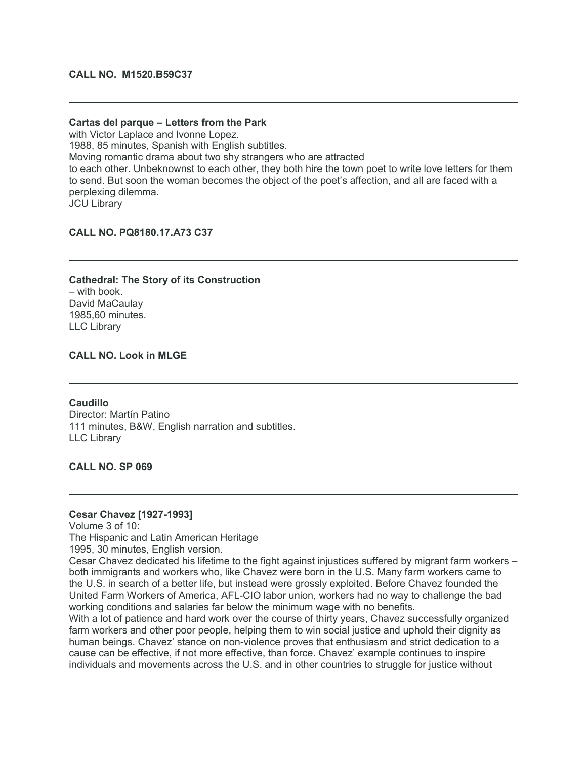#### **CALL NO. M1520.B59C37**

#### **Cartas del parque – Letters from the Park**

with Victor Laplace and Ivonne Lopez. 1988, 85 minutes, Spanish with English subtitles. Moving romantic drama about two shy strangers who are attracted to each other. Unbeknownst to each other, they both hire the town poet to write love letters for them to send. But soon the woman becomes the object of the poet's affection, and all are faced with a perplexing dilemma. JCU Library

#### **CALL NO. PQ8180.17.A73 C37**

**Cathedral: The Story of its Construction** – with book. David MaCaulay 1985,60 minutes. LLC Library

## **CALL NO. Look in MLGE**

**Caudillo** Director: Martín Patino 111 minutes, B&W, English narration and subtitles. LLC Library

#### **CALL NO. SP 069**

#### **Cesar Chavez [1927-1993]**

Volume 3 of 10:

The Hispanic and Latin American Heritage

1995, 30 minutes, English version.

Cesar Chavez dedicated his lifetime to the fight against injustices suffered by migrant farm workers – both immigrants and workers who, like Chavez were born in the U.S. Many farm workers came to the U.S. in search of a better life, but instead were grossly exploited. Before Chavez founded the United Farm Workers of America, AFL-CIO labor union, workers had no way to challenge the bad working conditions and salaries far below the minimum wage with no benefits.

With a lot of patience and hard work over the course of thirty years, Chavez successfully organized farm workers and other poor people, helping them to win social justice and uphold their dignity as human beings. Chavez' stance on non-violence proves that enthusiasm and strict dedication to a cause can be effective, if not more effective, than force. Chavez' example continues to inspire individuals and movements across the U.S. and in other countries to struggle for justice without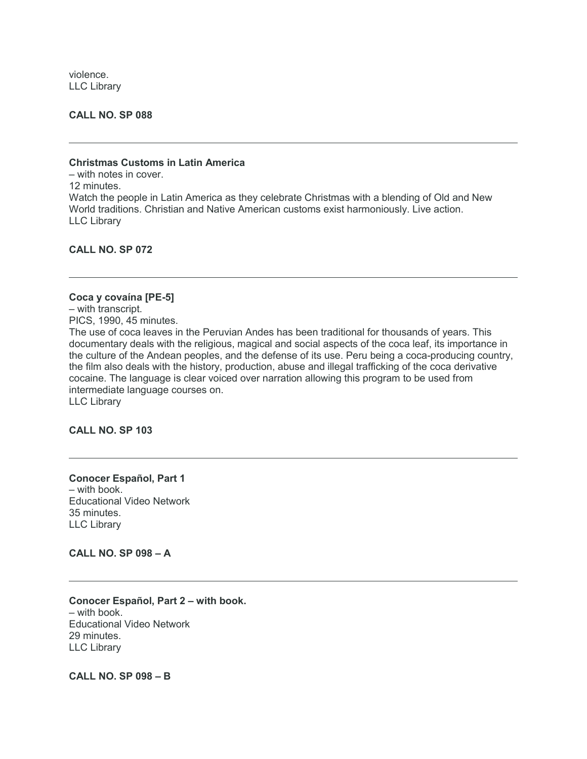violence. LLC Library

**CALL NO. SP 088**

#### **Christmas Customs in Latin America**

– with notes in cover. 12 minutes. Watch the people in Latin America as they celebrate Christmas with a blending of Old and New World traditions. Christian and Native American customs exist harmoniously. Live action. LLC Library

**CALL NO. SP 072**

#### **Coca y covaína [PE-5]**

– with transcript. PICS, 1990, 45 minutes.

The use of coca leaves in the Peruvian Andes has been traditional for thousands of years. This documentary deals with the religious, magical and social aspects of the coca leaf, its importance in the culture of the Andean peoples, and the defense of its use. Peru being a coca-producing country, the film also deals with the history, production, abuse and illegal trafficking of the coca derivative cocaine. The language is clear voiced over narration allowing this program to be used from intermediate language courses on. LLC Library

**CALL NO. SP 103**

#### **Conocer Español, Part 1** – with book. Educational Video Network 35 minutes. LLC Library

**CALL NO. SP 098 – A**

**Conocer Español, Part 2 – with book.** – with book. Educational Video Network 29 minutes. LLC Library

**CALL NO. SP 098 – B**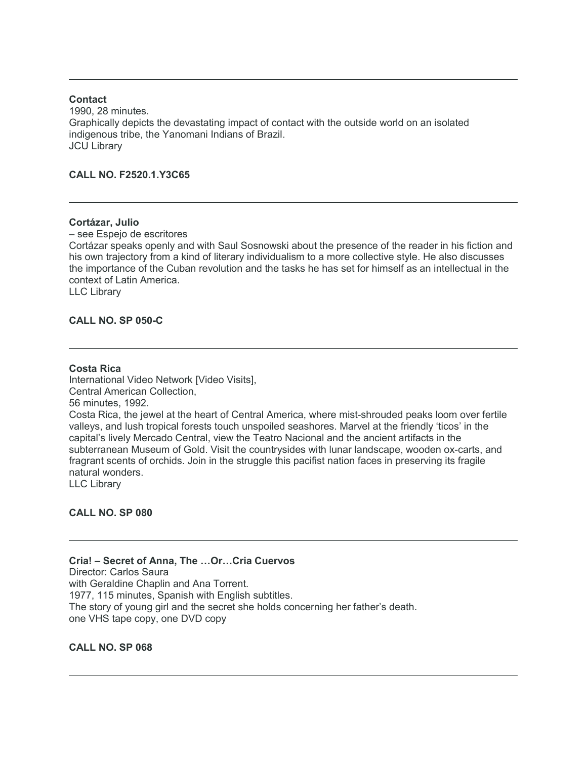#### **Contact**

1990, 28 minutes. Graphically depicts the devastating impact of contact with the outside world on an isolated indigenous tribe, the Yanomani Indians of Brazil. JCU Library

#### **CALL NO. F2520.1.Y3C65**

#### **Cortázar, Julio**

– see Espejo de escritores

Cortázar speaks openly and with Saul Sosnowski about the presence of the reader in his fiction and his own trajectory from a kind of literary individualism to a more collective style. He also discusses the importance of the Cuban revolution and the tasks he has set for himself as an intellectual in the context of Latin America.

LLC Library

#### **CALL NO. SP 050-C**

#### **Costa Rica**

International Video Network [Video Visits], Central American Collection, 56 minutes, 1992. Costa Rica, the jewel at the heart of Central America, where mist-shrouded peaks loom over fertile valleys, and lush tropical forests touch unspoiled seashores. Marvel at the friendly 'ticos' in the capital's lively Mercado Central, view the Teatro Nacional and the ancient artifacts in the subterranean Museum of Gold. Visit the countrysides with lunar landscape, wooden ox-carts, and fragrant scents of orchids. Join in the struggle this pacifist nation faces in preserving its fragile natural wonders. LLC Library

**CALL NO. SP 080**

**Cria! – Secret of Anna, The …Or…Cria Cuervos** Director: Carlos Saura with Geraldine Chaplin and Ana Torrent. 1977, 115 minutes, Spanish with English subtitles. The story of young girl and the secret she holds concerning her father's death. one VHS tape copy, one DVD copy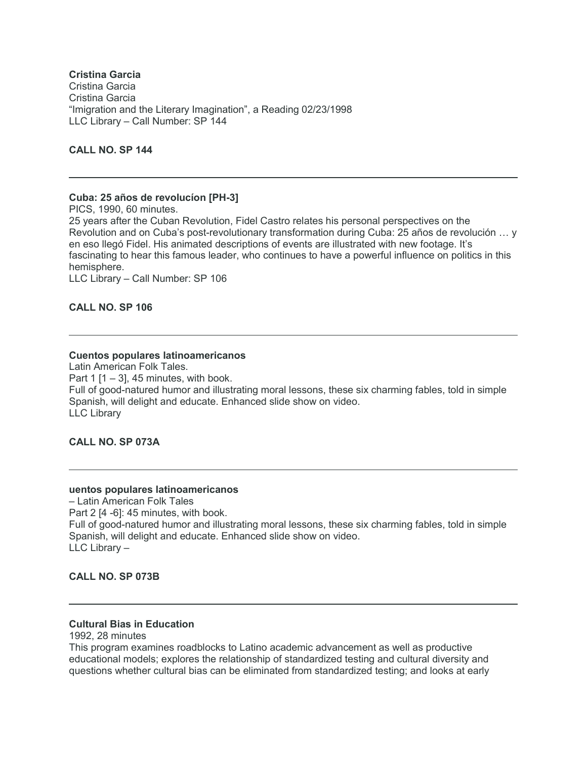# **Cristina Garcia**

Cristina Garcia Cristina Garcia "Imigration and the Literary Imagination", a Reading 02/23/1998 LLC Library – Call Number: SP 144

## **CALL NO. SP 144**

#### **Cuba: 25 años de revolucíon [PH-3]**

PICS, 1990, 60 minutes. 25 years after the Cuban Revolution, Fidel Castro relates his personal perspectives on the Revolution and on Cuba's post-revolutionary transformation during Cuba: 25 años de revolución … y en eso llegó Fidel. His animated descriptions of events are illustrated with new footage. It's fascinating to hear this famous leader, who continues to have a powerful influence on politics in this hemisphere.

LLC Library – Call Number: SP 106

**CALL NO. SP 106**

#### **Cuentos populares latinoamericanos**

Latin American Folk Tales. Part 1  $[1 - 3]$ , 45 minutes, with book. Full of good-natured humor and illustrating moral lessons, these six charming fables, told in simple Spanish, will delight and educate. Enhanced slide show on video. LLC Library

## **CALL NO. SP 073A**

#### **uentos populares latinoamericanos**

– Latin American Folk Tales Part 2 [4 -6]: 45 minutes, with book. Full of good-natured humor and illustrating moral lessons, these six charming fables, told in simple Spanish, will delight and educate. Enhanced slide show on video. LLC Library –

## **CALL NO. SP 073B**

## **Cultural Bias in Education**

1992, 28 minutes

This program examines roadblocks to Latino academic advancement as well as productive educational models; explores the relationship of standardized testing and cultural diversity and questions whether cultural bias can be eliminated from standardized testing; and looks at early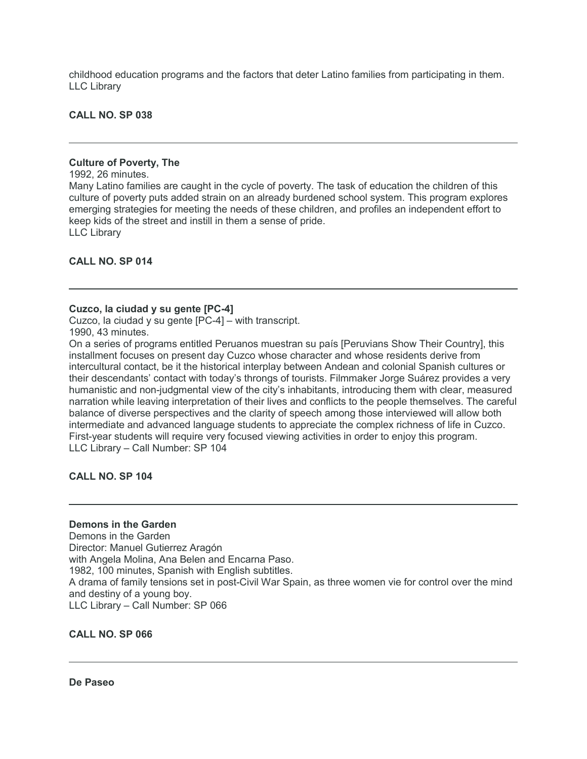childhood education programs and the factors that deter Latino families from participating in them. LLC Library

**CALL NO. SP 038**

#### **Culture of Poverty, The**

1992, 26 minutes.

Many Latino families are caught in the cycle of poverty. The task of education the children of this culture of poverty puts added strain on an already burdened school system. This program explores emerging strategies for meeting the needs of these children, and profiles an independent effort to keep kids of the street and instill in them a sense of pride. LLC Library

**CALL NO. SP 014**

#### **Cuzco, la ciudad y su gente [PC-4]**

Cuzco, la ciudad y su gente [PC-4] – with transcript. 1990, 43 minutes.

On a series of programs entitled Peruanos muestran su país [Peruvians Show Their Country], this installment focuses on present day Cuzco whose character and whose residents derive from intercultural contact, be it the historical interplay between Andean and colonial Spanish cultures or their descendants' contact with today's throngs of tourists. Filmmaker Jorge Suárez provides a very humanistic and non-judgmental view of the city's inhabitants, introducing them with clear, measured narration while leaving interpretation of their lives and conflicts to the people themselves. The careful balance of diverse perspectives and the clarity of speech among those interviewed will allow both intermediate and advanced language students to appreciate the complex richness of life in Cuzco. First-year students will require very focused viewing activities in order to enjoy this program. LLC Library – Call Number: SP 104

**CALL NO. SP 104**

## **Demons in the Garden**

Demons in the Garden Director: Manuel Gutierrez Aragón with Angela Molina, Ana Belen and Encarna Paso. 1982, 100 minutes, Spanish with English subtitles. A drama of family tensions set in post-Civil War Spain, as three women vie for control over the mind and destiny of a young boy. LLC Library – Call Number: SP 066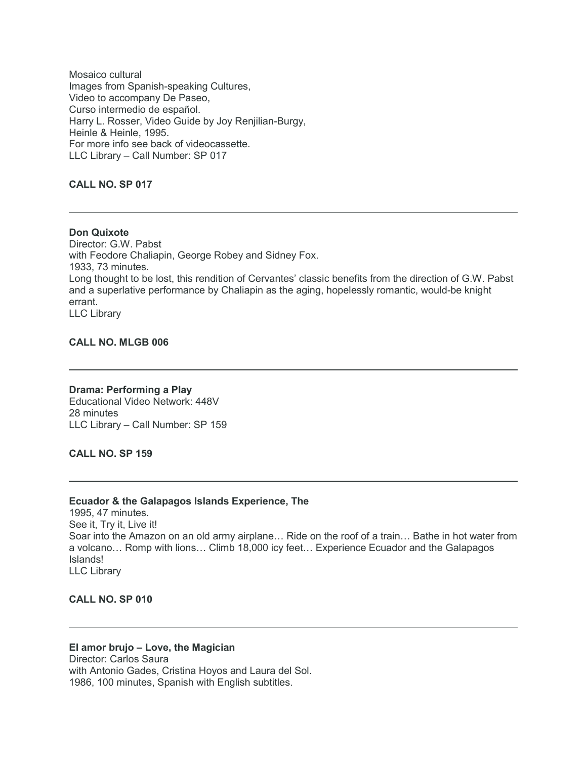Mosaico cultural Images from Spanish-speaking Cultures, Video to accompany De Paseo, Curso intermedio de español. Harry L. Rosser, Video Guide by Joy Renjilian-Burgy, Heinle & Heinle, 1995. For more info see back of videocassette. LLC Library – Call Number: SP 017

## **CALL NO. SP 017**

**Don Quixote** Director: G.W. Pabst with Feodore Chaliapin, George Robey and Sidney Fox. 1933, 73 minutes. Long thought to be lost, this rendition of Cervantes' classic benefits from the direction of G.W. Pabst and a superlative performance by Chaliapin as the aging, hopelessly romantic, would-be knight errant. LLC Library

#### **CALL NO. MLGB 006**

**Drama: Performing a Play** Educational Video Network: 448V 28 minutes LLC Library – Call Number: SP 159

**CALL NO. SP 159**

#### **Ecuador & the Galapagos Islands Experience, The**

1995, 47 minutes. See it, Try it, Live it! Soar into the Amazon on an old army airplane… Ride on the roof of a train… Bathe in hot water from a volcano… Romp with lions… Climb 18,000 icy feet… Experience Ecuador and the Galapagos Islands! LLC Library

#### **CALL NO. SP 010**

#### **El amor brujo – Love, the Magician**

Director: Carlos Saura with Antonio Gades, Cristina Hoyos and Laura del Sol. 1986, 100 minutes, Spanish with English subtitles.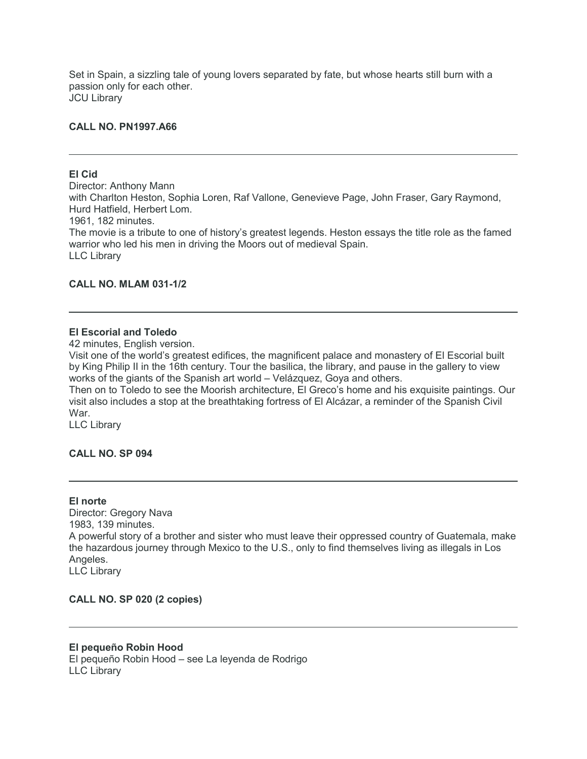Set in Spain, a sizzling tale of young lovers separated by fate, but whose hearts still burn with a passion only for each other. JCU Library

#### **CALL NO. PN1997.A66**

#### **El Cid**

Director: Anthony Mann with Charlton Heston, Sophia Loren, Raf Vallone, Genevieve Page, John Fraser, Gary Raymond, Hurd Hatfield, Herbert Lom. 1961, 182 minutes. The movie is a tribute to one of history's greatest legends. Heston essays the title role as the famed warrior who led his men in driving the Moors out of medieval Spain. LLC Library

## **CALL NO. MLAM 031-1/2**

## **El Escorial and Toledo**

42 minutes, English version.

Visit one of the world's greatest edifices, the magnificent palace and monastery of El Escorial built by King Philip II in the 16th century. Tour the basilica, the library, and pause in the gallery to view works of the giants of the Spanish art world – Velázquez, Goya and others.

Then on to Toledo to see the Moorish architecture, El Greco's home and his exquisite paintings. Our visit also includes a stop at the breathtaking fortress of El Alcázar, a reminder of the Spanish Civil War.

LLC Library

#### **CALL NO. SP 094**

#### **El norte**

Director: Gregory Nava 1983, 139 minutes. A powerful story of a brother and sister who must leave their oppressed country of Guatemala, make the hazardous journey through Mexico to the U.S., only to find themselves living as illegals in Los Angeles. LLC Library

**CALL NO. SP 020 (2 copies)**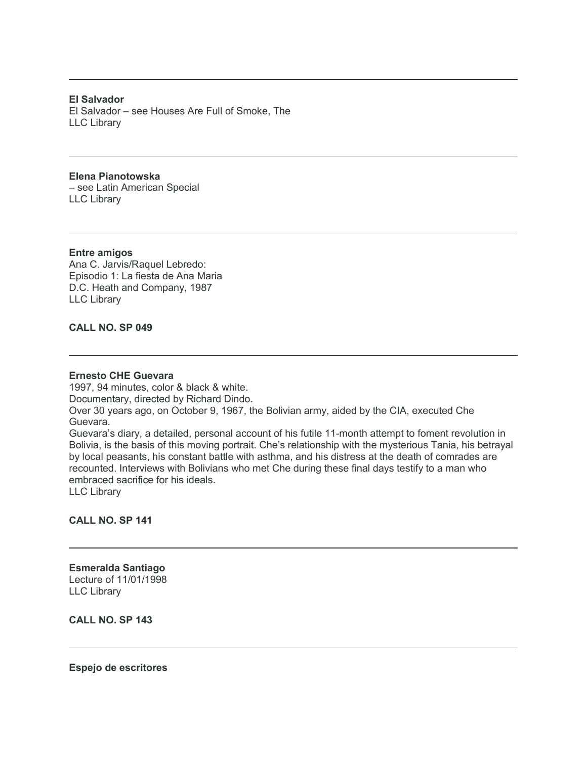**El Salvador** El Salvador – see Houses Are Full of Smoke, The LLC Library

#### **Elena Pianotowska**

– see Latin American Special LLC Library

#### **Entre amigos**

Ana C. Jarvis/Raquel Lebredo: Episodio 1: La fiesta de Ana Maria D.C. Heath and Company, 1987 LLC Library

# **CALL NO. SP 049**

#### **Ernesto CHE Guevara**

1997, 94 minutes, color & black & white. Documentary, directed by Richard Dindo. Over 30 years ago, on October 9, 1967, the Bolivian army, aided by the CIA, executed Che Guevara. Guevara's diary, a detailed, personal account of his futile 11-month attempt to foment revolution in Bolivia, is the basis of this moving portrait. Che's relationship with the mysterious Tania, his betrayal by local peasants, his constant battle with asthma, and his distress at the death of comrades are recounted. Interviews with Bolivians who met Che during these final days testify to a man who embraced sacrifice for his ideals.

LLC Library

## **CALL NO. SP 141**

# **Esmeralda Santiago** Lecture of 11/01/1998 LLC Library

**CALL NO. SP 143**

**Espejo de escritores**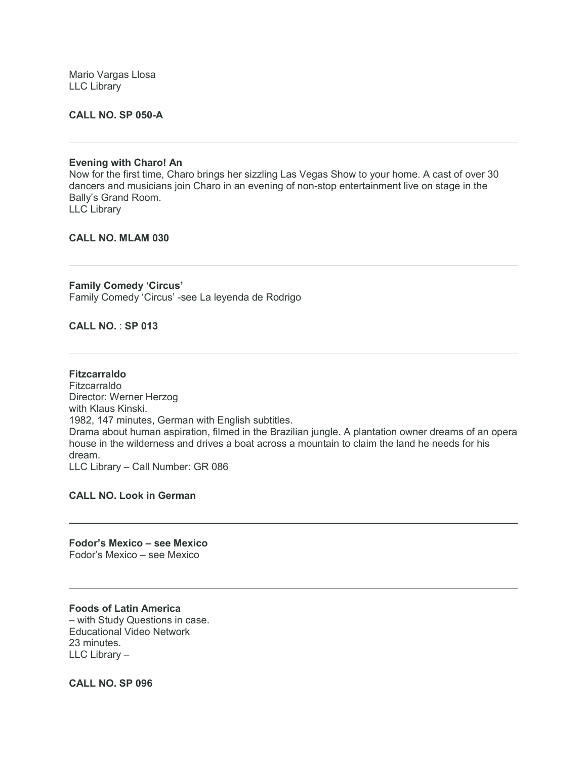Mario Vargas Llosa LLC Library

#### **CALL NO. SP 050-A**

#### **Evening with Charo! An**

Now for the first time, Charo brings her sizzling Las Vegas Show to your home. A cast of over 30 dancers and musicians join Charo in an evening of non-stop entertainment live on stage in the Bally's Grand Room. LLC Library

#### **CALL NO. MLAM 030**

**Family Comedy 'Circus'** Family Comedy 'Circus' -see La leyenda de Rodrigo

**CALL NO.** : **SP 013**

**Fitzcarraldo** Fitzcarraldo Director: Werner Herzog with Klaus Kinski. 1982, 147 minutes, German with English subtitles. Drama about human aspiration, filmed in the Brazilian jungle. A plantation owner dreams of an opera house in the wilderness and drives a boat across a mountain to claim the land he needs for his dream. LLC Library – Call Number: GR 086

**CALL NO. Look in German**

**Fodor's Mexico – see Mexico** Fodor's Mexico – see Mexico

#### **Foods of Latin America**

– with Study Questions in case. Educational Video Network 23 minutes. LLC Library –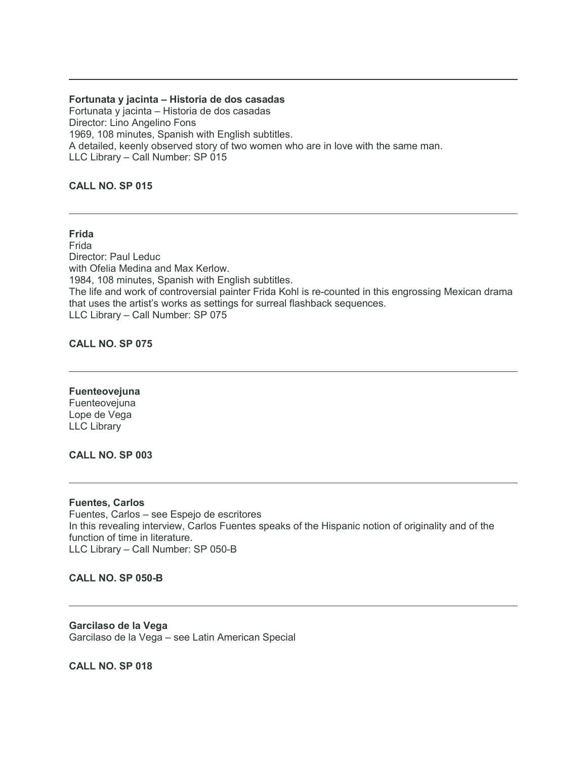#### **Fortunata y jacinta – Historia de dos casadas**

Fortunata y jacinta – Historia de dos casadas Director: Lino Angelino Fons 1969, 108 minutes, Spanish with English subtitles. A detailed, keenly observed story of two women who are in love with the same man. LLC Library – Call Number: SP 015

# **CALL NO. SP 015**

#### **Frida**

Frida Director: Paul Leduc with Ofelia Medina and Max Kerlow. 1984, 108 minutes, Spanish with English subtitles. The life and work of controversial painter Frida Kohl is re-counted in this engrossing Mexican drama that uses the artist's works as settings for surreal flashback sequences. LLC Library – Call Number: SP 075

#### **CALL NO. SP 075**

#### **Fuenteovejuna**

Fuenteovejuna Lope de Vega LLC Library

#### **CALL NO. SP 003**

#### **Fuentes, Carlos**

Fuentes, Carlos – see Espejo de escritores In this revealing interview, Carlos Fuentes speaks of the Hispanic notion of originality and of the function of time in literature. LLC Library – Call Number: SP 050-B

#### **CALL NO. SP 050-B**

**Garcilaso de la Vega** Garcilaso de la Vega – see Latin American Special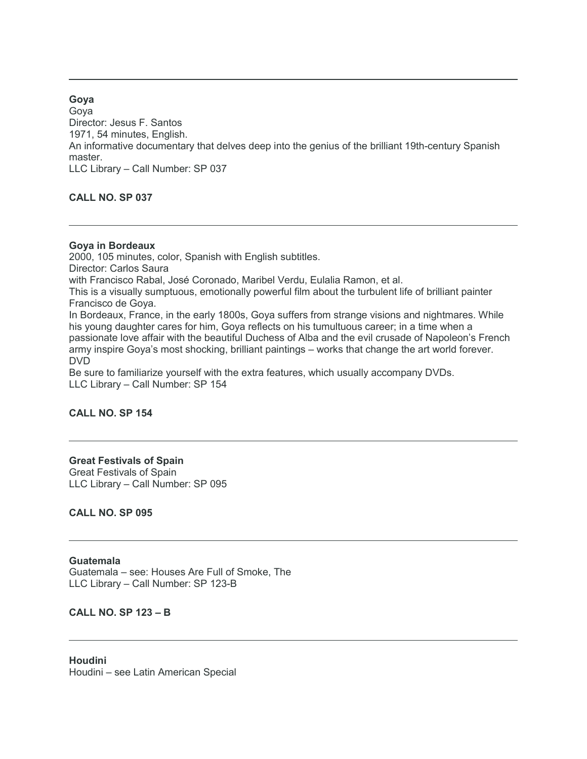**Goya** Goya Director: Jesus F. Santos 1971, 54 minutes, English. An informative documentary that delves deep into the genius of the brilliant 19th-century Spanish master. LLC Library – Call Number: SP 037

**CALL NO. SP 037**

#### **Goya in Bordeaux**

2000, 105 minutes, color, Spanish with English subtitles. Director: Carlos Saura with Francisco Rabal, José Coronado, Maribel Verdu, Eulalia Ramon, et al. This is a visually sumptuous, emotionally powerful film about the turbulent life of brilliant painter Francisco de Goya. In Bordeaux, France, in the early 1800s, Goya suffers from strange visions and nightmares. While his young daughter cares for him, Goya reflects on his tumultuous career; in a time when a passionate love affair with the beautiful Duchess of Alba and the evil crusade of Napoleon's French army inspire Goya's most shocking, brilliant paintings – works that change the art world forever. DVD Be sure to familiarize yourself with the extra features, which usually accompany DVDs. LLC Library – Call Number: SP 154

## **CALL NO. SP 154**

## **Great Festivals of Spain** Great Festivals of Spain LLC Library – Call Number: SP 095

**CALL NO. SP 095**

#### **Guatemala**

Guatemala – see: Houses Are Full of Smoke, The LLC Library – Call Number: SP 123-B

#### **CALL NO. SP 123 – B**

**Houdini** Houdini – see Latin American Special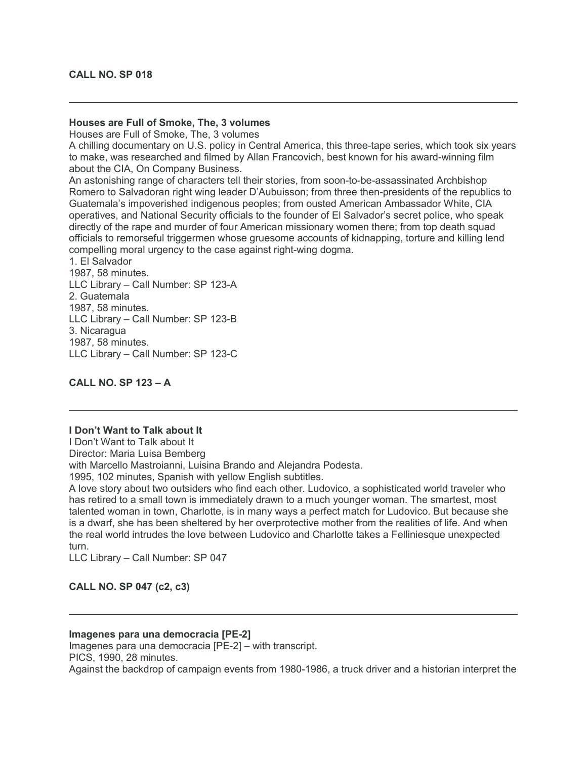#### **Houses are Full of Smoke, The, 3 volumes**

Houses are Full of Smoke, The, 3 volumes

A chilling documentary on U.S. policy in Central America, this three-tape series, which took six years to make, was researched and filmed by Allan Francovich, best known for his award-winning film about the CIA, On Company Business.

An astonishing range of characters tell their stories, from soon-to-be-assassinated Archbishop Romero to Salvadoran right wing leader D'Aubuisson; from three then-presidents of the republics to Guatemala's impoverished indigenous peoples; from ousted American Ambassador White, CIA operatives, and National Security officials to the founder of El Salvador's secret police, who speak directly of the rape and murder of four American missionary women there; from top death squad officials to remorseful triggermen whose gruesome accounts of kidnapping, torture and killing lend compelling moral urgency to the case against right-wing dogma.

1. El Salvador 1987, 58 minutes. LLC Library – Call Number: SP 123-A 2. Guatemala 1987, 58 minutes. LLC Library – Call Number: SP 123-B 3. Nicaragua 1987, 58 minutes. LLC Library – Call Number: SP 123-C

**CALL NO. SP 123 – A**

#### **I Don't Want to Talk about It**

I Don't Want to Talk about It

Director: Maria Luisa Bemberg

with Marcello Mastroianni, Luisina Brando and Aleiandra Podesta.

1995, 102 minutes, Spanish with yellow English subtitles.

A love story about two outsiders who find each other. Ludovico, a sophisticated world traveler who has retired to a small town is immediately drawn to a much younger woman. The smartest, most talented woman in town, Charlotte, is in many ways a perfect match for Ludovico. But because she is a dwarf, she has been sheltered by her overprotective mother from the realities of life. And when the real world intrudes the love between Ludovico and Charlotte takes a Felliniesque unexpected turn.

LLC Library – Call Number: SP 047

#### **CALL NO. SP 047 (c2, c3)**

#### **Imagenes para una democracia [PE-2]**

Imagenes para una democracia [PE-2] – with transcript. PICS, 1990, 28 minutes.

Against the backdrop of campaign events from 1980-1986, a truck driver and a historian interpret the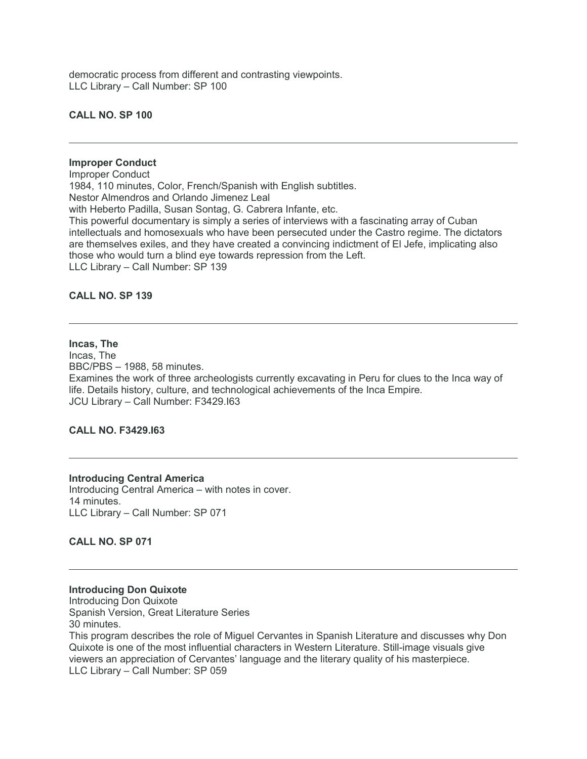democratic process from different and contrasting viewpoints. LLC Library – Call Number: SP 100

#### **CALL NO. SP 100**

## **Improper Conduct**

Improper Conduct 1984, 110 minutes, Color, French/Spanish with English subtitles. Nestor Almendros and Orlando Jimenez Leal with Heberto Padilla, Susan Sontag, G. Cabrera Infante, etc. This powerful documentary is simply a series of interviews with a fascinating array of Cuban intellectuals and homosexuals who have been persecuted under the Castro regime. The dictators are themselves exiles, and they have created a convincing indictment of El Jefe, implicating also those who would turn a blind eye towards repression from the Left. LLC Library – Call Number: SP 139

#### **CALL NO. SP 139**

#### **Incas, The**

Incas, The BBC/PBS – 1988, 58 minutes. Examines the work of three archeologists currently excavating in Peru for clues to the Inca way of life. Details history, culture, and technological achievements of the Inca Empire. JCU Library – Call Number: F3429.I63

#### **CALL NO. F3429.I63**

#### **Introducing Central America**

Introducing Central America – with notes in cover. 14 minutes. LLC Library – Call Number: SP 071

#### **CALL NO. SP 071**

#### **Introducing Don Quixote**

Introducing Don Quixote Spanish Version, Great Literature Series 30 minutes.

This program describes the role of Miguel Cervantes in Spanish Literature and discusses why Don Quixote is one of the most influential characters in Western Literature. Still-image visuals give viewers an appreciation of Cervantes' language and the literary quality of his masterpiece. LLC Library – Call Number: SP 059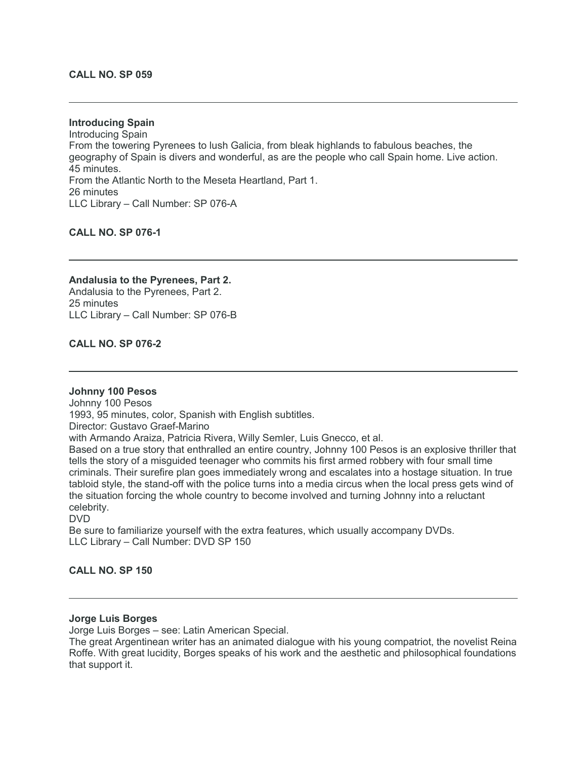#### **CALL NO. SP 059**

**Introducing Spain** Introducing Spain From the towering Pyrenees to lush Galicia, from bleak highlands to fabulous beaches, the geography of Spain is divers and wonderful, as are the people who call Spain home. Live action. 45 minutes. From the Atlantic North to the Meseta Heartland, Part 1. 26 minutes LLC Library – Call Number: SP 076-A

## **CALL NO. SP 076-1**

**Andalusia to the Pyrenees, Part 2.** Andalusia to the Pyrenees, Part 2. 25 minutes LLC Library – Call Number: SP 076-B

#### **CALL NO. SP 076-2**

#### **Johnny 100 Pesos**

Johnny 100 Pesos 1993, 95 minutes, color, Spanish with English subtitles. Director: Gustavo Graef-Marino with Armando Araiza, Patricia Rivera, Willy Semler, Luis Gnecco, et al. Based on a true story that enthralled an entire country, Johnny 100 Pesos is an explosive thriller that tells the story of a misguided teenager who commits his first armed robbery with four small time criminals. Their surefire plan goes immediately wrong and escalates into a hostage situation. In true tabloid style, the stand-off with the police turns into a media circus when the local press gets wind of the situation forcing the whole country to become involved and turning Johnny into a reluctant celebrity. DVD

Be sure to familiarize yourself with the extra features, which usually accompany DVDs. LLC Library – Call Number: DVD SP 150

#### **CALL NO. SP 150**

#### **Jorge Luis Borges**

Jorge Luis Borges – see: Latin American Special.

The great Argentinean writer has an animated dialogue with his young compatriot, the novelist Reina Roffe. With great lucidity, Borges speaks of his work and the aesthetic and philosophical foundations that support it.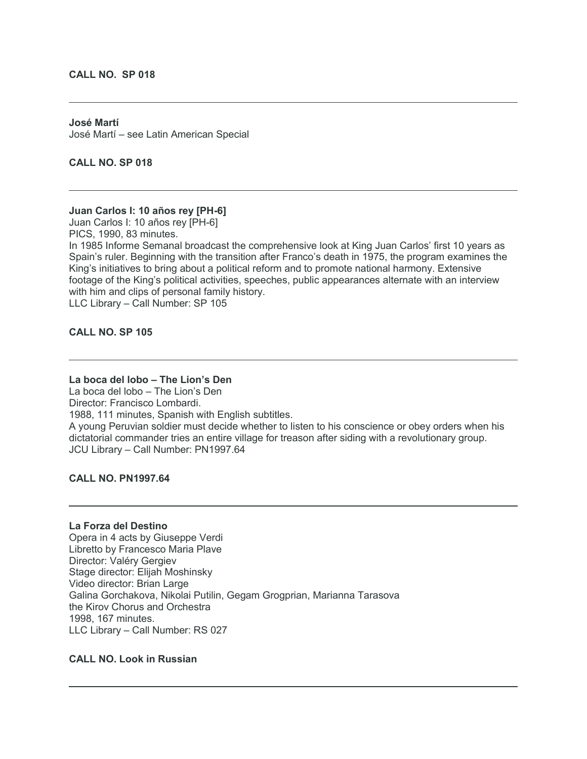#### **CALL NO. SP 018**

## **José Martí** José Martí – see Latin American Special

**CALL NO. SP 018**

# **Juan Carlos I: 10 años rey [PH-6]**

Juan Carlos I: 10 años rey [PH-6]

PICS, 1990, 83 minutes.

In 1985 Informe Semanal broadcast the comprehensive look at King Juan Carlos' first 10 years as Spain's ruler. Beginning with the transition after Franco's death in 1975, the program examines the King's initiatives to bring about a political reform and to promote national harmony. Extensive footage of the King's political activities, speeches, public appearances alternate with an interview with him and clips of personal family history.

LLC Library – Call Number: SP 105

## **CALL NO. SP 105**

# **La boca del lobo – The Lion's Den**

La boca del lobo – The Lion's Den Director: Francisco Lombardi. 1988, 111 minutes, Spanish with English subtitles. A young Peruvian soldier must decide whether to listen to his conscience or obey orders when his dictatorial commander tries an entire village for treason after siding with a revolutionary group. JCU Library – Call Number: PN1997.64

#### **CALL NO. PN1997.64**

## **La Forza del Destino**

Opera in 4 acts by Giuseppe Verdi Libretto by Francesco Maria Plave Director: Valéry Gergiev Stage director: Elijah Moshinsky Video director: Brian Large Galina Gorchakova, Nikolai Putilin, Gegam Grogprian, Marianna Tarasova the Kirov Chorus and Orchestra 1998, 167 minutes. LLC Library – Call Number: RS 027

## **CALL NO. Look in Russian**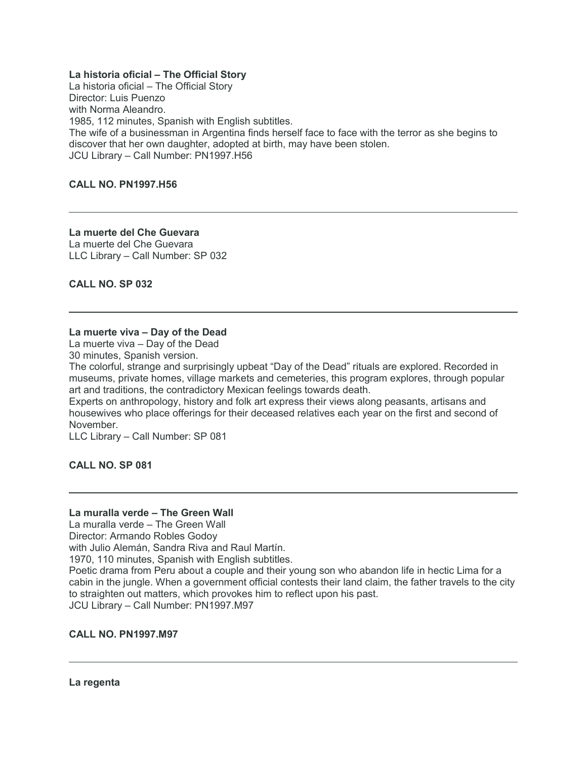#### **La historia oficial – The Official Story**

La historia oficial – The Official Story Director: Luis Puenzo with Norma Aleandro. 1985, 112 minutes, Spanish with English subtitles. The wife of a businessman in Argentina finds herself face to face with the terror as she begins to discover that her own daughter, adopted at birth, may have been stolen. JCU Library – Call Number: PN1997.H56

#### **CALL NO. PN1997.H56**

**La muerte del Che Guevara** La muerte del Che Guevara LLC Library – Call Number: SP 032

**CALL NO. SP 032**

## **La muerte viva – Day of the Dead**

La muerte viva – Day of the Dead

30 minutes, Spanish version.

The colorful, strange and surprisingly upbeat "Day of the Dead" rituals are explored. Recorded in museums, private homes, village markets and cemeteries, this program explores, through popular art and traditions, the contradictory Mexican feelings towards death.

Experts on anthropology, history and folk art express their views along peasants, artisans and housewives who place offerings for their deceased relatives each year on the first and second of November.

LLC Library – Call Number: SP 081

**CALL NO. SP 081**

#### **La muralla verde – The Green Wall**

La muralla verde – The Green Wall

Director: Armando Robles Godoy

with Julio Alemán, Sandra Riva and Raul Martín.

1970, 110 minutes, Spanish with English subtitles.

Poetic drama from Peru about a couple and their young son who abandon life in hectic Lima for a cabin in the jungle. When a government official contests their land claim, the father travels to the city to straighten out matters, which provokes him to reflect upon his past. JCU Library – Call Number: PN1997.M97

#### **CALL NO. PN1997.M97**

#### **La regenta**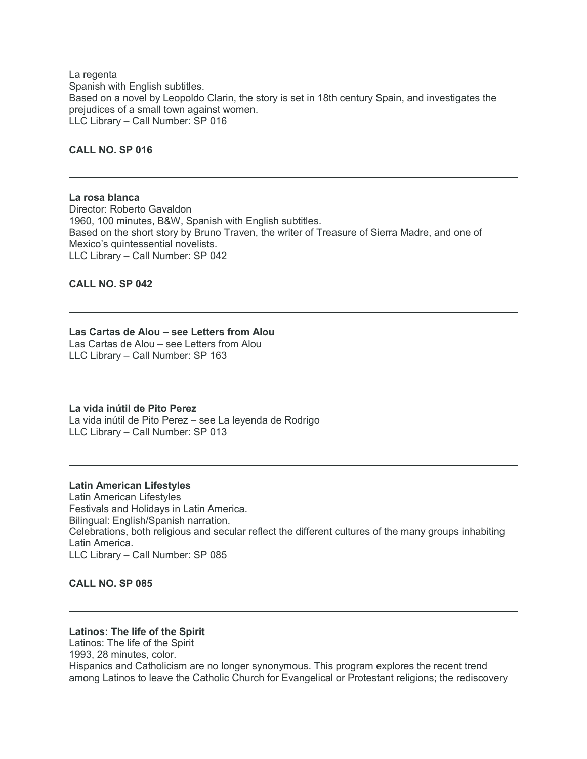La regenta Spanish with English subtitles. Based on a novel by Leopoldo Clarin, the story is set in 18th century Spain, and investigates the prejudices of a small town against women. LLC Library – Call Number: SP 016

## **CALL NO. SP 016**

**La rosa blanca** Director: Roberto Gavaldon 1960, 100 minutes, B&W, Spanish with English subtitles. Based on the short story by Bruno Traven, the writer of Treasure of Sierra Madre, and one of Mexico's quintessential novelists. LLC Library – Call Number: SP 042

#### **CALL NO. SP 042**

#### **Las Cartas de Alou – see Letters from Alou**

Las Cartas de Alou – see Letters from Alou LLC Library – Call Number: SP 163

#### **La vida inútil de Pito Perez**

La vida inútil de Pito Perez – see La leyenda de Rodrigo LLC Library – Call Number: SP 013

**Latin American Lifestyles** Latin American Lifestyles Festivals and Holidays in Latin America. Bilingual: English/Spanish narration. Celebrations, both religious and secular reflect the different cultures of the many groups inhabiting Latin America. LLC Library – Call Number: SP 085

#### **CALL NO. SP 085**

#### **Latinos: The life of the Spirit**

Latinos: The life of the Spirit 1993, 28 minutes, color. Hispanics and Catholicism are no longer synonymous. This program explores the recent trend among Latinos to leave the Catholic Church for Evangelical or Protestant religions; the rediscovery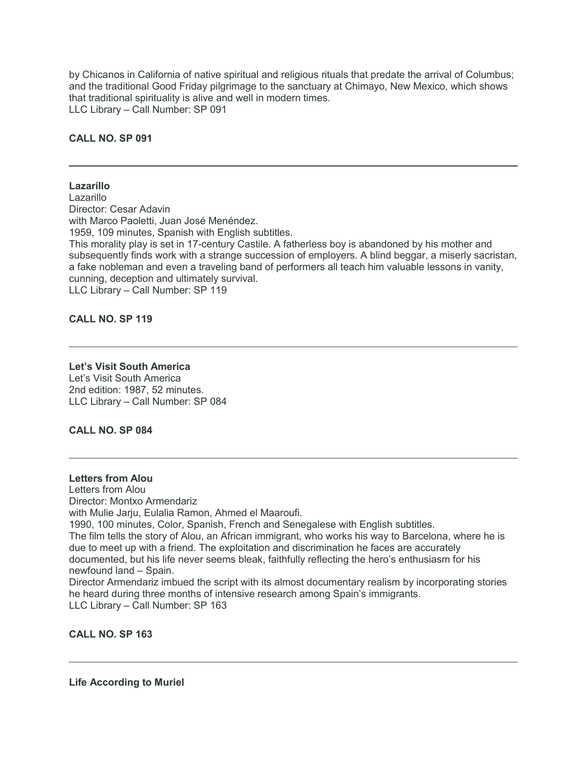by Chicanos in California of native spiritual and religious rituals that predate the arrival of Columbus; and the traditional Good Friday pilgrimage to the sanctuary at Chimayo, New Mexico, which shows that traditional spirituality is alive and well in modern times. LLC Library – Call Number: SP 091

#### **CALL NO. SP 091**

#### **Lazarillo**

**Lazarillo** Director: Cesar Adavin with Marco Paoletti, Juan José Menéndez. 1959, 109 minutes, Spanish with English subtitles. This morality play is set in 17-century Castile. A fatherless boy is abandoned by his mother and subsequently finds work with a strange succession of employers. A blind beggar, a miserly sacristan, a fake nobleman and even a traveling band of performers all teach him valuable lessons in vanity, cunning, deception and ultimately survival. LLC Library – Call Number: SP 119

**CALL NO. SP 119**

#### **Let's Visit South America**

Let's Visit South America 2nd edition: 1987, 52 minutes. LLC Library – Call Number: SP 084

**CALL NO. SP 084**

#### **Letters from Alou**

Letters from Alou Director: Montxo Armendariz with Mulie Jarju, Eulalia Ramon, Ahmed el Maaroufi. 1990, 100 minutes, Color, Spanish, French and Senegalese with English subtitles. The film tells the story of Alou, an African immigrant, who works his way to Barcelona, where he is due to meet up with a friend. The exploitation and discrimination he faces are accurately documented, but his life never seems bleak, faithfully reflecting the hero's enthusiasm for his newfound land – Spain. Director Armendariz imbued the script with its almost documentary realism by incorporating stories he heard during three months of intensive research among Spain's immigrants.

LLC Library – Call Number: SP 163

**CALL NO. SP 163**

**Life According to Muriel**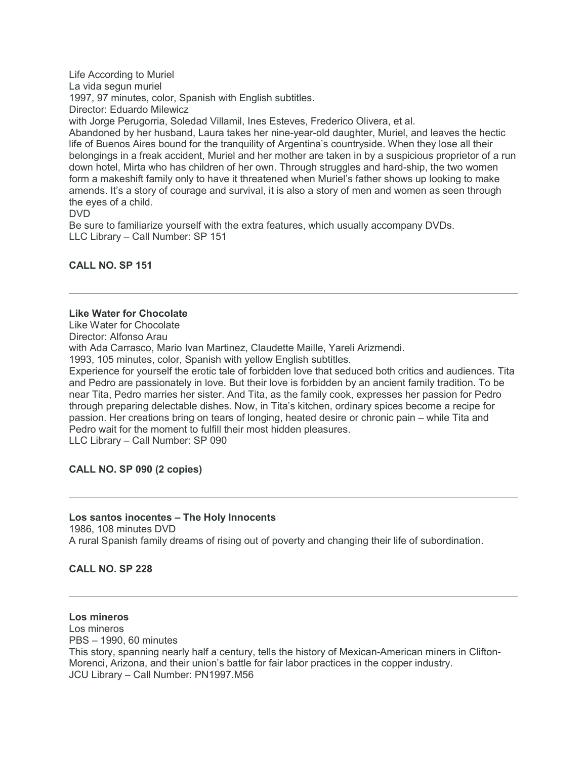Life According to Muriel La vida segun muriel 1997, 97 minutes, color, Spanish with English subtitles. Director: Eduardo Milewicz with Jorge Perugorria, Soledad Villamil, Ines Esteves, Frederico Olivera, et al. Abandoned by her husband, Laura takes her nine-year-old daughter, Muriel, and leaves the hectic life of Buenos Aires bound for the tranquility of Argentina's countryside. When they lose all their belongings in a freak accident, Muriel and her mother are taken in by a suspicious proprietor of a run down hotel, Mirta who has children of her own. Through struggles and hard-ship, the two women form a makeshift family only to have it threatened when Muriel's father shows up looking to make amends. It's a story of courage and survival, it is also a story of men and women as seen through the eyes of a child. DVD

Be sure to familiarize yourself with the extra features, which usually accompany DVDs. LLC Library – Call Number: SP 151

## **CALL NO. SP 151**

#### **Like Water for Chocolate**

Like Water for Chocolate Director: Alfonso Arau with Ada Carrasco, Mario Ivan Martinez, Claudette Maille, Yareli Arizmendi. 1993, 105 minutes, color, Spanish with yellow English subtitles.

Experience for yourself the erotic tale of forbidden love that seduced both critics and audiences. Tita and Pedro are passionately in love. But their love is forbidden by an ancient family tradition. To be near Tita, Pedro marries her sister. And Tita, as the family cook, expresses her passion for Pedro through preparing delectable dishes. Now, in Tita's kitchen, ordinary spices become a recipe for passion. Her creations bring on tears of longing, heated desire or chronic pain – while Tita and Pedro wait for the moment to fulfill their most hidden pleasures. LLC Library – Call Number: SP 090

# **CALL NO. SP 090 (2 copies)**

#### **Los santos inocentes – The Holy Innocents**

1986, 108 minutes DVD A rural Spanish family dreams of rising out of poverty and changing their life of subordination.

## **CALL NO. SP 228**

# **Los mineros**

Los mineros PBS – 1990, 60 minutes This story, spanning nearly half a century, tells the history of Mexican-American miners in Clifton-Morenci, Arizona, and their union's battle for fair labor practices in the copper industry. JCU Library – Call Number: PN1997.M56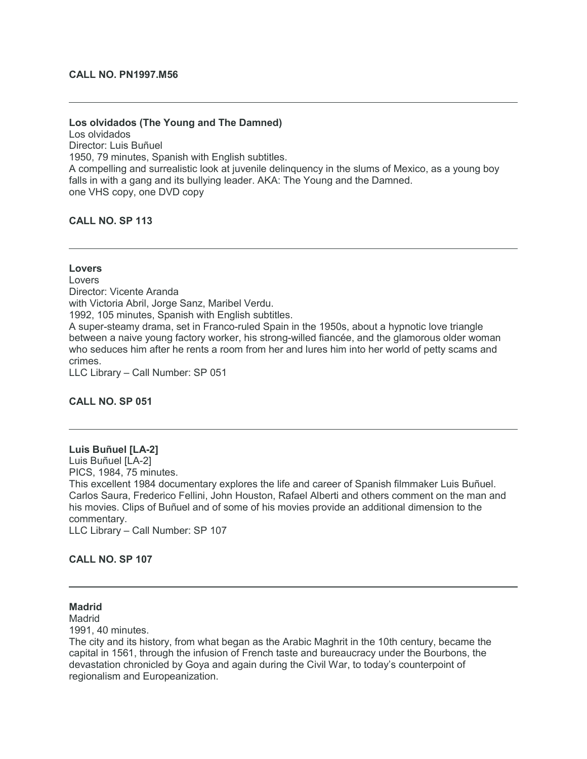#### **CALL NO. PN1997.M56**

#### **Los olvidados (The Young and The Damned)**

Los olvidados Director: Luis Buñuel 1950, 79 minutes, Spanish with English subtitles. A compelling and surrealistic look at juvenile delinquency in the slums of Mexico, as a young boy falls in with a gang and its bullying leader. AKA: The Young and the Damned. one VHS copy, one DVD copy

## **CALL NO. SP 113**

# **Lovers**

Lovers Director: Vicente Aranda with Victoria Abril, Jorge Sanz, Maribel Verdu. 1992, 105 minutes, Spanish with English subtitles. A super-steamy drama, set in Franco-ruled Spain in the 1950s, about a hypnotic love triangle between a naive young factory worker, his strong-willed fiancée, and the glamorous older woman who seduces him after he rents a room from her and lures him into her world of petty scams and crimes.

LLC Library – Call Number: SP 051

## **CALL NO. SP 051**

## **Luis Buñuel [LA-2]** Luis Buñuel [LA-2] PICS, 1984, 75 minutes. This excellent 1984 documentary explores the life and career of Spanish filmmaker Luis Buñuel. Carlos Saura, Frederico Fellini, John Houston, Rafael Alberti and others comment on the man and his movies. Clips of Buñuel and of some of his movies provide an additional dimension to the commentary. LLC Library – Call Number: SP 107

#### **CALL NO. SP 107**

#### **Madrid**

Madrid

1991, 40 minutes.

The city and its history, from what began as the Arabic Maghrit in the 10th century, became the capital in 1561, through the infusion of French taste and bureaucracy under the Bourbons, the devastation chronicled by Goya and again during the Civil War, to today's counterpoint of regionalism and Europeanization.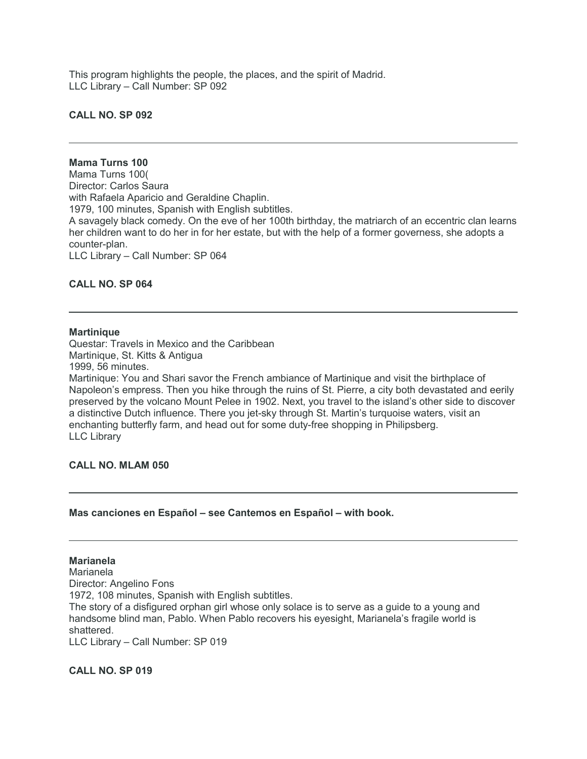This program highlights the people, the places, and the spirit of Madrid. LLC Library – Call Number: SP 092

#### **CALL NO. SP 092**

## **Mama Turns 100**

Mama Turns 100( Director: Carlos Saura with Rafaela Aparicio and Geraldine Chaplin. 1979, 100 minutes, Spanish with English subtitles. A savagely black comedy. On the eve of her 100th birthday, the matriarch of an eccentric clan learns her children want to do her in for her estate, but with the help of a former governess, she adopts a counter-plan. LLC Library – Call Number: SP 064

#### **CALL NO. SP 064**

#### **Martinique**

Questar: Travels in Mexico and the Caribbean Martinique, St. Kitts & Antigua 1999, 56 minutes. Martinique: You and Shari savor the French ambiance of Martinique and visit the birthplace of

Napoleon's empress. Then you hike through the ruins of St. Pierre, a city both devastated and eerily preserved by the volcano Mount Pelee in 1902. Next, you travel to the island's other side to discover a distinctive Dutch influence. There you jet-sky through St. Martin's turquoise waters, visit an enchanting butterfly farm, and head out for some duty-free shopping in Philipsberg. LLC Library

#### **CALL NO. MLAM 050**

#### **Mas canciones en Español – see Cantemos en Español – with book.**

#### **Marianela** Marianela Director: Angelino Fons 1972, 108 minutes, Spanish with English subtitles. The story of a disfigured orphan girl whose only solace is to serve as a guide to a young and handsome blind man, Pablo. When Pablo recovers his eyesight, Marianela's fragile world is shattered. LLC Library – Call Number: SP 019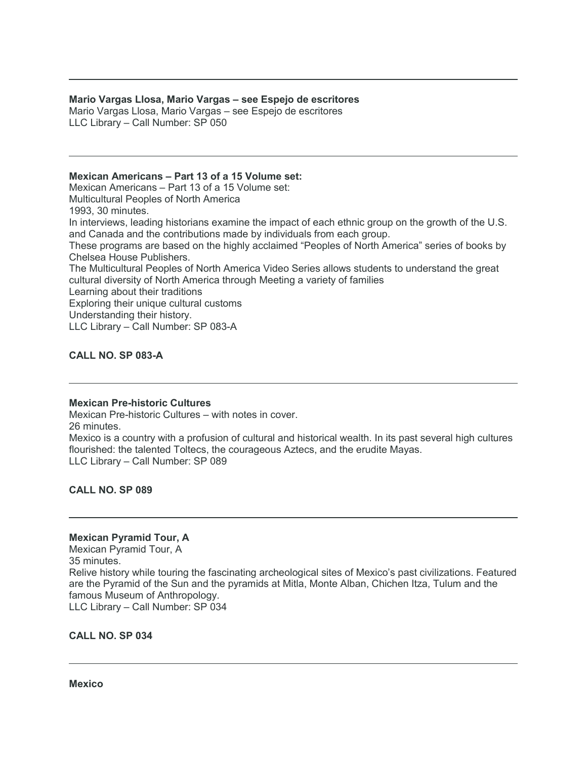#### **Mario Vargas Llosa, Mario Vargas – see Espejo de escritores**

Mario Vargas Llosa, Mario Vargas – see Espejo de escritores LLC Library – Call Number: SP 050

## **Mexican Americans – Part 13 of a 15 Volume set:**

Mexican Americans – Part 13 of a 15 Volume set: Multicultural Peoples of North America 1993, 30 minutes. In interviews, leading historians examine the impact of each ethnic group on the growth of the U.S. and Canada and the contributions made by individuals from each group. These programs are based on the highly acclaimed "Peoples of North America" series of books by Chelsea House Publishers. The Multicultural Peoples of North America Video Series allows students to understand the great cultural diversity of North America through Meeting a variety of families Learning about their traditions Exploring their unique cultural customs Understanding their history. LLC Library – Call Number: SP 083-A

## **CALL NO. SP 083-A**

#### **Mexican Pre-historic Cultures**

Mexican Pre-historic Cultures – with notes in cover. 26 minutes. Mexico is a country with a profusion of cultural and historical wealth. In its past several high cultures flourished: the talented Toltecs, the courageous Aztecs, and the erudite Mayas. LLC Library – Call Number: SP 089

**CALL NO. SP 089**

#### **Mexican Pyramid Tour, A**

Mexican Pyramid Tour, A 35 minutes. Relive history while touring the fascinating archeological sites of Mexico's past civilizations. Featured are the Pyramid of the Sun and the pyramids at Mitla, Monte Alban, Chichen Itza, Tulum and the famous Museum of Anthropology. LLC Library – Call Number: SP 034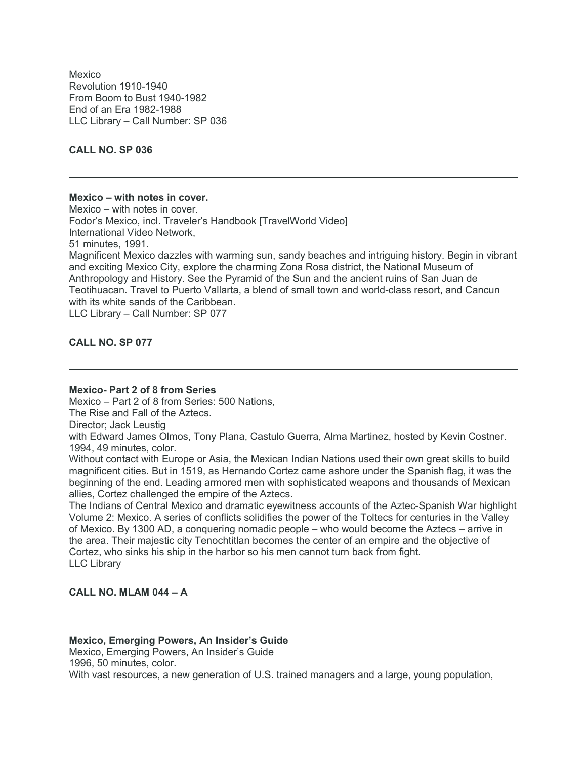Mexico Revolution 1910-1940 From Boom to Bust 1940-1982 End of an Era 1982-1988 LLC Library – Call Number: SP 036

**CALL NO. SP 036**

#### **Mexico – with notes in cover.**

Mexico – with notes in cover. Fodor's Mexico, incl. Traveler's Handbook [TravelWorld Video] International Video Network, 51 minutes, 1991. Magnificent Mexico dazzles with warming sun, sandy beaches and intriguing history. Begin in vibrant and exciting Mexico City, explore the charming Zona Rosa district, the National Museum of Anthropology and History. See the Pyramid of the Sun and the ancient ruins of San Juan de Teotihuacan. Travel to Puerto Vallarta, a blend of small town and world-class resort, and Cancun with its white sands of the Caribbean. LLC Library – Call Number: SP 077

**CALL NO. SP 077**

## **Mexico- Part 2 of 8 from Series**

Mexico – Part 2 of 8 from Series: 500 Nations,

The Rise and Fall of the Aztecs.

Director; Jack Leustig

with Edward James Olmos, Tony Plana, Castulo Guerra, Alma Martinez, hosted by Kevin Costner. 1994, 49 minutes, color.

Without contact with Europe or Asia, the Mexican Indian Nations used their own great skills to build magnificent cities. But in 1519, as Hernando Cortez came ashore under the Spanish flag, it was the beginning of the end. Leading armored men with sophisticated weapons and thousands of Mexican allies, Cortez challenged the empire of the Aztecs.

The Indians of Central Mexico and dramatic eyewitness accounts of the Aztec-Spanish War highlight Volume 2: Mexico. A series of conflicts solidifies the power of the Toltecs for centuries in the Valley of Mexico. By 1300 AD, a conquering nomadic people – who would become the Aztecs – arrive in the area. Their majestic city Tenochtitlan becomes the center of an empire and the objective of Cortez, who sinks his ship in the harbor so his men cannot turn back from fight. LLC Library

## **CALL NO. MLAM 044 – A**

# **Mexico, Emerging Powers, An Insider's Guide**

Mexico, Emerging Powers, An Insider's Guide 1996, 50 minutes, color.

With vast resources, a new generation of U.S. trained managers and a large, young population,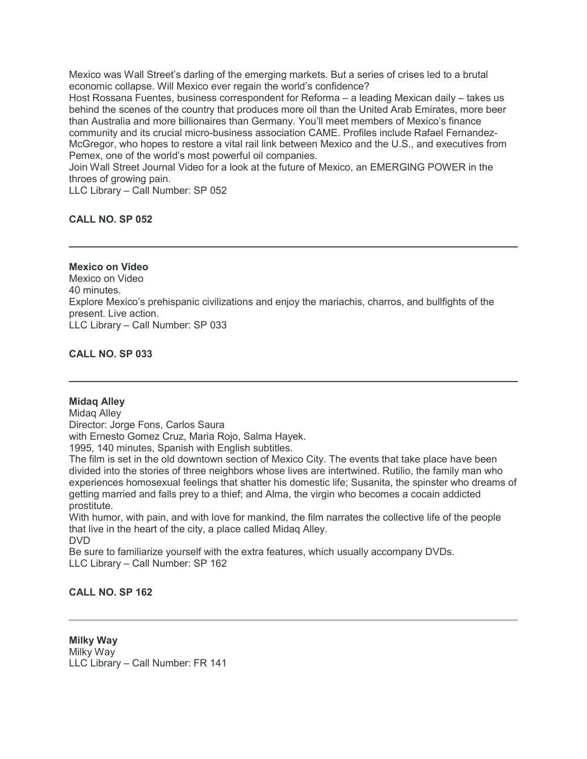Mexico was Wall Street's darling of the emerging markets. But a series of crises led to a brutal economic collapse. Will Mexico ever regain the world's confidence?

Host Rossana Fuentes, business correspondent for Reforma – a leading Mexican daily – takes us behind the scenes of the country that produces more oil than the United Arab Emirates, more beer than Australia and more billionaires than Germany. You'll meet members of Mexico's finance community and its crucial micro-business association CAME. Profiles include Rafael Fernandez-McGregor, who hopes to restore a vital rail link between Mexico and the U.S., and executives from Pemex, one of the world's most powerful oil companies.

Join Wall Street Journal Video for a look at the future of Mexico, an EMERGING POWER in the throes of growing pain.

LLC Library – Call Number: SP 052

# **CALL NO. SP 052**

# **Mexico on Video**

Mexico on Video 40 minutes. Explore Mexico's prehispanic civilizations and enjoy the mariachis, charros, and bullfights of the present. Live action. LLC Library – Call Number: SP 033

**CALL NO. SP 033**

## **Midaq Alley**

Midaq Alley Director: Jorge Fons, Carlos Saura with Ernesto Gomez Cruz, Maria Rojo, Salma Hayek.

1995, 140 minutes, Spanish with English subtitles.

The film is set in the old downtown section of Mexico City. The events that take place have been divided into the stories of three neighbors whose lives are intertwined. Rutilio, the family man who experiences homosexual feelings that shatter his domestic life; Susanita, the spinster who dreams of getting married and falls prey to a thief; and Alma, the virgin who becomes a cocain addicted prostitute.

With humor, with pain, and with love for mankind, the film narrates the collective life of the people that live in the heart of the city, a place called Midaq Alley. DVD

Be sure to familiarize yourself with the extra features, which usually accompany DVDs. LLC Library – Call Number: SP 162

## **CALL NO. SP 162**

**Milky Way** Milky Way LLC Library – Call Number: FR 141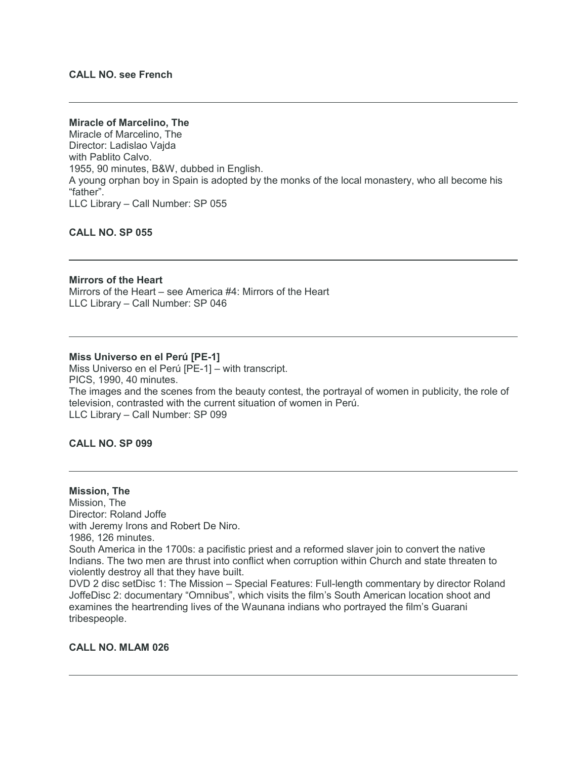#### **CALL NO. see French**

#### **Miracle of Marcelino, The**

Miracle of Marcelino, The Director: Ladislao Vajda with Pablito Calvo. 1955, 90 minutes, B&W, dubbed in English. A young orphan boy in Spain is adopted by the monks of the local monastery, who all become his "father". LLC Library – Call Number: SP 055

**CALL NO. SP 055**

#### **Mirrors of the Heart**

Mirrors of the Heart – see America #4: Mirrors of the Heart LLC Library – Call Number: SP 046

#### **Miss Universo en el Perú [PE-1]**

Miss Universo en el Perú [PE-1] – with transcript. PICS, 1990, 40 minutes. The images and the scenes from the beauty contest, the portrayal of women in publicity, the role of television, contrasted with the current situation of women in Perú. LLC Library – Call Number: SP 099

#### **CALL NO. SP 099**

## **Mission, The** Mission, The Director: Roland Joffe with Jeremy Irons and Robert De Niro. 1986, 126 minutes. South America in the 1700s: a pacifistic priest and a reformed slaver join to convert the native Indians. The two men are thrust into conflict when corruption within Church and state threaten to violently destroy all that they have built. DVD 2 disc setDisc 1: The Mission – Special Features: Full-length commentary by director Roland

JoffeDisc 2: documentary "Omnibus", which visits the film's South American location shoot and examines the heartrending lives of the Waunana indians who portrayed the film's Guarani tribespeople.

#### **CALL NO. MLAM 026**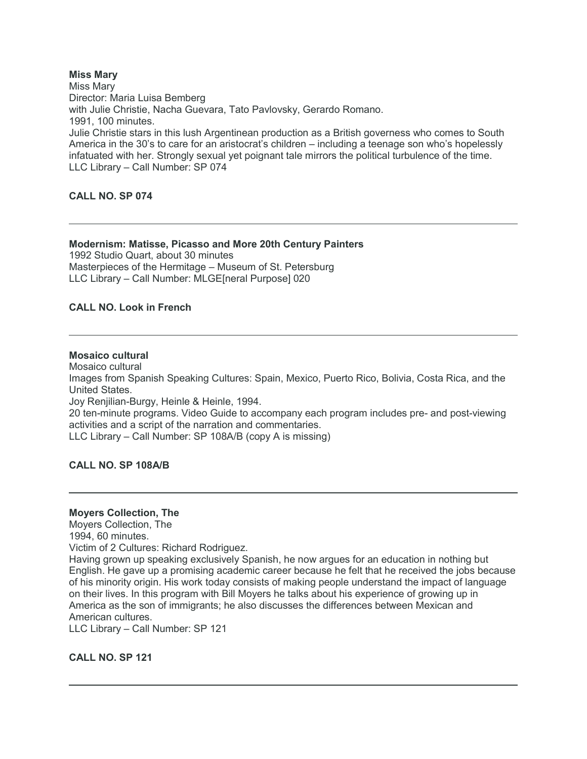## **Miss Mary**

Miss Mary Director: Maria Luisa Bemberg with Julie Christie, Nacha Guevara, Tato Pavlovsky, Gerardo Romano. 1991, 100 minutes. Julie Christie stars in this lush Argentinean production as a British governess who comes to South America in the 30's to care for an aristocrat's children – including a teenage son who's hopelessly infatuated with her. Strongly sexual yet poignant tale mirrors the political turbulence of the time. LLC Library – Call Number: SP 074

#### **CALL NO. SP 074**

#### **Modernism: Matisse, Picasso and More 20th Century Painters**

1992 Studio Quart, about 30 minutes Masterpieces of the Hermitage – Museum of St. Petersburg LLC Library – Call Number: MLGE[neral Purpose] 020

# **CALL NO. Look in French**

## **Mosaico cultural**

Mosaico cultural Images from Spanish Speaking Cultures: Spain, Mexico, Puerto Rico, Bolivia, Costa Rica, and the United States. Joy Renjilian-Burgy, Heinle & Heinle, 1994.

20 ten-minute programs. Video Guide to accompany each program includes pre- and post-viewing activities and a script of the narration and commentaries.

LLC Library – Call Number: SP 108A/B (copy A is missing)

#### **CALL NO. SP 108A/B**

#### **Moyers Collection, The**

Moyers Collection, The

1994, 60 minutes.

Victim of 2 Cultures: Richard Rodriguez.

Having grown up speaking exclusively Spanish, he now argues for an education in nothing but English. He gave up a promising academic career because he felt that he received the jobs because of his minority origin. His work today consists of making people understand the impact of language on their lives. In this program with Bill Moyers he talks about his experience of growing up in America as the son of immigrants; he also discusses the differences between Mexican and American cultures.

LLC Library – Call Number: SP 121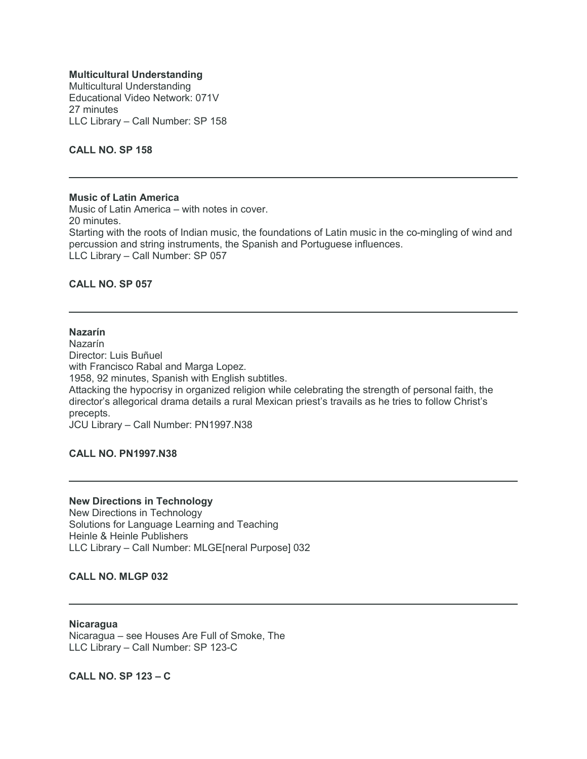#### **Multicultural Understanding**

Multicultural Understanding Educational Video Network: 071V 27 minutes LLC Library – Call Number: SP 158

## **CALL NO. SP 158**

#### **Music of Latin America**

Music of Latin America – with notes in cover. 20 minutes. Starting with the roots of Indian music, the foundations of Latin music in the co-mingling of wind and percussion and string instruments, the Spanish and Portuguese influences. LLC Library – Call Number: SP 057

#### **CALL NO. SP 057**

# **Nazarín**

Nazarín Director: Luis Buñuel with Francisco Rabal and Marga Lopez. 1958, 92 minutes, Spanish with English subtitles. Attacking the hypocrisy in organized religion while celebrating the strength of personal faith, the director's allegorical drama details a rural Mexican priest's travails as he tries to follow Christ's precepts. JCU Library – Call Number: PN1997.N38

**CALL NO. PN1997.N38**

#### **New Directions in Technology**

New Directions in Technology Solutions for Language Learning and Teaching Heinle & Heinle Publishers LLC Library – Call Number: MLGE[neral Purpose] 032

#### **CALL NO. MLGP 032**

#### **Nicaragua**

Nicaragua – see Houses Are Full of Smoke, The LLC Library – Call Number: SP 123-C

**CALL NO. SP 123 – C**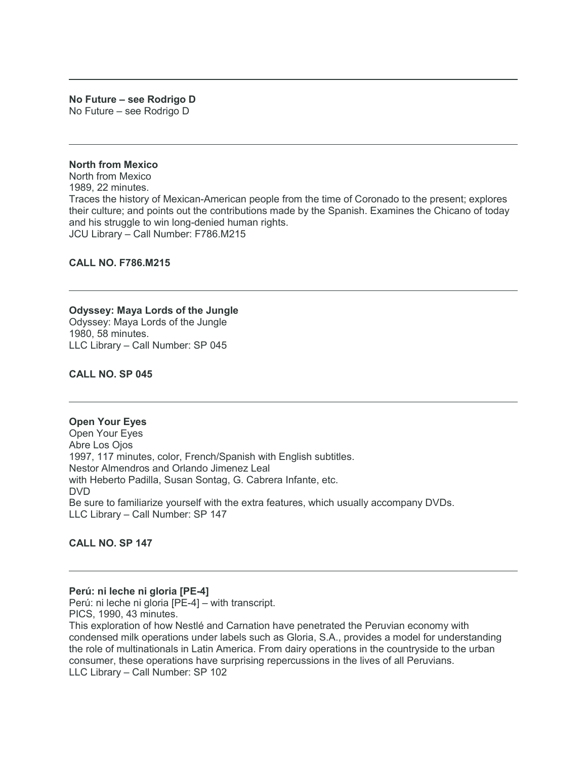#### **No Future – see Rodrigo D** No Future – see Rodrigo D

#### **North from Mexico**

North from Mexico 1989, 22 minutes. Traces the history of Mexican-American people from the time of Coronado to the present; explores their culture; and points out the contributions made by the Spanish. Examines the Chicano of today and his struggle to win long-denied human rights. JCU Library – Call Number: F786.M215

#### **CALL NO. F786.M215**

#### **Odyssey: Maya Lords of the Jungle**

Odyssey: Maya Lords of the Jungle 1980, 58 minutes. LLC Library – Call Number: SP 045

#### **CALL NO. SP 045**

# **Open Your Eyes**

Open Your Eyes Abre Los Ojos 1997, 117 minutes, color, French/Spanish with English subtitles. Nestor Almendros and Orlando Jimenez Leal with Heberto Padilla, Susan Sontag, G. Cabrera Infante, etc. DVD Be sure to familiarize yourself with the extra features, which usually accompany DVDs. LLC Library – Call Number: SP 147

## **CALL NO. SP 147**

#### **Perú: ni leche ni gloria [PE-4]**

Perú: ni leche ni gloria [PE-4] – with transcript. PICS, 1990, 43 minutes. This exploration of how Nestlé and Carnation have penetrated the Peruvian economy with condensed milk operations under labels such as Gloria, S.A., provides a model for understanding the role of multinationals in Latin America. From dairy operations in the countryside to the urban consumer, these operations have surprising repercussions in the lives of all Peruvians. LLC Library – Call Number: SP 102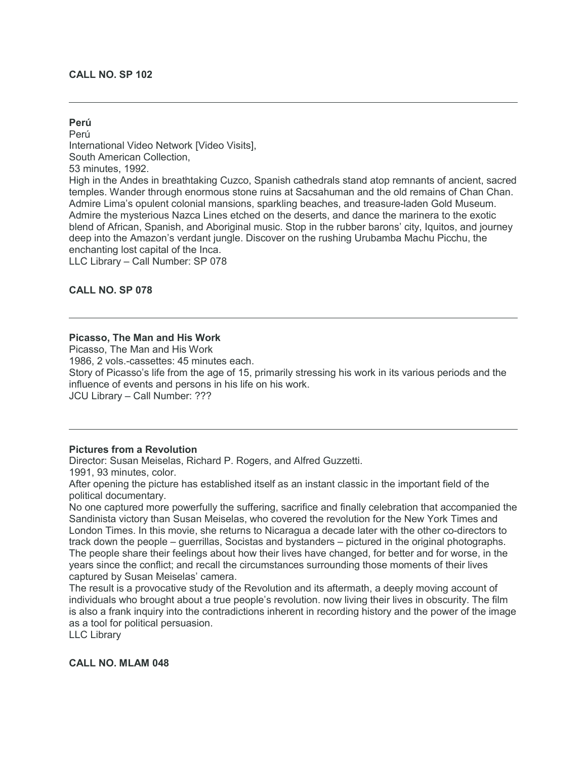### **CALL NO. SP 102**

## **Perú**

Perú International Video Network [Video Visits], South American Collection, 53 minutes, 1992. High in the Andes in breathtaking Cuzco, Spanish cathedrals stand atop remnants of ancient, sacred temples. Wander through enormous stone ruins at Sacsahuman and the old remains of Chan Chan. Admire Lima's opulent colonial mansions, sparkling beaches, and treasure-laden Gold Museum. Admire the mysterious Nazca Lines etched on the deserts, and dance the marinera to the exotic blend of African, Spanish, and Aboriginal music. Stop in the rubber barons' city, Iquitos, and journey deep into the Amazon's verdant jungle. Discover on the rushing Urubamba Machu Picchu, the enchanting lost capital of the Inca. LLC Library – Call Number: SP 078

**CALL NO. SP 078**

## **Picasso, The Man and His Work**

Picasso, The Man and His Work 1986, 2 vols.-cassettes: 45 minutes each. Story of Picasso's life from the age of 15, primarily stressing his work in its various periods and the influence of events and persons in his life on his work.

JCU Library – Call Number: ???

### **Pictures from a Revolution**

Director: Susan Meiselas, Richard P. Rogers, and Alfred Guzzetti.

1991, 93 minutes, color.

After opening the picture has established itself as an instant classic in the important field of the political documentary.

No one captured more powerfully the suffering, sacrifice and finally celebration that accompanied the Sandinista victory than Susan Meiselas, who covered the revolution for the New York Times and London Times. In this movie, she returns to Nicaragua a decade later with the other co-directors to track down the people – guerrillas, Socistas and bystanders – pictured in the original photographs. The people share their feelings about how their lives have changed, for better and for worse, in the years since the conflict; and recall the circumstances surrounding those moments of their lives captured by Susan Meiselas' camera.

The result is a provocative study of the Revolution and its aftermath, a deeply moving account of individuals who brought about a true people's revolution. now living their lives in obscurity. The film is also a frank inquiry into the contradictions inherent in recording history and the power of the image as a tool for political persuasion.

LLC Library

**CALL NO. MLAM 048**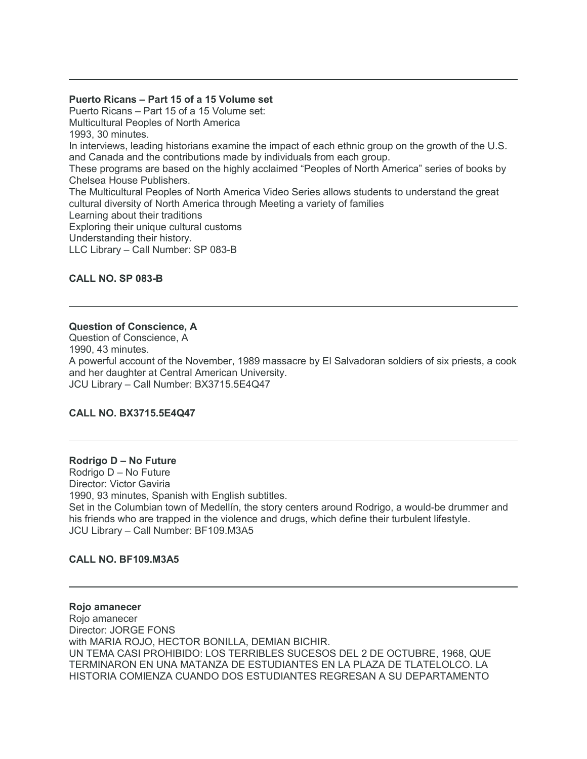### **Puerto Ricans – Part 15 of a 15 Volume set**

Puerto Ricans – Part 15 of a 15 Volume set: Multicultural Peoples of North America 1993, 30 minutes. In interviews, leading historians examine the impact of each ethnic group on the growth of the U.S. and Canada and the contributions made by individuals from each group. These programs are based on the highly acclaimed "Peoples of North America" series of books by Chelsea House Publishers. The Multicultural Peoples of North America Video Series allows students to understand the great cultural diversity of North America through Meeting a variety of families Learning about their traditions Exploring their unique cultural customs Understanding their history. LLC Library – Call Number: SP 083-B

## **CALL NO. SP 083-B**

## **Question of Conscience, A**

Question of Conscience, A 1990, 43 minutes. A powerful account of the November, 1989 massacre by El Salvadoran soldiers of six priests, a cook and her daughter at Central American University. JCU Library – Call Number: BX3715.5E4Q47

# **CALL NO. BX3715.5E4Q47**

#### **Rodrigo D – No Future**

Rodrigo D – No Future Director: Victor Gaviria 1990, 93 minutes, Spanish with English subtitles. Set in the Columbian town of Medellín, the story centers around Rodrigo, a would-be drummer and his friends who are trapped in the violence and drugs, which define their turbulent lifestyle. JCU Library – Call Number: BF109.M3A5

#### **CALL NO. BF109.M3A5**

**Rojo amanecer** Rojo amanecer Director: JORGE FONS with MARIA ROJO, HECTOR BONILLA, DEMIAN BICHIR. UN TEMA CASI PROHIBIDO: LOS TERRIBLES SUCESOS DEL 2 DE OCTUBRE, 1968, QUE TERMINARON EN UNA MATANZA DE ESTUDIANTES EN LA PLAZA DE TLATELOLCO. LA HISTORIA COMIENZA CUANDO DOS ESTUDIANTES REGRESAN A SU DEPARTAMENTO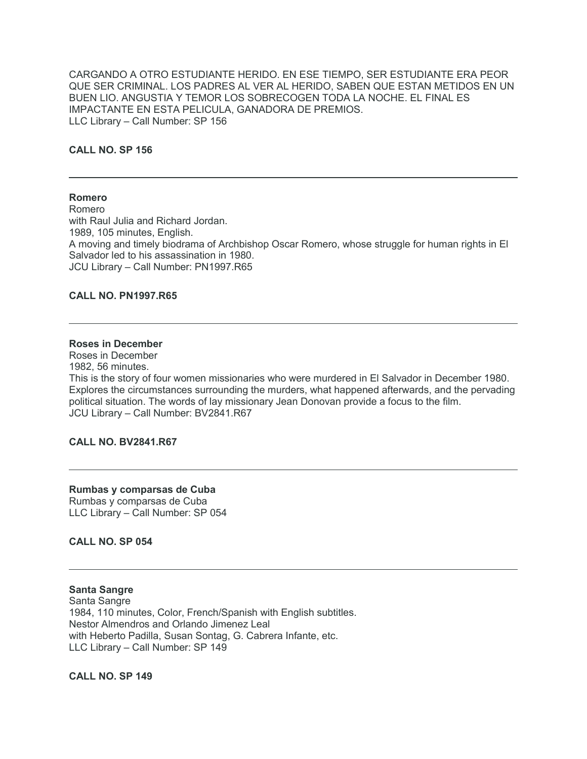CARGANDO A OTRO ESTUDIANTE HERIDO. EN ESE TIEMPO, SER ESTUDIANTE ERA PEOR QUE SER CRIMINAL. LOS PADRES AL VER AL HERIDO, SABEN QUE ESTAN METIDOS EN UN BUEN LIO. ANGUSTIA Y TEMOR LOS SOBRECOGEN TODA LA NOCHE. EL FINAL ES IMPACTANTE EN ESTA PELICULA, GANADORA DE PREMIOS. LLC Library – Call Number: SP 156

# **CALL NO. SP 156**

#### **Romero**

Romero with Raul Julia and Richard Jordan. 1989, 105 minutes, English. A moving and timely biodrama of Archbishop Oscar Romero, whose struggle for human rights in El Salvador led to his assassination in 1980. JCU Library – Call Number: PN1997.R65

#### **CALL NO. PN1997.R65**

#### **Roses in December**

Roses in December 1982, 56 minutes. This is the story of four women missionaries who were murdered in El Salvador in December 1980. Explores the circumstances surrounding the murders, what happened afterwards, and the pervading political situation. The words of lay missionary Jean Donovan provide a focus to the film. JCU Library – Call Number: BV2841.R67

## **CALL NO. BV2841.R67**

#### **Rumbas y comparsas de Cuba** Rumbas y comparsas de Cuba

LLC Library – Call Number: SP 054

**CALL NO. SP 054**

**Santa Sangre** Santa Sangre 1984, 110 minutes, Color, French/Spanish with English subtitles. Nestor Almendros and Orlando Jimenez Leal with Heberto Padilla, Susan Sontag, G. Cabrera Infante, etc. LLC Library – Call Number: SP 149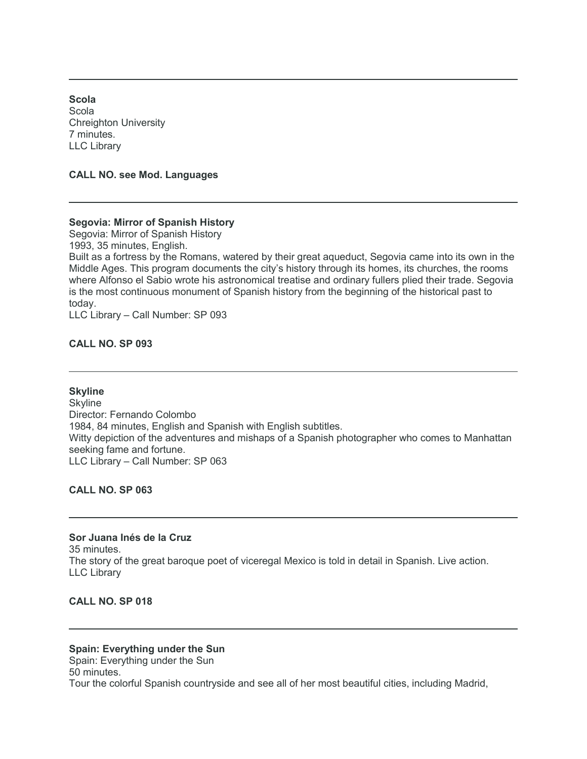**Scola** Scola Chreighton University 7 minutes. LLC Library

**CALL NO. see Mod. Languages**

# **Segovia: Mirror of Spanish History**

Segovia: Mirror of Spanish History

1993, 35 minutes, English.

Built as a fortress by the Romans, watered by their great aqueduct, Segovia came into its own in the Middle Ages. This program documents the city's history through its homes, its churches, the rooms where Alfonso el Sabio wrote his astronomical treatise and ordinary fullers plied their trade. Segovia is the most continuous monument of Spanish history from the beginning of the historical past to today.

LLC Library – Call Number: SP 093

## **CALL NO. SP 093**

### **Skyline**

**Skyline** Director: Fernando Colombo 1984, 84 minutes, English and Spanish with English subtitles. Witty depiction of the adventures and mishaps of a Spanish photographer who comes to Manhattan seeking fame and fortune. LLC Library – Call Number: SP 063

## **CALL NO. SP 063**

**Sor Juana Inés de la Cruz** 35 minutes. The story of the great baroque poet of viceregal Mexico is told in detail in Spanish. Live action. LLC Library

# **CALL NO. SP 018**

# **Spain: Everything under the Sun**

Spain: Everything under the Sun 50 minutes. Tour the colorful Spanish countryside and see all of her most beautiful cities, including Madrid,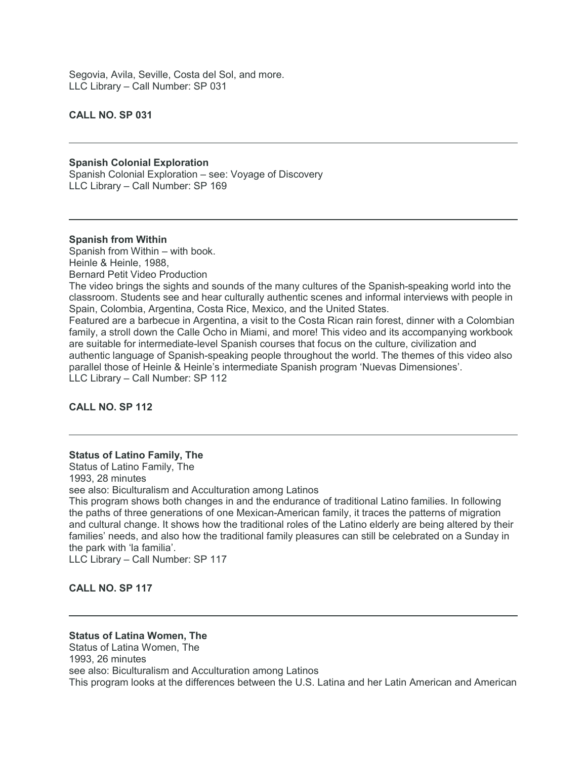Segovia, Avila, Seville, Costa del Sol, and more. LLC Library – Call Number: SP 031

## **CALL NO. SP 031**

# **Spanish Colonial Exploration**

Spanish Colonial Exploration – see: Voyage of Discovery LLC Library – Call Number: SP 169

#### **Spanish from Within**

Spanish from Within – with book. Heinle & Heinle, 1988, Bernard Petit Video Production The video brings the sights and sounds of the many cultures of the Spanish-speaking world into the classroom. Students see and hear culturally authentic scenes and informal interviews with people in

Spain, Colombia, Argentina, Costa Rice, Mexico, and the United States. Featured are a barbecue in Argentina, a visit to the Costa Rican rain forest, dinner with a Colombian family, a stroll down the Calle Ocho in Miami, and more! This video and its accompanying workbook are suitable for intermediate-level Spanish courses that focus on the culture, civilization and authentic language of Spanish-speaking people throughout the world. The themes of this video also parallel those of Heinle & Heinle's intermediate Spanish program 'Nuevas Dimensiones'. LLC Library – Call Number: SP 112

#### **CALL NO. SP 112**

#### **Status of Latino Family, The**

Status of Latino Family, The 1993, 28 minutes see also: Biculturalism and Acculturation among Latinos This program shows both changes in and the endurance of traditional Latino families. In following

the paths of three generations of one Mexican-American family, it traces the patterns of migration and cultural change. It shows how the traditional roles of the Latino elderly are being altered by their families' needs, and also how the traditional family pleasures can still be celebrated on a Sunday in the park with 'la familia'.

LLC Library – Call Number: SP 117

# **CALL NO. SP 117**

#### **Status of Latina Women, The**

Status of Latina Women, The 1993, 26 minutes see also: Biculturalism and Acculturation among Latinos This program looks at the differences between the U.S. Latina and her Latin American and American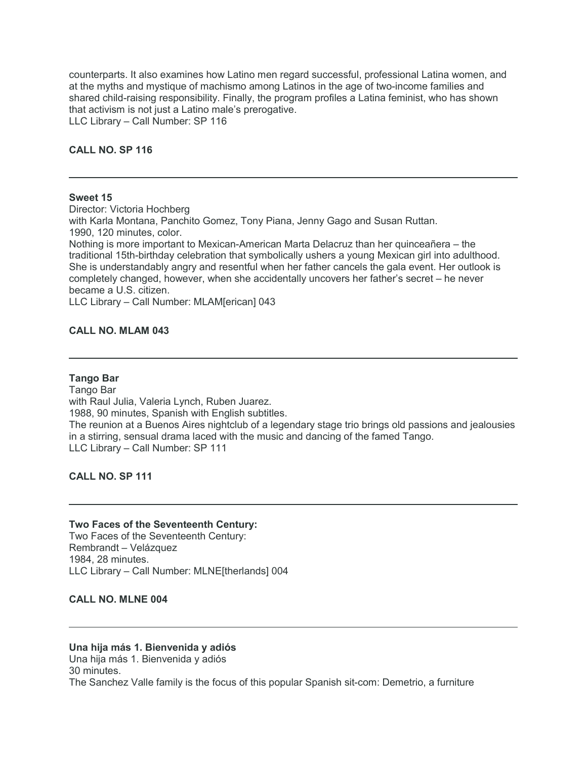counterparts. It also examines how Latino men regard successful, professional Latina women, and at the myths and mystique of machismo among Latinos in the age of two-income families and shared child-raising responsibility. Finally, the program profiles a Latina feminist, who has shown that activism is not just a Latino male's prerogative. LLC Library – Call Number: SP 116

# **CALL NO. SP 116**

#### **Sweet 15**

Director: Victoria Hochberg with Karla Montana, Panchito Gomez, Tony Piana, Jenny Gago and Susan Ruttan. 1990, 120 minutes, color. Nothing is more important to Mexican-American Marta Delacruz than her quinceañera – the traditional 15th-birthday celebration that symbolically ushers a young Mexican girl into adulthood. She is understandably angry and resentful when her father cancels the gala event. Her outlook is completely changed, however, when she accidentally uncovers her father's secret – he never became a U.S. citizen.

LLC Library – Call Number: MLAM[erican] 043

#### **CALL NO. MLAM 043**

#### **Tango Bar**

Tango Bar with Raul Julia, Valeria Lynch, Ruben Juarez. 1988, 90 minutes, Spanish with English subtitles. The reunion at a Buenos Aires nightclub of a legendary stage trio brings old passions and jealousies in a stirring, sensual drama laced with the music and dancing of the famed Tango. LLC Library – Call Number: SP 111

## **CALL NO. SP 111**

#### **Two Faces of the Seventeenth Century:**

Two Faces of the Seventeenth Century: Rembrandt – Velázquez 1984, 28 minutes. LLC Library – Call Number: MLNE[therlands] 004

**CALL NO. MLNE 004**

### **Una hija más 1. Bienvenida y adiós**

Una hija más 1. Bienvenida y adiós 30 minutes. The Sanchez Valle family is the focus of this popular Spanish sit-com: Demetrio, a furniture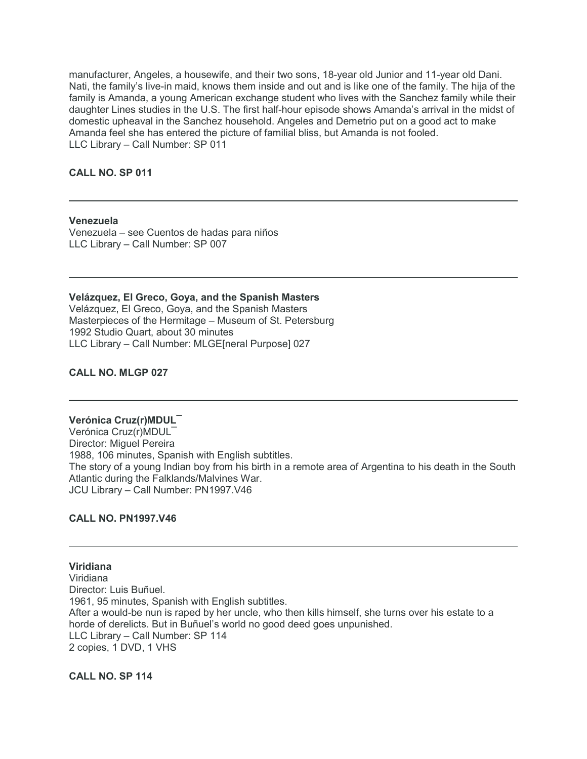manufacturer, Angeles, a housewife, and their two sons, 18-year old Junior and 11-year old Dani. Nati, the family's live-in maid, knows them inside and out and is like one of the family. The hija of the family is Amanda, a young American exchange student who lives with the Sanchez family while their daughter Lines studies in the U.S. The first half-hour episode shows Amanda's arrival in the midst of domestic upheaval in the Sanchez household. Angeles and Demetrio put on a good act to make Amanda feel she has entered the picture of familial bliss, but Amanda is not fooled. LLC Library – Call Number: SP 011

## **CALL NO. SP 011**

#### **Venezuela**

Venezuela – see Cuentos de hadas para niños LLC Library – Call Number: SP 007

**Velázquez, El Greco, Goya, and the Spanish Masters** Velázquez, El Greco, Goya, and the Spanish Masters Masterpieces of the Hermitage – Museum of St. Petersburg 1992 Studio Quart, about 30 minutes LLC Library – Call Number: MLGE[neral Purpose] 027

## **CALL NO. MLGP 027**

## **Verónica Cruz(r)MDUL¯**

Verónica Cruz(r)MDUL¯ Director: Miguel Pereira 1988, 106 minutes, Spanish with English subtitles. The story of a young Indian boy from his birth in a remote area of Argentina to his death in the South Atlantic during the Falklands/Malvines War. JCU Library – Call Number: PN1997.V46

### **CALL NO. PN1997.V46**

**Viridiana** Viridiana Director: Luis Buñuel. 1961, 95 minutes, Spanish with English subtitles. After a would-be nun is raped by her uncle, who then kills himself, she turns over his estate to a horde of derelicts. But in Buñuel's world no good deed goes unpunished. LLC Library – Call Number: SP 114 2 copies, 1 DVD, 1 VHS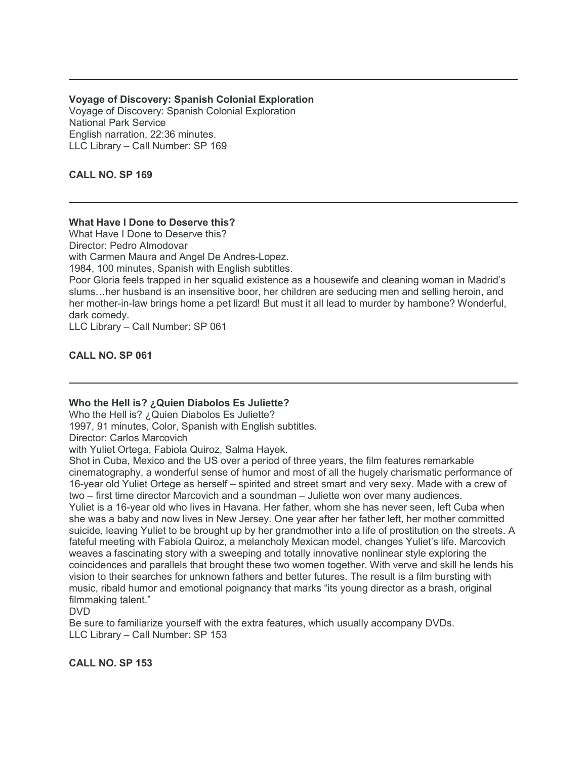# **Voyage of Discovery: Spanish Colonial Exploration**

Voyage of Discovery: Spanish Colonial Exploration National Park Service English narration, 22:36 minutes. LLC Library – Call Number: SP 169

# **CALL NO. SP 169**

# **What Have I Done to Deserve this?**

What Have I Done to Deserve this? Director: Pedro Almodovar with Carmen Maura and Angel De Andres-Lopez. 1984, 100 minutes, Spanish with English subtitles. Poor Gloria feels trapped in her squalid existence as a housewife and cleaning woman in Madrid's slums…her husband is an insensitive boor, her children are seducing men and selling heroin, and her mother-in-law brings home a pet lizard! But must it all lead to murder by hambone? Wonderful, dark comedy. LLC Library – Call Number: SP 061

# **CALL NO. SP 061**

# **Who the Hell is? ¿Quien Diabolos Es Juliette?**

Who the Hell is? ¿Quien Diabolos Es Juliette?

1997, 91 minutes, Color, Spanish with English subtitles.

Director: Carlos Marcovich

with Yuliet Ortega, Fabiola Quiroz, Salma Hayek.

Shot in Cuba, Mexico and the US over a period of three years, the film features remarkable cinematography, a wonderful sense of humor and most of all the hugely charismatic performance of 16-year old Yuliet Ortege as herself – spirited and street smart and very sexy. Made with a crew of two – first time director Marcovich and a soundman – Juliette won over many audiences. Yuliet is a 16-year old who lives in Havana. Her father, whom she has never seen, left Cuba when she was a baby and now lives in New Jersey. One year after her father left, her mother committed suicide, leaving Yuliet to be brought up by her grandmother into a life of prostitution on the streets. A fateful meeting with Fabiola Quiroz, a melancholy Mexican model, changes Yuliet's life. Marcovich weaves a fascinating story with a sweeping and totally innovative nonlinear style exploring the coincidences and parallels that brought these two women together. With verve and skill he lends his vision to their searches for unknown fathers and better futures. The result is a film bursting with music, ribald humor and emotional poignancy that marks "its young director as a brash, original filmmaking talent."

DVD

Be sure to familiarize yourself with the extra features, which usually accompany DVDs. LLC Library – Call Number: SP 153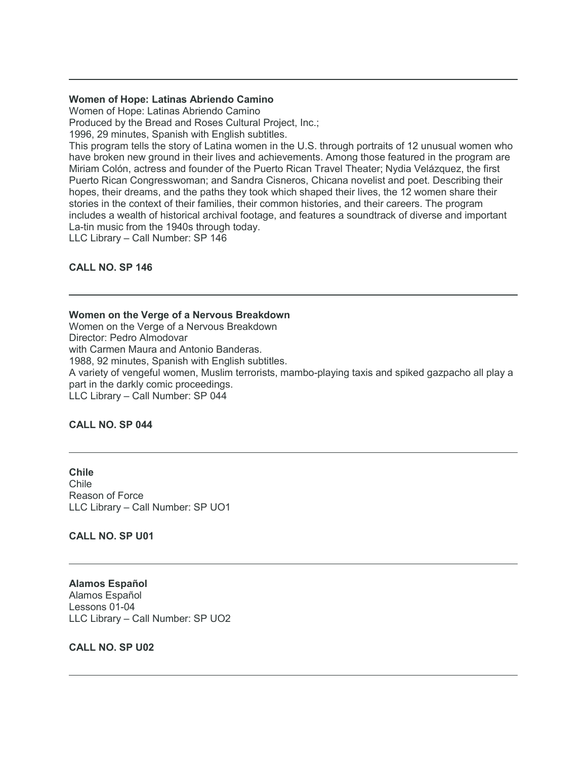## **Women of Hope: Latinas Abriendo Camino**

Women of Hope: Latinas Abriendo Camino

Produced by the Bread and Roses Cultural Project, Inc.;

1996, 29 minutes, Spanish with English subtitles.

This program tells the story of Latina women in the U.S. through portraits of 12 unusual women who have broken new ground in their lives and achievements. Among those featured in the program are Miriam Colón, actress and founder of the Puerto Rican Travel Theater; Nydia Velázquez, the first Puerto Rican Congresswoman; and Sandra Cisneros, Chicana novelist and poet. Describing their hopes, their dreams, and the paths they took which shaped their lives, the 12 women share their stories in the context of their families, their common histories, and their careers. The program includes a wealth of historical archival footage, and features a soundtrack of diverse and important La-tin music from the 1940s through today.

LLC Library – Call Number: SP 146

# **CALL NO. SP 146**

## **Women on the Verge of a Nervous Breakdown**

Women on the Verge of a Nervous Breakdown Director: Pedro Almodovar with Carmen Maura and Antonio Banderas. 1988, 92 minutes, Spanish with English subtitles. A variety of vengeful women, Muslim terrorists, mambo-playing taxis and spiked gazpacho all play a part in the darkly comic proceedings. LLC Library – Call Number: SP 044

# **CALL NO. SP 044**

**Chile** Chile Reason of Force LLC Library – Call Number: SP UO1

**CALL NO. SP U01**

**Alamos Español** Alamos Español Lessons 01-04 LLC Library – Call Number: SP UO2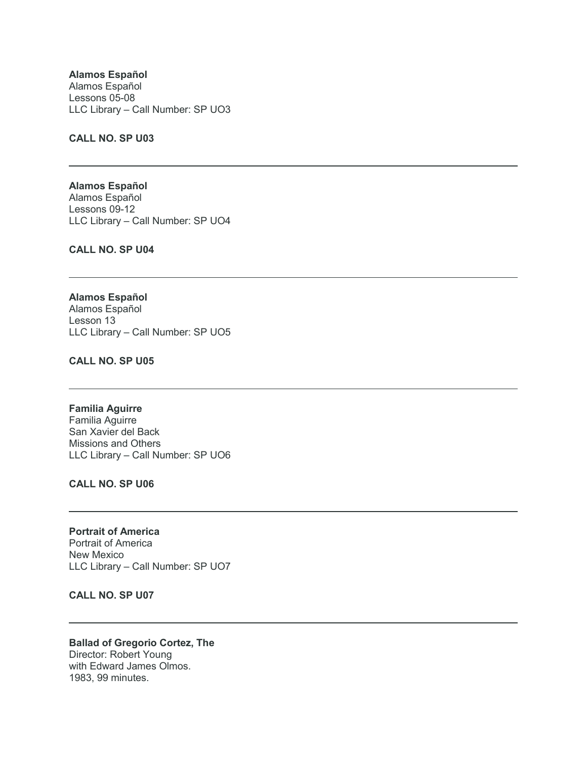**Alamos Español** Alamos Español Lessons 05-08 LLC Library – Call Number: SP UO3

## **CALL NO. SP U03**

**Alamos Español** Alamos Español Lessons 09-12 LLC Library – Call Number: SP UO4

**CALL NO. SP U04**

**Alamos Español** Alamos Español Lesson 13 LLC Library – Call Number: SP UO5

**CALL NO. SP U05**

**Familia Aguirre** Familia Aguirre San Xavier del Back Missions and Others LLC Library – Call Number: SP UO6

**CALL NO. SP U06**

**Portrait of America** Portrait of America New Mexico LLC Library – Call Number: SP UO7

**CALL NO. SP U07**

**Ballad of Gregorio Cortez, The** Director: Robert Young with Edward James Olmos. 1983, 99 minutes.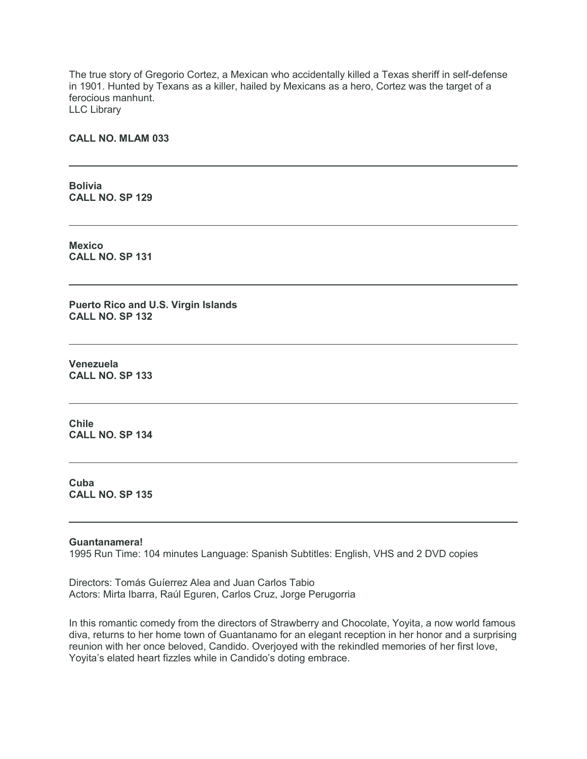The true story of Gregorio Cortez, a Mexican who accidentally killed a Texas sheriff in self-defense in 1901. Hunted by Texans as a killer, hailed by Mexicans as a hero, Cortez was the target of a ferocious manhunt. LLC Library

### **CALL NO. MLAM 033**

**Bolivia CALL NO. SP 129**

**Mexico CALL NO. SP 131**

**Puerto Rico and U.S. Virgin Islands CALL NO. SP 132**

**Venezuela CALL NO. SP 133**

**Chile CALL NO. SP 134**

**Cuba CALL NO. SP 135**

#### **Guantanamera!**

1995 Run Time: 104 minutes Language: Spanish Subtitles: English, VHS and 2 DVD copies

Directors: Tomás Guíerrez Alea and Juan Carlos Tabio Actors: Mirta Ibarra, Raúl Eguren, Carlos Cruz, Jorge Perugorria

In this romantic comedy from the directors of Strawberry and Chocolate, Yoyita, a now world famous diva, returns to her home town of Guantanamo for an elegant reception in her honor and a surprising reunion with her once beloved, Candido. Overjoyed with the rekindled memories of her first love, Yoyita's elated heart fizzles while in Candido's doting embrace.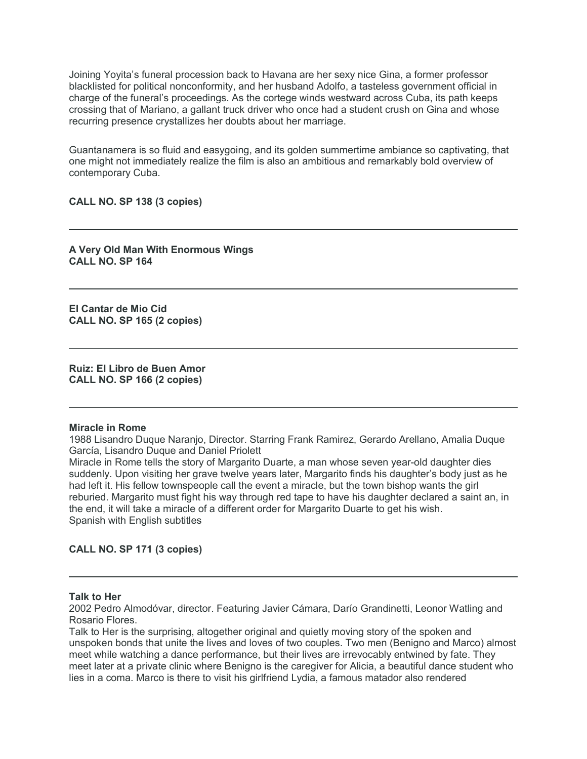Joining Yoyita's funeral procession back to Havana are her sexy nice Gina, a former professor blacklisted for political nonconformity, and her husband Adolfo, a tasteless government official in charge of the funeral's proceedings. As the cortege winds westward across Cuba, its path keeps crossing that of Mariano, a gallant truck driver who once had a student crush on Gina and whose recurring presence crystallizes her doubts about her marriage.

Guantanamera is so fluid and easygoing, and its golden summertime ambiance so captivating, that one might not immediately realize the film is also an ambitious and remarkably bold overview of contemporary Cuba.

## **CALL NO. SP 138 (3 copies)**

**A Very Old Man With Enormous Wings CALL NO. SP 164**

**El Cantar de Mio Cid CALL NO. SP 165 (2 copies)**

**Ruiz: El Libro de Buen Amor CALL NO. SP 166 (2 copies)**

#### **Miracle in Rome**

1988 Lisandro Duque Naranjo, Director. Starring Frank Ramirez, Gerardo Arellano, Amalia Duque García, Lisandro Duque and Daniel Priolett

Miracle in Rome tells the story of Margarito Duarte, a man whose seven year-old daughter dies suddenly. Upon visiting her grave twelve years later, Margarito finds his daughter's body just as he had left it. His fellow townspeople call the event a miracle, but the town bishop wants the girl reburied. Margarito must fight his way through red tape to have his daughter declared a saint an, in the end, it will take a miracle of a different order for Margarito Duarte to get his wish. Spanish with English subtitles

**CALL NO. SP 171 (3 copies)**

#### **Talk to Her**

2002 Pedro Almodóvar, director. Featuring Javier Cámara, Darío Grandinetti, Leonor Watling and Rosario Flores.

Talk to Her is the surprising, altogether original and quietly moving story of the spoken and unspoken bonds that unite the lives and loves of two couples. Two men (Benigno and Marco) almost meet while watching a dance performance, but their lives are irrevocably entwined by fate. They meet later at a private clinic where Benigno is the caregiver for Alicia, a beautiful dance student who lies in a coma. Marco is there to visit his girlfriend Lydia, a famous matador also rendered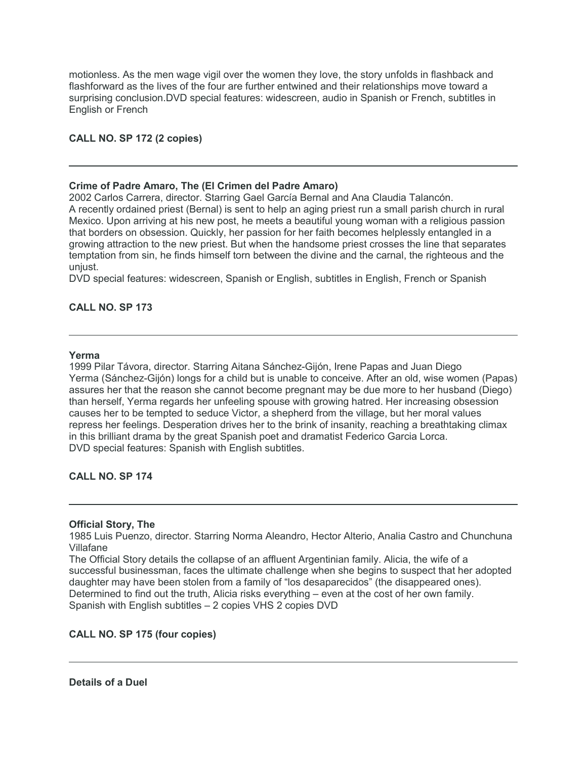motionless. As the men wage vigil over the women they love, the story unfolds in flashback and flashforward as the lives of the four are further entwined and their relationships move toward a surprising conclusion.DVD special features: widescreen, audio in Spanish or French, subtitles in English or French

# **CALL NO. SP 172 (2 copies)**

## **Crime of Padre Amaro, The (El Crimen del Padre Amaro)**

2002 Carlos Carrera, director. Starring Gael García Bernal and Ana Claudia Talancón. A recently ordained priest (Bernal) is sent to help an aging priest run a small parish church in rural Mexico. Upon arriving at his new post, he meets a beautiful young woman with a religious passion that borders on obsession. Quickly, her passion for her faith becomes helplessly entangled in a growing attraction to the new priest. But when the handsome priest crosses the line that separates temptation from sin, he finds himself torn between the divine and the carnal, the righteous and the unjust.

DVD special features: widescreen, Spanish or English, subtitles in English, French or Spanish

# **CALL NO. SP 173**

#### **Yerma**

1999 Pilar Távora, director. Starring Aitana Sánchez-Gijón, Irene Papas and Juan Diego Yerma (Sánchez-Gijón) longs for a child but is unable to conceive. After an old, wise women (Papas) assures her that the reason she cannot become pregnant may be due more to her husband (Diego) than herself, Yerma regards her unfeeling spouse with growing hatred. Her increasing obsession causes her to be tempted to seduce Victor, a shepherd from the village, but her moral values repress her feelings. Desperation drives her to the brink of insanity, reaching a breathtaking climax in this brilliant drama by the great Spanish poet and dramatist Federico Garcia Lorca. DVD special features: Spanish with English subtitles.

# **CALL NO. SP 174**

#### **Official Story, The**

1985 Luis Puenzo, director. Starring Norma Aleandro, Hector Alterio, Analia Castro and Chunchuna Villafane

The Official Story details the collapse of an affluent Argentinian family. Alicia, the wife of a successful businessman, faces the ultimate challenge when she begins to suspect that her adopted daughter may have been stolen from a family of "los desaparecidos" (the disappeared ones). Determined to find out the truth, Alicia risks everything – even at the cost of her own family. Spanish with English subtitles – 2 copies VHS 2 copies DVD

## **CALL NO. SP 175 (four copies)**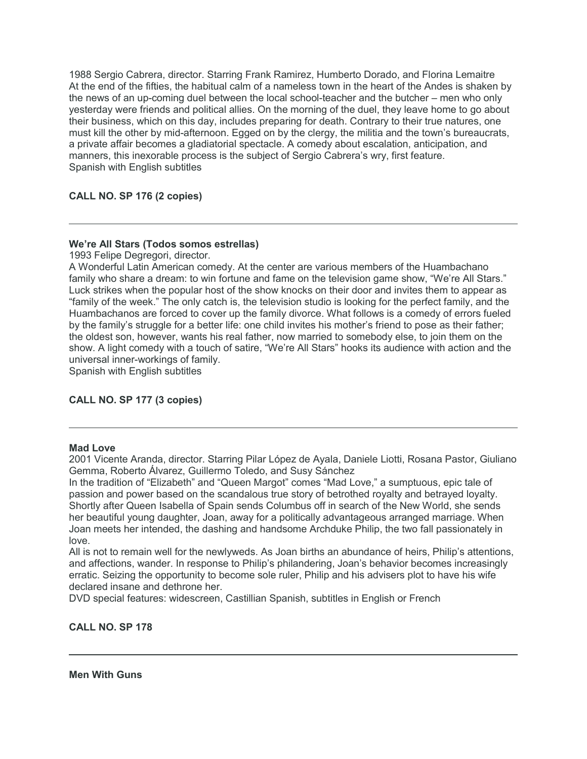1988 Sergio Cabrera, director. Starring Frank Ramirez, Humberto Dorado, and Florina Lemaitre At the end of the fifties, the habitual calm of a nameless town in the heart of the Andes is shaken by the news of an up-coming duel between the local school-teacher and the butcher – men who only yesterday were friends and political allies. On the morning of the duel, they leave home to go about their business, which on this day, includes preparing for death. Contrary to their true natures, one must kill the other by mid-afternoon. Egged on by the clergy, the militia and the town's bureaucrats, a private affair becomes a gladiatorial spectacle. A comedy about escalation, anticipation, and manners, this inexorable process is the subject of Sergio Cabrera's wry, first feature. Spanish with English subtitles

# **CALL NO. SP 176 (2 copies)**

# **We're All Stars (Todos somos estrellas)**

1993 Felipe Degregori, director.

A Wonderful Latin American comedy. At the center are various members of the Huambachano family who share a dream: to win fortune and fame on the television game show, "We're All Stars." Luck strikes when the popular host of the show knocks on their door and invites them to appear as "family of the week." The only catch is, the television studio is looking for the perfect family, and the Huambachanos are forced to cover up the family divorce. What follows is a comedy of errors fueled by the family's struggle for a better life: one child invites his mother's friend to pose as their father; the oldest son, however, wants his real father, now married to somebody else, to join them on the show. A light comedy with a touch of satire, "We're All Stars" hooks its audience with action and the universal inner-workings of family.

Spanish with English subtitles

# **CALL NO. SP 177 (3 copies)**

#### **Mad Love**

2001 Vicente Aranda, director. Starring Pilar López de Ayala, Daniele Liotti, Rosana Pastor, Giuliano Gemma, Roberto Álvarez, Guillermo Toledo, and Susy Sánchez

In the tradition of "Elizabeth" and "Queen Margot" comes "Mad Love," a sumptuous, epic tale of passion and power based on the scandalous true story of betrothed royalty and betrayed loyalty. Shortly after Queen Isabella of Spain sends Columbus off in search of the New World, she sends her beautiful young daughter, Joan, away for a politically advantageous arranged marriage. When Joan meets her intended, the dashing and handsome Archduke Philip, the two fall passionately in love.

All is not to remain well for the newlyweds. As Joan births an abundance of heirs, Philip's attentions, and affections, wander. In response to Philip's philandering, Joan's behavior becomes increasingly erratic. Seizing the opportunity to become sole ruler, Philip and his advisers plot to have his wife declared insane and dethrone her.

DVD special features: widescreen, Castillian Spanish, subtitles in English or French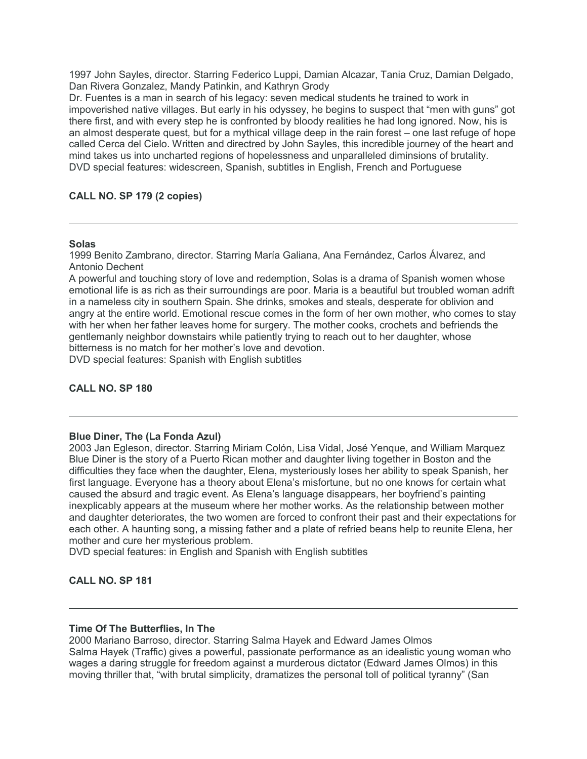1997 John Sayles, director. Starring Federico Luppi, Damian Alcazar, Tania Cruz, Damian Delgado, Dan Rivera Gonzalez, Mandy Patinkin, and Kathryn Grody

Dr. Fuentes is a man in search of his legacy: seven medical students he trained to work in impoverished native villages. But early in his odyssey, he begins to suspect that "men with guns" got there first, and with every step he is confronted by bloody realities he had long ignored. Now, his is an almost desperate quest, but for a mythical village deep in the rain forest – one last refuge of hope called Cerca del Cielo. Written and directred by John Sayles, this incredible journey of the heart and mind takes us into uncharted regions of hopelessness and unparalleled diminsions of brutality. DVD special features: widescreen, Spanish, subtitles in English, French and Portuguese

# **CALL NO. SP 179 (2 copies)**

## **Solas**

1999 Benito Zambrano, director. Starring María Galiana, Ana Fernández, Carlos Álvarez, and Antonio Dechent

A powerful and touching story of love and redemption, Solas is a drama of Spanish women whose emotional life is as rich as their surroundings are poor. Maria is a beautiful but troubled woman adrift in a nameless city in southern Spain. She drinks, smokes and steals, desperate for oblivion and angry at the entire world. Emotional rescue comes in the form of her own mother, who comes to stay with her when her father leaves home for surgery. The mother cooks, crochets and befriends the gentlemanly neighbor downstairs while patiently trying to reach out to her daughter, whose bitterness is no match for her mother's love and devotion. DVD special features: Spanish with English subtitles

# **CALL NO. SP 180**

#### **Blue Diner, The (La Fonda Azul)**

2003 Jan Egleson, director. Starring Miriam Colón, Lisa Vidal, José Yenque, and William Marquez Blue Diner is the story of a Puerto Rican mother and daughter living together in Boston and the difficulties they face when the daughter, Elena, mysteriously loses her ability to speak Spanish, her first language. Everyone has a theory about Elena's misfortune, but no one knows for certain what caused the absurd and tragic event. As Elena's language disappears, her boyfriend's painting inexplicably appears at the museum where her mother works. As the relationship between mother and daughter deteriorates, the two women are forced to confront their past and their expectations for each other. A haunting song, a missing father and a plate of refried beans help to reunite Elena, her mother and cure her mysterious problem.

DVD special features: in English and Spanish with English subtitles

# **CALL NO. SP 181**

#### **Time Of The Butterflies, In The**

2000 Mariano Barroso, director. Starring Salma Hayek and Edward James Olmos Salma Hayek (Traffic) gives a powerful, passionate performance as an idealistic young woman who wages a daring struggle for freedom against a murderous dictator (Edward James Olmos) in this moving thriller that, "with brutal simplicity, dramatizes the personal toll of political tyranny" (San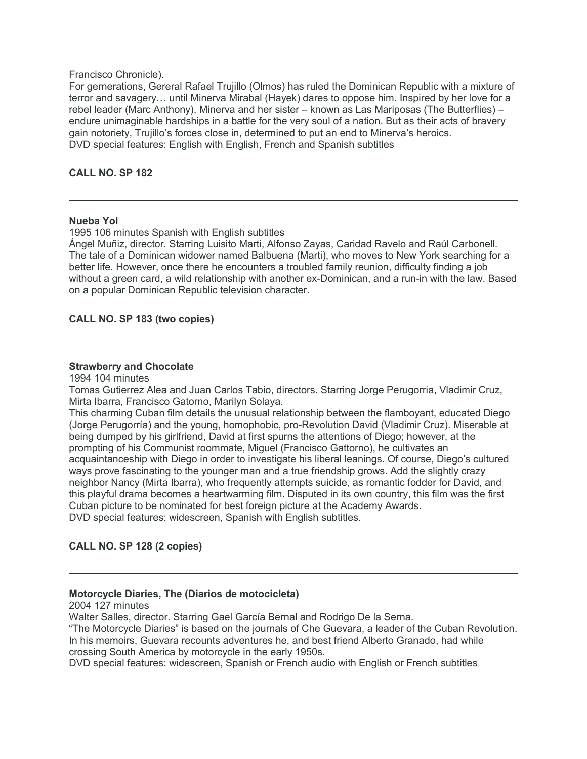## Francisco Chronicle).

For gernerations, Gereral Rafael Trujillo (Olmos) has ruled the Dominican Republic with a mixture of terror and savagery… until Minerva Mirabal (Hayek) dares to oppose him. Inspired by her love for a rebel leader (Marc Anthony), Minerva and her sister – known as Las Mariposas (The Butterflies) – endure unimaginable hardships in a battle for the very soul of a nation. But as their acts of bravery gain notoriety, Trujillo's forces close in, determined to put an end to Minerva's heroics. DVD special features: English with English, French and Spanish subtitles

# **CALL NO. SP 182**

# **Nueba Yol**

1995 106 minutes Spanish with English subtitles

Ángel Muñiz, director. Starring Luisito Marti, Alfonso Zayas, Caridad Ravelo and Raúl Carbonell. The tale of a Dominican widower named Balbuena (Marti), who moves to New York searching for a better life. However, once there he encounters a troubled family reunion, difficulty finding a job without a green card, a wild relationship with another ex-Dominican, and a run-in with the law. Based on a popular Dominican Republic television character.

# **CALL NO. SP 183 (two copies)**

## **Strawberry and Chocolate**

1994 104 minutes

Tomas Gutierrez Alea and Juan Carlos Tabio, directors. Starring Jorge Perugorria, Vladimir Cruz, Mirta Ibarra, Francisco Gatorno, Marilyn Solaya.

This charming Cuban film details the unusual relationship between the flamboyant, educated Diego (Jorge Perugorría) and the young, homophobic, pro-Revolution David (Vladimir Cruz). Miserable at being dumped by his girlfriend, David at first spurns the attentions of Diego; however, at the prompting of his Communist roommate, Miguel (Francisco Gattorno), he cultivates an acquaintanceship with Diego in order to investigate his liberal leanings. Of course, Diego's cultured ways prove fascinating to the younger man and a true friendship grows. Add the slightly crazy neighbor Nancy (Mirta Ibarra), who frequently attempts suicide, as romantic fodder for David, and this playful drama becomes a heartwarming film. Disputed in its own country, this film was the first Cuban picture to be nominated for best foreign picture at the Academy Awards. DVD special features: widescreen, Spanish with English subtitles.

# **CALL NO. SP 128 (2 copies)**

#### **Motorcycle Diaries, The (Diarios de motocicleta)**

2004 127 minutes

Walter Salles, director. Starring Gael García Bernal and Rodrigo De la Serna.

"The Motorcycle Diaries" is based on the journals of Che Guevara, a leader of the Cuban Revolution. In his memoirs, Guevara recounts adventures he, and best friend Alberto Granado, had while crossing South America by motorcycle in the early 1950s.

DVD special features: widescreen, Spanish or French audio with English or French subtitles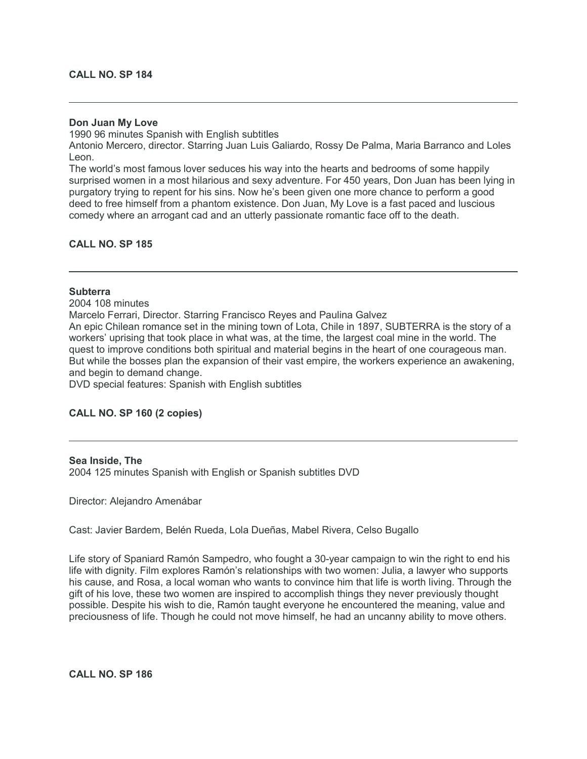#### **Don Juan My Love**

1990 96 minutes Spanish with English subtitles

Antonio Mercero, director. Starring Juan Luis Galiardo, Rossy De Palma, Maria Barranco and Loles Leon.

The world's most famous lover seduces his way into the hearts and bedrooms of some happily surprised women in a most hilarious and sexy adventure. For 450 years, Don Juan has been lying in purgatory trying to repent for his sins. Now he's been given one more chance to perform a good deed to free himself from a phantom existence. Don Juan, My Love is a fast paced and luscious comedy where an arrogant cad and an utterly passionate romantic face off to the death.

### **CALL NO. SP 185**

### **Subterra**

2004 108 minutes

Marcelo Ferrari, Director. Starring Francisco Reyes and Paulina Galvez

An epic Chilean romance set in the mining town of Lota, Chile in 1897, SUBTERRA is the story of a workers' uprising that took place in what was, at the time, the largest coal mine in the world. The quest to improve conditions both spiritual and material begins in the heart of one courageous man. But while the bosses plan the expansion of their vast empire, the workers experience an awakening, and begin to demand change.

DVD special features: Spanish with English subtitles

#### **CALL NO. SP 160 (2 copies)**

#### **Sea Inside, The**

2004 125 minutes Spanish with English or Spanish subtitles DVD

Director: Alejandro Amenábar

Cast: Javier Bardem, Belén Rueda, Lola Dueñas, Mabel Rivera, Celso Bugallo

Life story of Spaniard Ramón Sampedro, who fought a 30-year campaign to win the right to end his life with dignity. Film explores Ramón's relationships with two women: Julia, a lawyer who supports his cause, and Rosa, a local woman who wants to convince him that life is worth living. Through the gift of his love, these two women are inspired to accomplish things they never previously thought possible. Despite his wish to die, Ramón taught everyone he encountered the meaning, value and preciousness of life. Though he could not move himself, he had an uncanny ability to move others.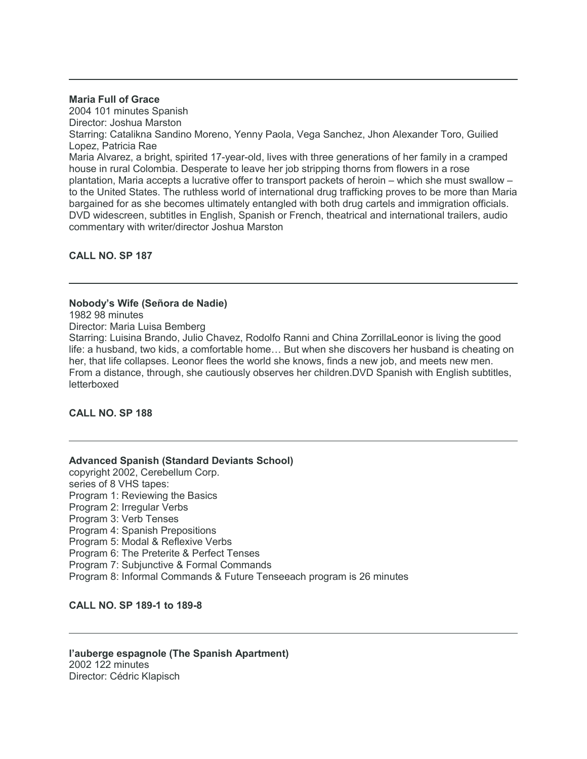#### **Maria Full of Grace**

2004 101 minutes Spanish Director: Joshua Marston Starring: Catalikna Sandino Moreno, Yenny Paola, Vega Sanchez, Jhon Alexander Toro, Guilied Lopez, Patricia Rae Maria Alvarez, a bright, spirited 17-year-old, lives with three generations of her family in a cramped house in rural Colombia. Desperate to leave her job stripping thorns from flowers in a rose plantation, Maria accepts a lucrative offer to transport packets of heroin – which she must swallow – to the United States. The ruthless world of international drug trafficking proves to be more than Maria bargained for as she becomes ultimately entangled with both drug cartels and immigration officials. DVD widescreen, subtitles in English, Spanish or French, theatrical and international trailers, audio commentary with writer/director Joshua Marston

# **CALL NO. SP 187**

## **Nobody's Wife (Señora de Nadie)**

1982 98 minutes

Director: Maria Luisa Bemberg

Starring: Luisina Brando, Julio Chavez, Rodolfo Ranni and China ZorrillaLeonor is living the good life: a husband, two kids, a comfortable home… But when she discovers her husband is cheating on her, that life collapses. Leonor flees the world she knows, finds a new job, and meets new men. From a distance, through, she cautiously observes her children.DVD Spanish with English subtitles, letterboxed

# **CALL NO. SP 188**

# **Advanced Spanish (Standard Deviants School)**

copyright 2002, Cerebellum Corp. series of 8 VHS tapes: Program 1: Reviewing the Basics Program 2: Irregular Verbs Program 3: Verb Tenses Program 4: Spanish Prepositions Program 5: Modal & Reflexive Verbs Program 6: The Preterite & Perfect Tenses Program 7: Subjunctive & Formal Commands Program 8: Informal Commands & Future Tenseeach program is 26 minutes

**CALL NO. SP 189-1 to 189-8**

### **l'auberge espagnole (The Spanish Apartment)** 2002 122 minutes Director: Cédric Klapisch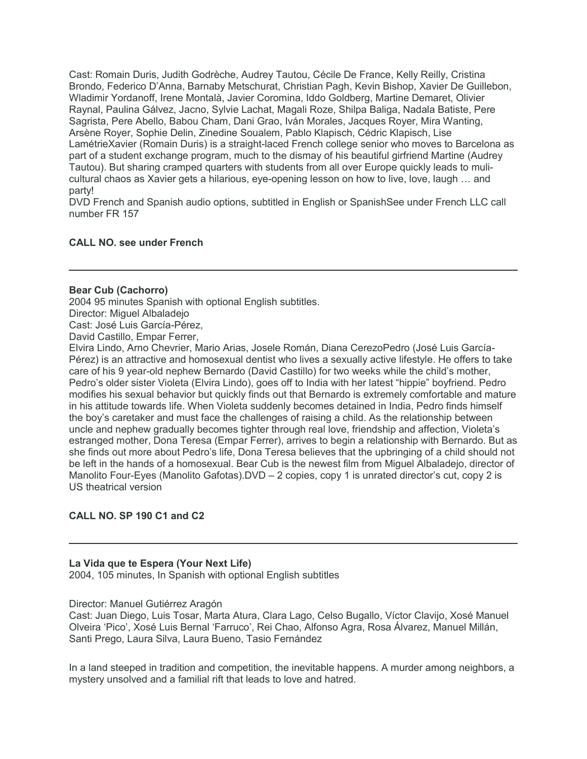Cast: Romain Duris, Judith Godrèche, Audrey Tautou, Cécile De France, Kelly Reilly, Cristina Brondo, Federico D'Anna, Barnaby Metschurat, Christian Pagh, Kevin Bishop, Xavier De Guillebon, Wladimir Yordanoff, Irene Montalà, Javier Coromina, Iddo Goldberg, Martine Demaret, Olivier Raynal, Paulina Gálvez, Jacno, Sylvie Lachat, Magali Roze, Shilpa Baliga, Nadala Batiste, Pere Sagrista, Pere Abello, Babou Cham, Dani Grao, Iván Morales, Jacques Royer, Mira Wanting, Arsène Royer, Sophie Delin, Zinedine Soualem, Pablo Klapisch, Cédric Klapisch, Lise LamétrieXavier (Romain Duris) is a straight-laced French college senior who moves to Barcelona as part of a student exchange program, much to the dismay of his beautiful girfriend Martine (Audrey Tautou). But sharing cramped quarters with students from all over Europe quickly leads to mulicultural chaos as Xavier gets a hilarious, eye-opening lesson on how to live, love, laugh … and party!

DVD French and Spanish audio options, subtitled in English or SpanishSee under French LLC call number FR 157

## **CALL NO. see under French**

#### **Bear Cub (Cachorro)**

2004 95 minutes Spanish with optional English subtitles. Director: Miguel Albaladejo

Cast: José Luis García-Pérez,

David Castillo, Empar Ferrer,

Elvira Lindo, Arno Chevrier, Mario Arias, Josele Román, Diana CerezoPedro (José Luis García-Pérez) is an attractive and homosexual dentist who lives a sexually active lifestyle. He offers to take care of his 9 year-old nephew Bernardo (David Castillo) for two weeks while the child's mother, Pedro's older sister Violeta (Elvira Lindo), goes off to India with her latest "hippie" boyfriend. Pedro modifies his sexual behavior but quickly finds out that Bernardo is extremely comfortable and mature in his attitude towards life. When Violeta suddenly becomes detained in India, Pedro finds himself the boy's caretaker and must face the challenges of raising a child. As the relationship between uncle and nephew gradually becomes tighter through real love, friendship and affection, Violeta's estranged mother, Dona Teresa (Empar Ferrer), arrives to begin a relationship with Bernardo. But as she finds out more about Pedro's life, Dona Teresa believes that the upbringing of a child should not be left in the hands of a homosexual. Bear Cub is the newest film from Miguel Albaladejo, director of Manolito Four-Eyes (Manolito Gafotas).DVD – 2 copies, copy 1 is unrated director's cut, copy 2 is US theatrical version

#### **CALL NO. SP 190 C1 and C2**

#### **La Vida que te Espera (Your Next Life)**

2004, 105 minutes, In Spanish with optional English subtitles

#### Director: Manuel Gutiérrez Aragón

Cast: Juan Diego, Luis Tosar, Marta Atura, Clara Lago, Celso Bugallo, Víctor Clavijo, Xosé Manuel Olveira 'Pico', Xosé Luis Bernal 'Farruco', Rei Chao, Alfonso Agra, Rosa Álvarez, Manuel Millán, Santi Prego, Laura Silva, Laura Bueno, Tasio Fernández

In a land steeped in tradition and competition, the inevitable happens. A murder among neighbors, a mystery unsolved and a familial rift that leads to love and hatred.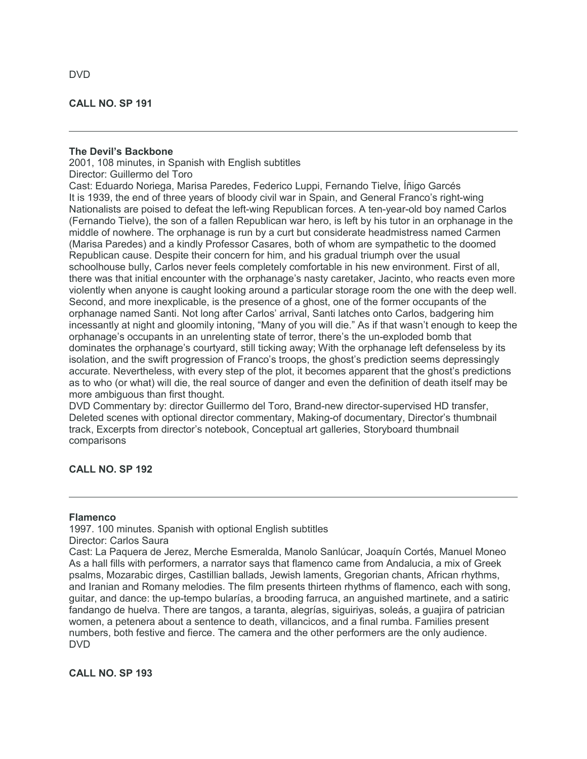## **CALL NO. SP 191**

#### **The Devil's Backbone**

2001, 108 minutes, in Spanish with English subtitles Director: Guillermo del Toro

Cast: Eduardo Noriega, Marisa Paredes, Federico Luppi, Fernando Tielve, Íñigo Garcés It is 1939, the end of three years of bloody civil war in Spain, and General Franco's right-wing Nationalists are poised to defeat the left-wing Republican forces. A ten-year-old boy named Carlos (Fernando Tielve), the son of a fallen Republican war hero, is left by his tutor in an orphanage in the middle of nowhere. The orphanage is run by a curt but considerate headmistress named Carmen (Marisa Paredes) and a kindly Professor Casares, both of whom are sympathetic to the doomed Republican cause. Despite their concern for him, and his gradual triumph over the usual schoolhouse bully, Carlos never feels completely comfortable in his new environment. First of all, there was that initial encounter with the orphanage's nasty caretaker, Jacinto, who reacts even more violently when anyone is caught looking around a particular storage room the one with the deep well. Second, and more inexplicable, is the presence of a ghost, one of the former occupants of the orphanage named Santi. Not long after Carlos' arrival, Santi latches onto Carlos, badgering him incessantly at night and gloomily intoning, "Many of you will die." As if that wasn't enough to keep the orphanage's occupants in an unrelenting state of terror, there's the un-exploded bomb that dominates the orphanage's courtyard, still ticking away; With the orphanage left defenseless by its isolation, and the swift progression of Franco's troops, the ghost's prediction seems depressingly accurate. Nevertheless, with every step of the plot, it becomes apparent that the ghost's predictions as to who (or what) will die, the real source of danger and even the definition of death itself may be more ambiguous than first thought.

DVD Commentary by: director Guillermo del Toro, Brand-new director-supervised HD transfer, Deleted scenes with optional director commentary, Making-of documentary, Director's thumbnail track, Excerpts from director's notebook, Conceptual art galleries, Storyboard thumbnail comparisons

# **CALL NO. SP 192**

### **Flamenco**

1997. 100 minutes. Spanish with optional English subtitles Director: Carlos Saura Cast: La Paquera de Jerez, Merche Esmeralda, Manolo Sanlúcar, Joaquín Cortés, Manuel Moneo As a hall fills with performers, a narrator says that flamenco came from Andalucia, a mix of Greek psalms, Mozarabic dirges, Castillian ballads, Jewish laments, Gregorian chants, African rhythms, and Iranian and Romany melodies. The film presents thirteen rhythms of flamenco, each with song, guitar, and dance: the up-tempo bularías, a brooding farruca, an anguished martinete, and a satiric

fandango de huelva. There are tangos, a taranta, alegrías, siguiriyas, soleás, a guajira of patrician women, a petenera about a sentence to death, villancicos, and a final rumba. Families present numbers, both festive and fierce. The camera and the other performers are the only audience. DVD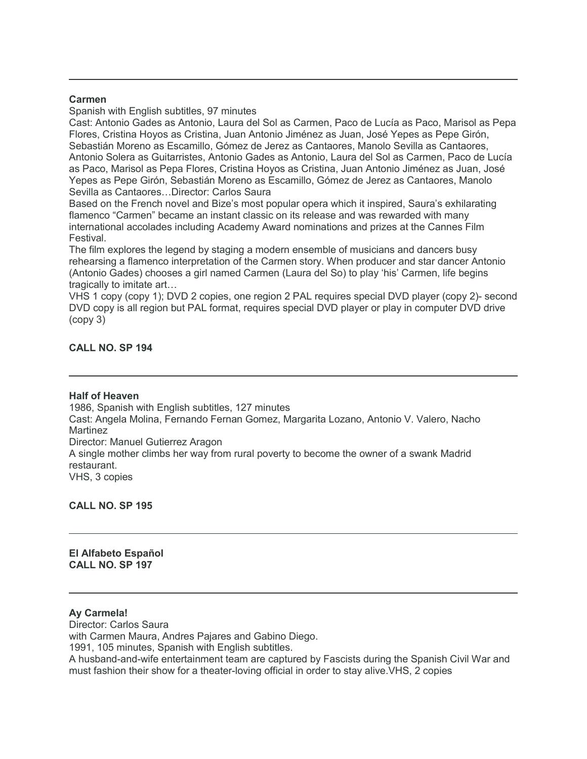### **Carmen**

Spanish with English subtitles, 97 minutes

Cast: Antonio Gades as Antonio, Laura del Sol as Carmen, Paco de Lucía as Paco, Marisol as Pepa Flores, Cristina Hoyos as Cristina, Juan Antonio Jiménez as Juan, José Yepes as Pepe Girón, Sebastián Moreno as Escamillo, Gómez de Jerez as Cantaores, Manolo Sevilla as Cantaores, Antonio Solera as Guitarristes, Antonio Gades as Antonio, Laura del Sol as Carmen, Paco de Lucía as Paco, Marisol as Pepa Flores, Cristina Hoyos as Cristina, Juan Antonio Jiménez as Juan, José Yepes as Pepe Girón, Sebastián Moreno as Escamillo, Gómez de Jerez as Cantaores, Manolo Sevilla as Cantaores…Director: Carlos Saura

Based on the French novel and Bize's most popular opera which it inspired, Saura's exhilarating flamenco "Carmen" became an instant classic on its release and was rewarded with many international accolades including Academy Award nominations and prizes at the Cannes Film Festival.

The film explores the legend by staging a modern ensemble of musicians and dancers busy rehearsing a flamenco interpretation of the Carmen story. When producer and star dancer Antonio (Antonio Gades) chooses a girl named Carmen (Laura del So) to play 'his' Carmen, life begins tragically to imitate art…

VHS 1 copy (copy 1); DVD 2 copies, one region 2 PAL requires special DVD player (copy 2)- second DVD copy is all region but PAL format, requires special DVD player or play in computer DVD drive (copy 3)

# **CALL NO. SP 194**

#### **Half of Heaven**

1986, Spanish with English subtitles, 127 minutes Cast: Angela Molina, Fernando Fernan Gomez, Margarita Lozano, Antonio V. Valero, Nacho Martinez Director: Manuel Gutierrez Aragon A single mother climbs her way from rural poverty to become the owner of a swank Madrid restaurant. VHS, 3 copies

**CALL NO. SP 195**

**El Alfabeto Español CALL NO. SP 197**

### **Ay Carmela!**

Director: Carlos Saura

with Carmen Maura, Andres Pajares and Gabino Diego.

1991, 105 minutes, Spanish with English subtitles.

A husband-and-wife entertainment team are captured by Fascists during the Spanish Civil War and must fashion their show for a theater-loving official in order to stay alive.VHS, 2 copies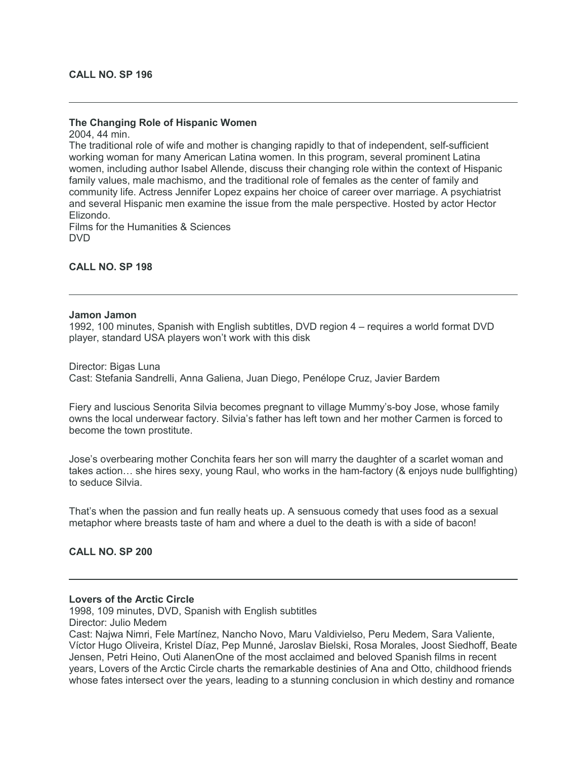# **The Changing Role of Hispanic Women**

2004, 44 min. The traditional role of wife and mother is changing rapidly to that of independent, self-sufficient working woman for many American Latina women. In this program, several prominent Latina women, including author Isabel Allende, discuss their changing role within the context of Hispanic family values, male machismo, and the traditional role of females as the center of family and community life. Actress Jennifer Lopez expains her choice of career over marriage. A psychiatrist and several Hispanic men examine the issue from the male perspective. Hosted by actor Hector Elizondo.

Films for the Humanities & Sciences DVD

## **CALL NO. SP 198**

#### **Jamon Jamon**

1992, 100 minutes, Spanish with English subtitles, DVD region 4 – requires a world format DVD player, standard USA players won't work with this disk

Director: Bigas Luna Cast: Stefania Sandrelli, Anna Galiena, Juan Diego, Penélope Cruz, Javier Bardem

Fiery and luscious Senorita Silvia becomes pregnant to village Mummy's-boy Jose, whose family owns the local underwear factory. Silvia's father has left town and her mother Carmen is forced to become the town prostitute.

Jose's overbearing mother Conchita fears her son will marry the daughter of a scarlet woman and takes action… she hires sexy, young Raul, who works in the ham-factory (& enjoys nude bullfighting) to seduce Silvia.

That's when the passion and fun really heats up. A sensuous comedy that uses food as a sexual metaphor where breasts taste of ham and where a duel to the death is with a side of bacon!

#### **CALL NO. SP 200**

#### **Lovers of the Arctic Circle**

1998, 109 minutes, DVD, Spanish with English subtitles Director: Julio Medem

Cast: Najwa Nimri, Fele Martínez, Nancho Novo, Maru Valdivielso, Peru Medem, Sara Valiente, Víctor Hugo Oliveira, Kristel Díaz, Pep Munné, Jaroslav Bielski, Rosa Morales, Joost Siedhoff, Beate Jensen, Petri Heino, Outi AlanenOne of the most acclaimed and beloved Spanish films in recent years, Lovers of the Arctic Circle charts the remarkable destinies of Ana and Otto, childhood friends whose fates intersect over the years, leading to a stunning conclusion in which destiny and romance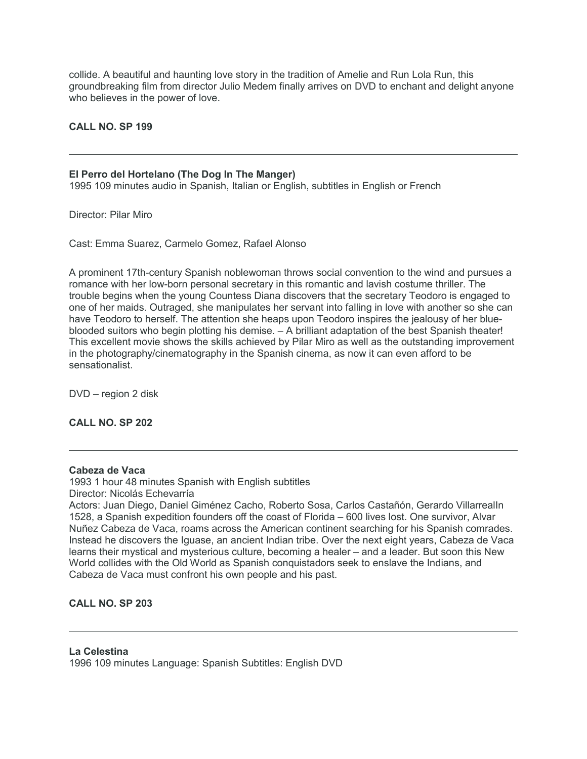collide. A beautiful and haunting love story in the tradition of Amelie and Run Lola Run, this groundbreaking film from director Julio Medem finally arrives on DVD to enchant and delight anyone who believes in the power of love.

## **CALL NO. SP 199**

#### **El Perro del Hortelano (The Dog In The Manger)**

1995 109 minutes audio in Spanish, Italian or English, subtitles in English or French

Director: Pilar Miro

Cast: Emma Suarez, Carmelo Gomez, Rafael Alonso

A prominent 17th-century Spanish noblewoman throws social convention to the wind and pursues a romance with her low-born personal secretary in this romantic and lavish costume thriller. The trouble begins when the young Countess Diana discovers that the secretary Teodoro is engaged to one of her maids. Outraged, she manipulates her servant into falling in love with another so she can have Teodoro to herself. The attention she heaps upon Teodoro inspires the jealousy of her blueblooded suitors who begin plotting his demise. – A brilliant adaptation of the best Spanish theater! This excellent movie shows the skills achieved by Pilar Miro as well as the outstanding improvement in the photography/cinematography in the Spanish cinema, as now it can even afford to be sensationalist.

DVD – region 2 disk

**CALL NO. SP 202**

#### **Cabeza de Vaca**

1993 1 hour 48 minutes Spanish with English subtitles Director: Nicolás Echevarría

Actors: Juan Diego, Daniel Giménez Cacho, Roberto Sosa, Carlos Castañón, Gerardo VillarrealIn 1528, a Spanish expedition founders off the coast of Florida – 600 lives lost. One survivor, Alvar Nuñez Cabeza de Vaca, roams across the American continent searching for his Spanish comrades. Instead he discovers the Iguase, an ancient Indian tribe. Over the next eight years, Cabeza de Vaca learns their mystical and mysterious culture, becoming a healer – and a leader. But soon this New World collides with the Old World as Spanish conquistadors seek to enslave the Indians, and Cabeza de Vaca must confront his own people and his past.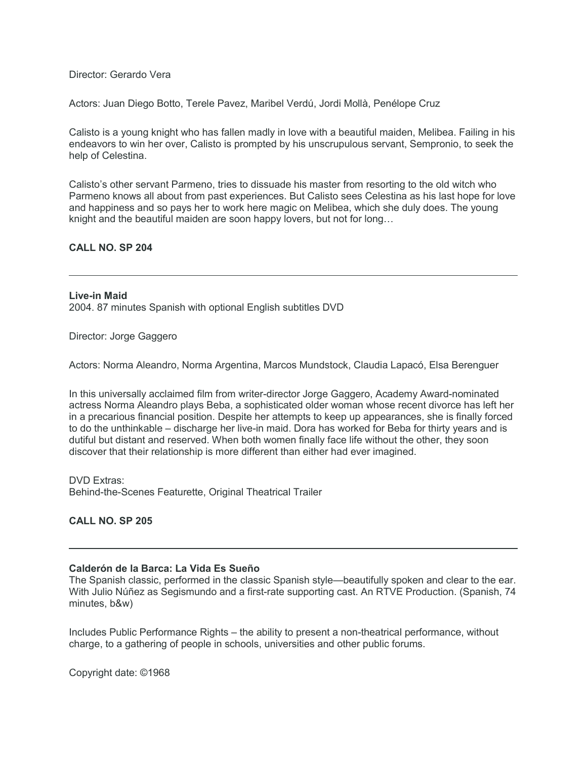Director: Gerardo Vera

Actors: Juan Diego Botto, Terele Pavez, Maribel Verdú, Jordi Mollà, Penélope Cruz

Calisto is a young knight who has fallen madly in love with a beautiful maiden, Melibea. Failing in his endeavors to win her over, Calisto is prompted by his unscrupulous servant, Sempronio, to seek the help of Celestina.

Calisto's other servant Parmeno, tries to dissuade his master from resorting to the old witch who Parmeno knows all about from past experiences. But Calisto sees Celestina as his last hope for love and happiness and so pays her to work here magic on Melibea, which she duly does. The young knight and the beautiful maiden are soon happy lovers, but not for long…

### **CALL NO. SP 204**

**Live-in Maid** 2004. 87 minutes Spanish with optional English subtitles DVD

Director: Jorge Gaggero

Actors: Norma Aleandro, Norma Argentina, Marcos Mundstock, Claudia Lapacó, Elsa Berenguer

In this universally acclaimed film from writer-director Jorge Gaggero, Academy Award-nominated actress Norma Aleandro plays Beba, a sophisticated older woman whose recent divorce has left her in a precarious financial position. Despite her attempts to keep up appearances, she is finally forced to do the unthinkable – discharge her live-in maid. Dora has worked for Beba for thirty years and is dutiful but distant and reserved. When both women finally face life without the other, they soon discover that their relationship is more different than either had ever imagined.

DVD Extras: Behind-the-Scenes Featurette, Original Theatrical Trailer

**CALL NO. SP 205**

#### **Calderón de la Barca: La Vida Es Sueño**

The Spanish classic, performed in the classic Spanish style—beautifully spoken and clear to the ear. With Julio Núñez as Segismundo and a first-rate supporting cast. An RTVE Production. (Spanish, 74 minutes, b&w)

Includes Public Performance Rights – the ability to present a non-theatrical performance, without charge, to a gathering of people in schools, universities and other public forums.

Copyright date: ©1968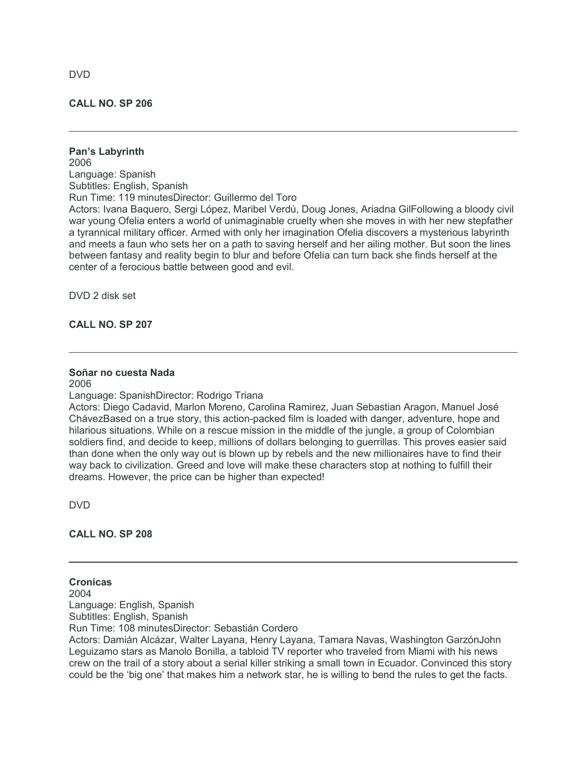## **CALL NO. SP 206**

**Pan's Labyrinth** 2006 Language: Spanish Subtitles: English, Spanish Run Time: 119 minutesDirector: Guillermo del Toro Actors: Ivana Baquero, Sergi López, Maribel Verdú, Doug Jones, Ariadna GilFollowing a bloody civil war young Ofelia enters a world of unimaginable cruelty when she moves in with her new stepfather a tyrannical military officer. Armed with only her imagination Ofelia discovers a mysterious labyrinth and meets a faun who sets her on a path to saving herself and her ailing mother. But soon the lines between fantasy and reality begin to blur and before Ofelia can turn back she finds herself at the center of a ferocious battle between good and evil.

DVD 2 disk set

## **CALL NO. SP 207**

## **Soñar no cuesta Nada**

2006

Language: SpanishDirector: Rodrigo Triana

Actors: Diego Cadavid, Marlon Moreno, Carolina Ramirez, Juan Sebastian Aragon, Manuel José ChávezBased on a true story, this action-packed film is loaded with danger, adventure, hope and hilarious situations. While on a rescue mission in the middle of the jungle, a group of Colombian soldiers find, and decide to keep, millions of dollars belonging to guerrillas. This proves easier said than done when the only way out is blown up by rebels and the new millionaires have to find their way back to civilization. Greed and love will make these characters stop at nothing to fulfill their dreams. However, the price can be higher than expected!

DVD

**CALL NO. SP 208**

**Cronicas** 2004

Language: English, Spanish

Subtitles: English, Spanish

Run Time: 108 minutesDirector: Sebastián Cordero

Actors: Damián Alcázar, Walter Layana, Henry Layana, Tamara Navas, Washington GarzónJohn Leguizamo stars as Manolo Bonilla, a tabloid TV reporter who traveled from Miami with his news crew on the trail of a story about a serial killer striking a small town in Ecuador. Convinced this story could be the 'big one' that makes him a network star, he is willing to bend the rules to get the facts.

DVD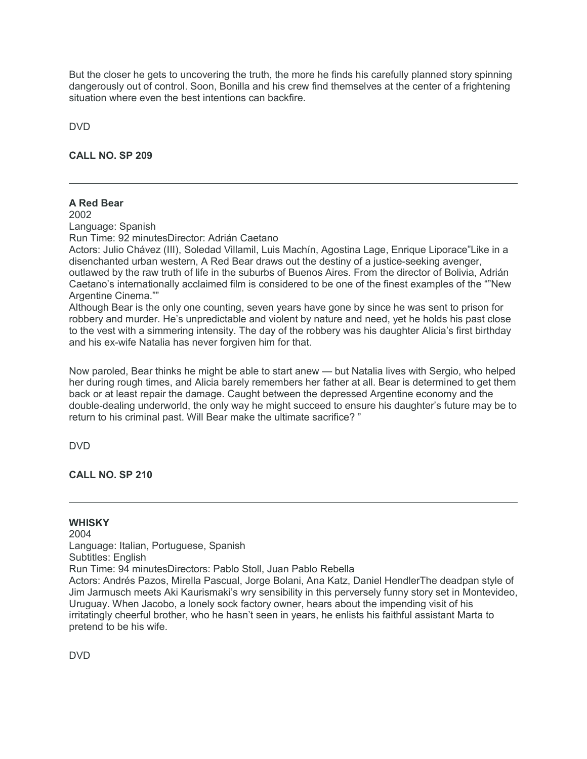But the closer he gets to uncovering the truth, the more he finds his carefully planned story spinning dangerously out of control. Soon, Bonilla and his crew find themselves at the center of a frightening situation where even the best intentions can backfire.

DVD

**CALL NO. SP 209**

# **A Red Bear**

2002

Language: Spanish

Run Time: 92 minutesDirector: Adrián Caetano

Actors: Julio Chávez (III), Soledad Villamil, Luis Machín, Agostina Lage, Enrique Liporace"Like in a disenchanted urban western, A Red Bear draws out the destiny of a justice-seeking avenger, outlawed by the raw truth of life in the suburbs of Buenos Aires. From the director of Bolivia, Adrián Caetano's internationally acclaimed film is considered to be one of the finest examples of the ""New Argentine Cinema.""

Although Bear is the only one counting, seven years have gone by since he was sent to prison for robbery and murder. He's unpredictable and violent by nature and need, yet he holds his past close to the vest with a simmering intensity. The day of the robbery was his daughter Alicia's first birthday and his ex-wife Natalia has never forgiven him for that.

Now paroled, Bear thinks he might be able to start anew — but Natalia lives with Sergio, who helped her during rough times, and Alicia barely remembers her father at all. Bear is determined to get them back or at least repair the damage. Caught between the depressed Argentine economy and the double-dealing underworld, the only way he might succeed to ensure his daughter's future may be to return to his criminal past. Will Bear make the ultimate sacrifice? "

DVD

**CALL NO. SP 210**

# **WHISKY**

2004 Language: Italian, Portuguese, Spanish Subtitles: English Run Time: 94 minutesDirectors: Pablo Stoll, Juan Pablo Rebella Actors: Andrés Pazos, Mirella Pascual, Jorge Bolani, Ana Katz, Daniel HendlerThe deadpan style of Jim Jarmusch meets Aki Kaurismaki's wry sensibility in this perversely funny story set in Montevideo, Uruguay. When Jacobo, a lonely sock factory owner, hears about the impending visit of his irritatingly cheerful brother, who he hasn't seen in years, he enlists his faithful assistant Marta to pretend to be his wife.

DVD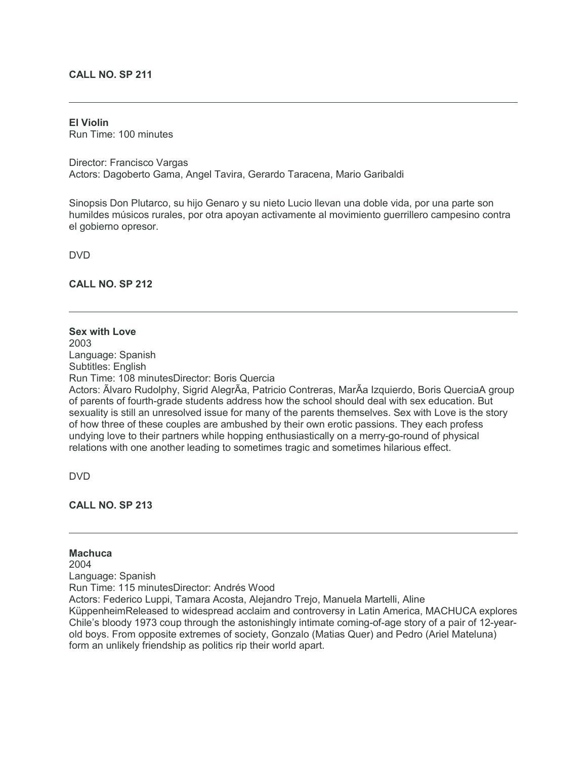## **CALL NO. SP 211**

#### **El Violin**

Run Time: 100 minutes

Director: Francisco Vargas Actors: Dagoberto Gama, Angel Tavira, Gerardo Taracena, Mario Garibaldi

Sinopsis Don Plutarco, su hijo Genaro y su nieto Lucio llevan una doble vida, por una parte son humildes músicos rurales, por otra apoyan activamente al movimiento guerrillero campesino contra el gobierno opresor.

DVD

**CALL NO. SP 212**

# **Sex with Love**

2003 Language: Spanish Subtitles: English Run Time: 108 minutesDirector: Boris Quercia

Actors: Ãlvaro Rudolphy, Sigrid AlegrÃa, Patricio Contreras, MarÃa Izquierdo, Boris QuerciaA group of parents of fourth-grade students address how the school should deal with sex education. But sexuality is still an unresolved issue for many of the parents themselves. Sex with Love is the story of how three of these couples are ambushed by their own erotic passions. They each profess undying love to their partners while hopping enthusiastically on a merry-go-round of physical relations with one another leading to sometimes tragic and sometimes hilarious effect.

DVD

### **CALL NO. SP 213**

**Machuca** 2004 Language: Spanish Run Time: 115 minutesDirector: Andrés Wood Actors: Federico Luppi, Tamara Acosta, Alejandro Trejo, Manuela Martelli, Aline KüppenheimReleased to widespread acclaim and controversy in Latin America, MACHUCA explores

Chile's bloody 1973 coup through the astonishingly intimate coming-of-age story of a pair of 12-yearold boys. From opposite extremes of society, Gonzalo (Matias Quer) and Pedro (Ariel Mateluna) form an unlikely friendship as politics rip their world apart.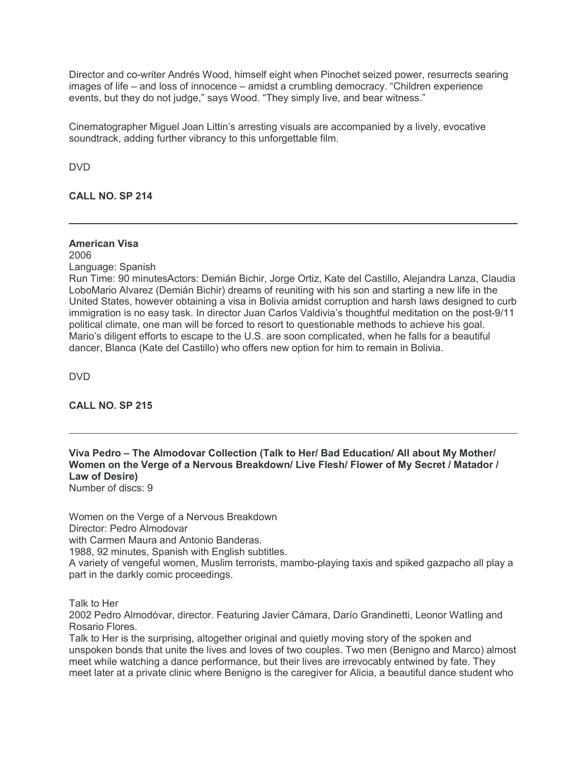Director and co-writer Andrés Wood, himself eight when Pinochet seized power, resurrects searing images of life – and loss of innocence – amidst a crumbling democracy. "Children experience events, but they do not judge," says Wood. "They simply live, and bear witness."

Cinematographer Miguel Joan Littin's arresting visuals are accompanied by a lively, evocative soundtrack, adding further vibrancy to this unforgettable film.

DVD

**CALL NO. SP 214**

# **American Visa**

2006 Language: Spanish

Run Time: 90 minutesActors: Demián Bichir, Jorge Ortiz, Kate del Castillo, Alejandra Lanza, Claudia LoboMario Alvarez (Demián Bichir) dreams of reuniting with his son and starting a new life in the United States, however obtaining a visa in Bolivia amidst corruption and harsh laws designed to curb immigration is no easy task. In director Juan Carlos Valdivia's thoughtful meditation on the post-9/11 political climate, one man will be forced to resort to questionable methods to achieve his goal. Mario's diligent efforts to escape to the U.S. are soon complicated, when he falls for a beautiful dancer, Blanca (Kate del Castillo) who offers new option for him to remain in Bolivia.

DVD

# **CALL NO. SP 215**

**Viva Pedro – The Almodovar Collection (Talk to Her/ Bad Education/ All about My Mother/ Women on the Verge of a Nervous Breakdown/ Live Flesh/ Flower of My Secret / Matador / Law of Desire)**

Number of discs: 9

Women on the Verge of a Nervous Breakdown Director: Pedro Almodovar with Carmen Maura and Antonio Banderas. 1988, 92 minutes, Spanish with English subtitles. A variety of vengeful women, Muslim terrorists, mambo-playing taxis and spiked gazpacho all play a part in the darkly comic proceedings.

Talk to Her

2002 Pedro Almodóvar, director. Featuring Javier Cámara, Darío Grandinetti, Leonor Watling and Rosario Flores.

Talk to Her is the surprising, altogether original and quietly moving story of the spoken and unspoken bonds that unite the lives and loves of two couples. Two men (Benigno and Marco) almost meet while watching a dance performance, but their lives are irrevocably entwined by fate. They meet later at a private clinic where Benigno is the caregiver for Alicia, a beautiful dance student who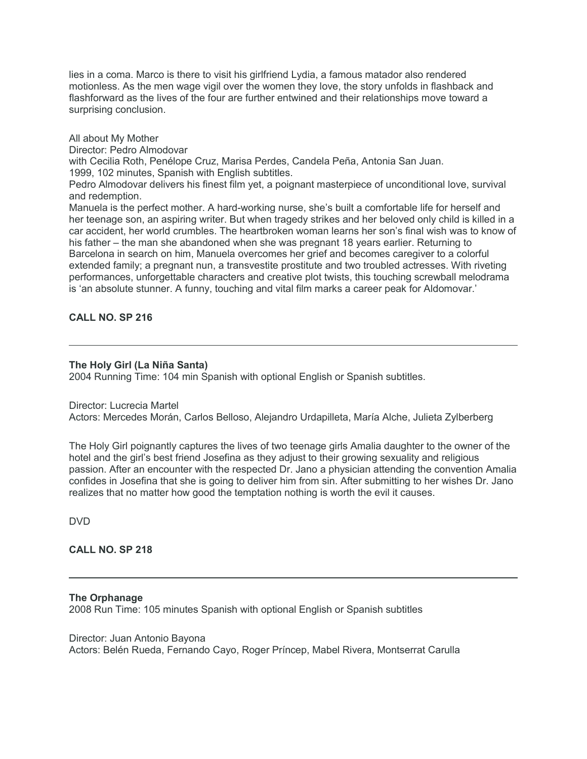lies in a coma. Marco is there to visit his girlfriend Lydia, a famous matador also rendered motionless. As the men wage vigil over the women they love, the story unfolds in flashback and flashforward as the lives of the four are further entwined and their relationships move toward a surprising conclusion.

All about My Mother Director: Pedro Almodovar with Cecilia Roth, Penélope Cruz, Marisa Perdes, Candela Peña, Antonia San Juan. 1999, 102 minutes, Spanish with English subtitles. Pedro Almodovar delivers his finest film yet, a poignant masterpiece of unconditional love, survival and redemption. Manuela is the perfect mother. A hard-working nurse, she's built a comfortable life for herself and her teenage son, an aspiring writer. But when tragedy strikes and her beloved only child is killed in a car accident, her world crumbles. The heartbroken woman learns her son's final wish was to know of his father – the man she abandoned when she was pregnant 18 years earlier. Returning to Barcelona in search on him, Manuela overcomes her grief and becomes caregiver to a colorful extended family; a pregnant nun, a transvestite prostitute and two troubled actresses. With riveting performances, unforgettable characters and creative plot twists, this touching screwball melodrama is 'an absolute stunner. A funny, touching and vital film marks a career peak for Aldomovar.'

## **CALL NO. SP 216**

#### **The Holy Girl (La Niña Santa)**

2004 Running Time: 104 min Spanish with optional English or Spanish subtitles.

#### Director: Lucrecia Martel

Actors: Mercedes Morán, Carlos Belloso, Alejandro Urdapilleta, María Alche, Julieta Zylberberg

The Holy Girl poignantly captures the lives of two teenage girls Amalia daughter to the owner of the hotel and the girl's best friend Josefina as they adjust to their growing sexuality and religious passion. After an encounter with the respected Dr. Jano a physician attending the convention Amalia confides in Josefina that she is going to deliver him from sin. After submitting to her wishes Dr. Jano realizes that no matter how good the temptation nothing is worth the evil it causes.

DVD

## **CALL NO. SP 218**

#### **The Orphanage**

2008 Run Time: 105 minutes Spanish with optional English or Spanish subtitles

Director: Juan Antonio Bayona Actors: Belén Rueda, Fernando Cayo, Roger Príncep, Mabel Rivera, Montserrat Carulla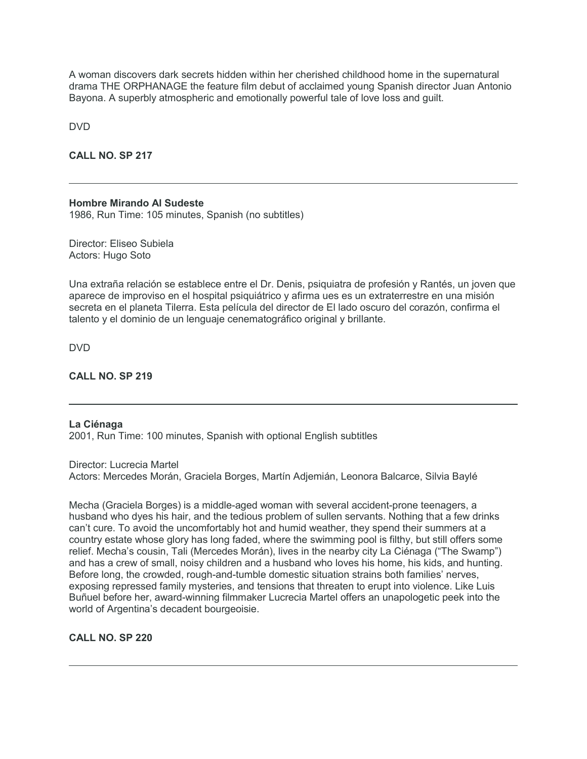A woman discovers dark secrets hidden within her cherished childhood home in the supernatural drama THE ORPHANAGE the feature film debut of acclaimed young Spanish director Juan Antonio Bayona. A superbly atmospheric and emotionally powerful tale of love loss and guilt.

DVD

## **CALL NO. SP 217**

#### **Hombre Mirando Al Sudeste**

1986, Run Time: 105 minutes, Spanish (no subtitles)

Director: Eliseo Subiela Actors: Hugo Soto

Una extraña relación se establece entre el Dr. Denis, psiquiatra de profesión y Rantés, un joven que aparece de improviso en el hospital psiquiátrico y afirma ues es un extraterrestre en una misión secreta en el planeta Tilerra. Esta película del director de El lado oscuro del corazón, confirma el talento y el dominio de un lenguaje cenematográfico original y brillante.

DVD

## **CALL NO. SP 219**

# **La Ciénaga**

2001, Run Time: 100 minutes, Spanish with optional English subtitles

Director: Lucrecia Martel Actors: Mercedes Morán, Graciela Borges, Martín Adjemián, Leonora Balcarce, Silvia Baylé

Mecha (Graciela Borges) is a middle-aged woman with several accident-prone teenagers, a husband who dyes his hair, and the tedious problem of sullen servants. Nothing that a few drinks can't cure. To avoid the uncomfortably hot and humid weather, they spend their summers at a country estate whose glory has long faded, where the swimming pool is filthy, but still offers some relief. Mecha's cousin, Tali (Mercedes Morán), lives in the nearby city La Ciénaga ("The Swamp") and has a crew of small, noisy children and a husband who loves his home, his kids, and hunting. Before long, the crowded, rough-and-tumble domestic situation strains both families' nerves, exposing repressed family mysteries, and tensions that threaten to erupt into violence. Like Luis Buñuel before her, award-winning filmmaker Lucrecia Martel offers an unapologetic peek into the world of Argentina's decadent bourgeoisie.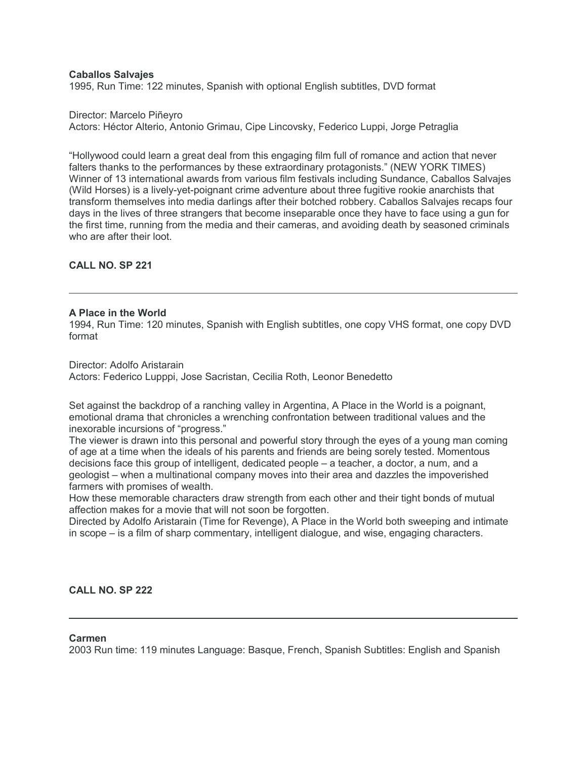## **Caballos Salvajes**

1995, Run Time: 122 minutes, Spanish with optional English subtitles, DVD format

Director: Marcelo Piñeyro

Actors: Héctor Alterio, Antonio Grimau, Cipe Lincovsky, Federico Luppi, Jorge Petraglia

"Hollywood could learn a great deal from this engaging film full of romance and action that never falters thanks to the performances by these extraordinary protagonists." (NEW YORK TIMES) Winner of 13 international awards from various film festivals including Sundance, Caballos Salvajes (Wild Horses) is a lively-yet-poignant crime adventure about three fugitive rookie anarchists that transform themselves into media darlings after their botched robbery. Caballos Salvajes recaps four days in the lives of three strangers that become inseparable once they have to face using a gun for the first time, running from the media and their cameras, and avoiding death by seasoned criminals who are after their loot.

**CALL NO. SP 221**

#### **A Place in the World**

1994, Run Time: 120 minutes, Spanish with English subtitles, one copy VHS format, one copy DVD format

Director: Adolfo Aristarain Actors: Federico Lupppi, Jose Sacristan, Cecilia Roth, Leonor Benedetto

Set against the backdrop of a ranching valley in Argentina, A Place in the World is a poignant, emotional drama that chronicles a wrenching confrontation between traditional values and the inexorable incursions of "progress."

The viewer is drawn into this personal and powerful story through the eyes of a young man coming of age at a time when the ideals of his parents and friends are being sorely tested. Momentous decisions face this group of intelligent, dedicated people – a teacher, a doctor, a num, and a geologist – when a multinational company moves into their area and dazzles the impoverished farmers with promises of wealth.

How these memorable characters draw strength from each other and their tight bonds of mutual affection makes for a movie that will not soon be forgotten.

Directed by Adolfo Aristarain (Time for Revenge), A Place in the World both sweeping and intimate in scope – is a film of sharp commentary, intelligent dialogue, and wise, engaging characters.

**CALL NO. SP 222**

#### **Carmen**

2003 Run time: 119 minutes Language: Basque, French, Spanish Subtitles: English and Spanish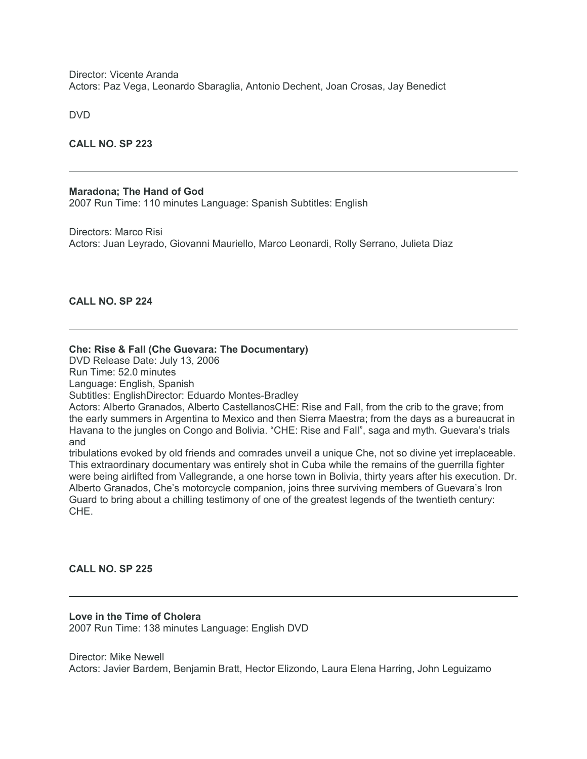Director: Vicente Aranda Actors: Paz Vega, Leonardo Sbaraglia, Antonio Dechent, Joan Crosas, Jay Benedict

DVD

**CALL NO. SP 223**

#### **Maradona; The Hand of God**

2007 Run Time: 110 minutes Language: Spanish Subtitles: English

Directors: Marco Risi Actors: Juan Leyrado, Giovanni Mauriello, Marco Leonardi, Rolly Serrano, Julieta Diaz

#### **CALL NO. SP 224**

#### **Che: Rise & Fall (Che Guevara: The Documentary)**

DVD Release Date: July 13, 2006

Run Time: 52.0 minutes

Language: English, Spanish

Subtitles: EnglishDirector: Eduardo Montes-Bradley

Actors: Alberto Granados, Alberto CastellanosCHE: Rise and Fall, from the crib to the grave; from the early summers in Argentina to Mexico and then Sierra Maestra; from the days as a bureaucrat in Havana to the jungles on Congo and Bolivia. "CHE: Rise and Fall", saga and myth. Guevara's trials and

tribulations evoked by old friends and comrades unveil a unique Che, not so divine yet irreplaceable. This extraordinary documentary was entirely shot in Cuba while the remains of the guerrilla fighter were being airlifted from Vallegrande, a one horse town in Bolivia, thirty years after his execution. Dr. Alberto Granados, Che's motorcycle companion, joins three surviving members of Guevara's Iron Guard to bring about a chilling testimony of one of the greatest legends of the twentieth century: CHE.

#### **CALL NO. SP 225**

**Love in the Time of Cholera** 2007 Run Time: 138 minutes Language: English DVD

Director: Mike Newell Actors: Javier Bardem, Benjamin Bratt, Hector Elizondo, Laura Elena Harring, John Leguizamo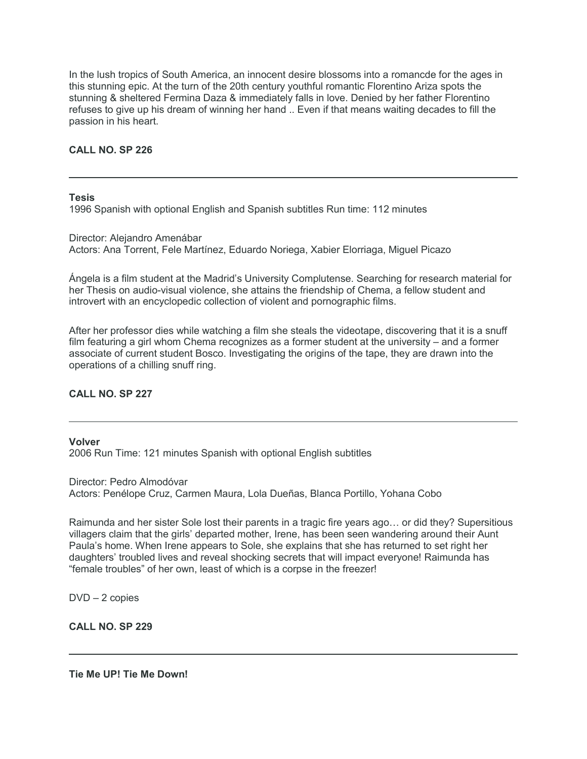In the lush tropics of South America, an innocent desire blossoms into a romancde for the ages in this stunning epic. At the turn of the 20th century youthful romantic Florentino Ariza spots the stunning & sheltered Fermina Daza & immediately falls in love. Denied by her father Florentino refuses to give up his dream of winning her hand .. Even if that means waiting decades to fill the passion in his heart.

# **CALL NO. SP 226**

**Tesis**

1996 Spanish with optional English and Spanish subtitles Run time: 112 minutes

Director: Alejandro Amenábar Actors: Ana Torrent, Fele Martínez, Eduardo Noriega, Xabier Elorriaga, Miguel Picazo

Ángela is a film student at the Madrid's University Complutense. Searching for research material for her Thesis on audio-visual violence, she attains the friendship of Chema, a fellow student and introvert with an encyclopedic collection of violent and pornographic films.

After her professor dies while watching a film she steals the videotape, discovering that it is a snuff film featuring a girl whom Chema recognizes as a former student at the university – and a former associate of current student Bosco. Investigating the origins of the tape, they are drawn into the operations of a chilling snuff ring.

# **CALL NO. SP 227**

**Volver**

2006 Run Time: 121 minutes Spanish with optional English subtitles

Director: Pedro Almodóvar Actors: Penélope Cruz, Carmen Maura, Lola Dueñas, Blanca Portillo, Yohana Cobo

Raimunda and her sister Sole lost their parents in a tragic fire years ago… or did they? Supersitious villagers claim that the girls' departed mother, Irene, has been seen wandering around their Aunt Paula's home. When Irene appears to Sole, she explains that she has returned to set right her daughters' troubled lives and reveal shocking secrets that will impact everyone! Raimunda has "female troubles" of her own, least of which is a corpse in the freezer!

DVD – 2 copies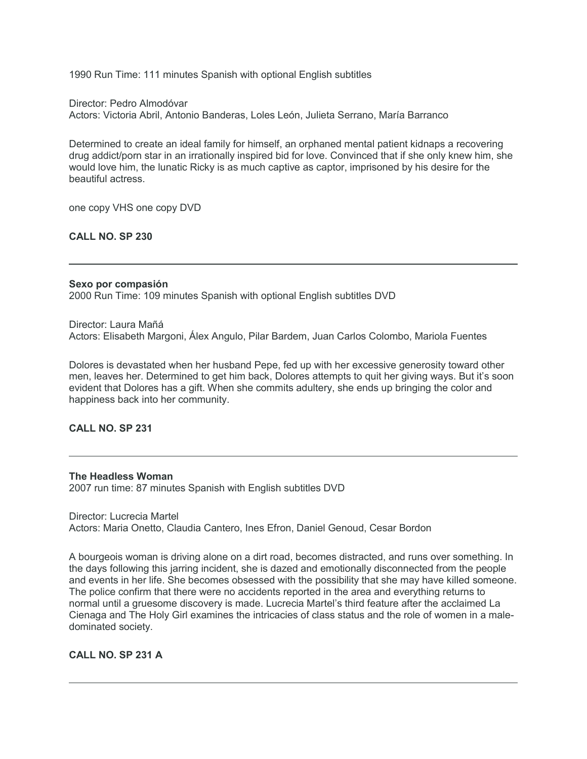1990 Run Time: 111 minutes Spanish with optional English subtitles

Director: Pedro Almodóvar Actors: Victoria Abril, Antonio Banderas, Loles León, Julieta Serrano, María Barranco

Determined to create an ideal family for himself, an orphaned mental patient kidnaps a recovering drug addict/porn star in an irrationally inspired bid for love. Convinced that if she only knew him, she would love him, the lunatic Ricky is as much captive as captor, imprisoned by his desire for the beautiful actress.

one copy VHS one copy DVD

**CALL NO. SP 230**

# **Sexo por compasión**

2000 Run Time: 109 minutes Spanish with optional English subtitles DVD

Director: Laura Mañá Actors: Elisabeth Margoni, Álex Angulo, Pilar Bardem, Juan Carlos Colombo, Mariola Fuentes

Dolores is devastated when her husband Pepe, fed up with her excessive generosity toward other men, leaves her. Determined to get him back, Dolores attempts to quit her giving ways. But it's soon evident that Dolores has a gift. When she commits adultery, she ends up bringing the color and happiness back into her community.

# **CALL NO. SP 231**

#### **The Headless Woman**

2007 run time: 87 minutes Spanish with English subtitles DVD

Director: Lucrecia Martel Actors: Maria Onetto, Claudia Cantero, Ines Efron, Daniel Genoud, Cesar Bordon

A bourgeois woman is driving alone on a dirt road, becomes distracted, and runs over something. In the days following this jarring incident, she is dazed and emotionally disconnected from the people and events in her life. She becomes obsessed with the possibility that she may have killed someone. The police confirm that there were no accidents reported in the area and everything returns to normal until a gruesome discovery is made. Lucrecia Martel's third feature after the acclaimed La Cienaga and The Holy Girl examines the intricacies of class status and the role of women in a maledominated society.

**CALL NO. SP 231 A**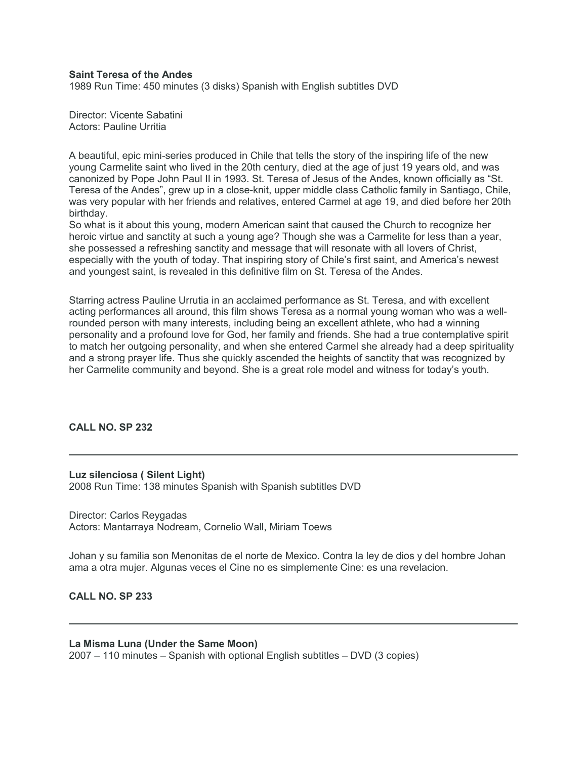### **Saint Teresa of the Andes**

1989 Run Time: 450 minutes (3 disks) Spanish with English subtitles DVD

Director: Vicente Sabatini Actors: Pauline Urritia

A beautiful, epic mini-series produced in Chile that tells the story of the inspiring life of the new young Carmelite saint who lived in the 20th century, died at the age of just 19 years old, and was canonized by Pope John Paul II in 1993. St. Teresa of Jesus of the Andes, known officially as "St. Teresa of the Andes", grew up in a close-knit, upper middle class Catholic family in Santiago, Chile, was very popular with her friends and relatives, entered Carmel at age 19, and died before her 20th birthday.

So what is it about this young, modern American saint that caused the Church to recognize her heroic virtue and sanctity at such a young age? Though she was a Carmelite for less than a year, she possessed a refreshing sanctity and message that will resonate with all lovers of Christ, especially with the youth of today. That inspiring story of Chile's first saint, and America's newest and youngest saint, is revealed in this definitive film on St. Teresa of the Andes.

Starring actress Pauline Urrutia in an acclaimed performance as St. Teresa, and with excellent acting performances all around, this film shows Teresa as a normal young woman who was a wellrounded person with many interests, including being an excellent athlete, who had a winning personality and a profound love for God, her family and friends. She had a true contemplative spirit to match her outgoing personality, and when she entered Carmel she already had a deep spirituality and a strong prayer life. Thus she quickly ascended the heights of sanctity that was recognized by her Carmelite community and beyond. She is a great role model and witness for today's youth.

### **CALL NO. SP 232**

**Luz silenciosa ( Silent Light)** 2008 Run Time: 138 minutes Spanish with Spanish subtitles DVD

Director: Carlos Reygadas Actors: Mantarraya Nodream, Cornelio Wall, Miriam Toews

Johan y su familia son Menonitas de el norte de Mexico. Contra la ley de dios y del hombre Johan ama a otra mujer. Algunas veces el Cine no es simplemente Cine: es una revelacion.

#### **CALL NO. SP 233**

#### **La Misma Luna (Under the Same Moon)**

2007 – 110 minutes – Spanish with optional English subtitles – DVD (3 copies)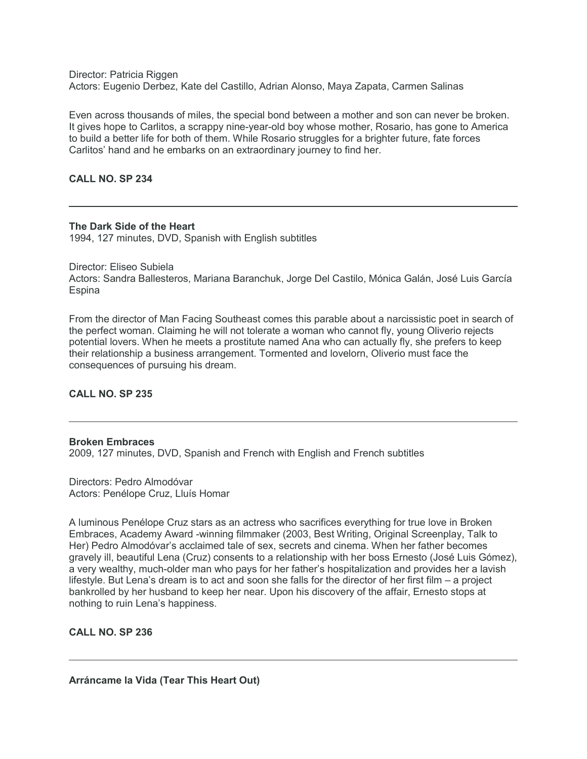Director: Patricia Riggen Actors: Eugenio Derbez, Kate del Castillo, Adrian Alonso, Maya Zapata, Carmen Salinas

Even across thousands of miles, the special bond between a mother and son can never be broken. It gives hope to Carlitos, a scrappy nine-year-old boy whose mother, Rosario, has gone to America to build a better life for both of them. While Rosario struggles for a brighter future, fate forces Carlitos' hand and he embarks on an extraordinary journey to find her.

## **CALL NO. SP 234**

#### **The Dark Side of the Heart**

1994, 127 minutes, DVD, Spanish with English subtitles

Director: Eliseo Subiela Actors: Sandra Ballesteros, Mariana Baranchuk, Jorge Del Castilo, Mónica Galán, José Luis García **Espina** 

From the director of Man Facing Southeast comes this parable about a narcissistic poet in search of the perfect woman. Claiming he will not tolerate a woman who cannot fly, young Oliverio rejects potential lovers. When he meets a prostitute named Ana who can actually fly, she prefers to keep their relationship a business arrangement. Tormented and lovelorn, Oliverio must face the consequences of pursuing his dream.

# **CALL NO. SP 235**

#### **Broken Embraces**

2009, 127 minutes, DVD, Spanish and French with English and French subtitles

Directors: Pedro Almodóvar Actors: Penélope Cruz, Lluís Homar

A luminous Penélope Cruz stars as an actress who sacrifices everything for true love in Broken Embraces, Academy Award -winning filmmaker (2003, Best Writing, Original Screenplay, Talk to Her) Pedro Almodóvar's acclaimed tale of sex, secrets and cinema. When her father becomes gravely ill, beautiful Lena (Cruz) consents to a relationship with her boss Ernesto (José Luis Gómez), a very wealthy, much-older man who pays for her father's hospitalization and provides her a lavish lifestyle. But Lena's dream is to act and soon she falls for the director of her first film – a project bankrolled by her husband to keep her near. Upon his discovery of the affair, Ernesto stops at nothing to ruin Lena's happiness.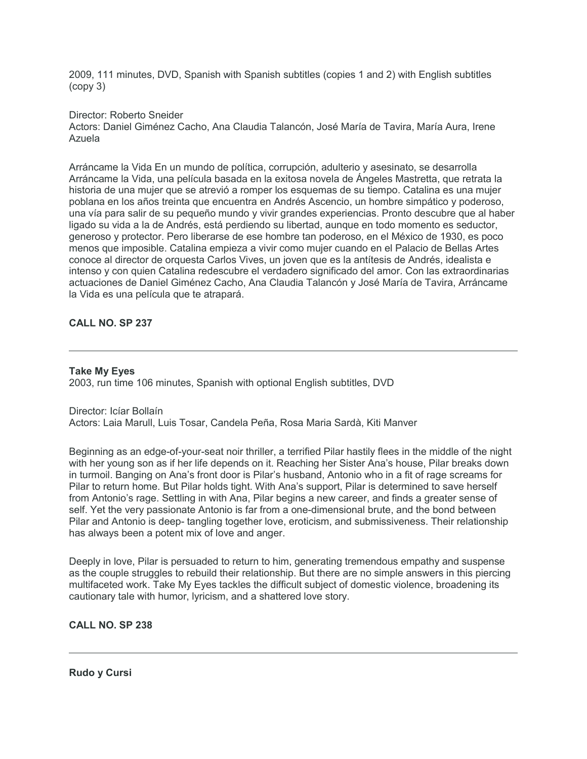2009, 111 minutes, DVD, Spanish with Spanish subtitles (copies 1 and 2) with English subtitles (copy 3)

#### Director: Roberto Sneider

Actors: Daniel Giménez Cacho, Ana Claudia Talancón, José María de Tavira, María Aura, Irene Azuela

Arráncame la Vida En un mundo de política, corrupción, adulterio y asesinato, se desarrolla Arráncame la Vida, una película basada en la exitosa novela de Ángeles Mastretta, que retrata la historia de una mujer que se atrevió a romper los esquemas de su tiempo. Catalina es una mujer poblana en los años treinta que encuentra en Andrés Ascencio, un hombre simpático y poderoso, una vía para salir de su pequeño mundo y vivir grandes experiencias. Pronto descubre que al haber ligado su vida a la de Andrés, está perdiendo su libertad, aunque en todo momento es seductor, generoso y protector. Pero liberarse de ese hombre tan poderoso, en el México de 1930, es poco menos que imposible. Catalina empieza a vivir como mujer cuando en el Palacio de Bellas Artes conoce al director de orquesta Carlos Vives, un joven que es la antítesis de Andrés, idealista e intenso y con quien Catalina redescubre el verdadero significado del amor. Con las extraordinarias actuaciones de Daniel Giménez Cacho, Ana Claudia Talancón y José María de Tavira, Arráncame la Vida es una película que te atrapará.

## **CALL NO. SP 237**

#### **Take My Eyes**

2003, run time 106 minutes, Spanish with optional English subtitles, DVD

Director: Icíar Bollaín Actors: Laia Marull, Luis Tosar, Candela Peña, Rosa Maria Sardà, Kiti Manver

Beginning as an edge-of-your-seat noir thriller, a terrified Pilar hastily flees in the middle of the night with her young son as if her life depends on it. Reaching her Sister Ana's house, Pilar breaks down in turmoil. Banging on Ana's front door is Pilar's husband, Antonio who in a fit of rage screams for Pilar to return home. But Pilar holds tight. With Ana's support, Pilar is determined to save herself from Antonio's rage. Settling in with Ana, Pilar begins a new career, and finds a greater sense of self. Yet the very passionate Antonio is far from a one-dimensional brute, and the bond between Pilar and Antonio is deep- tangling together love, eroticism, and submissiveness. Their relationship has always been a potent mix of love and anger.

Deeply in love, Pilar is persuaded to return to him, generating tremendous empathy and suspense as the couple struggles to rebuild their relationship. But there are no simple answers in this piercing multifaceted work. Take My Eyes tackles the difficult subject of domestic violence, broadening its cautionary tale with humor, lyricism, and a shattered love story.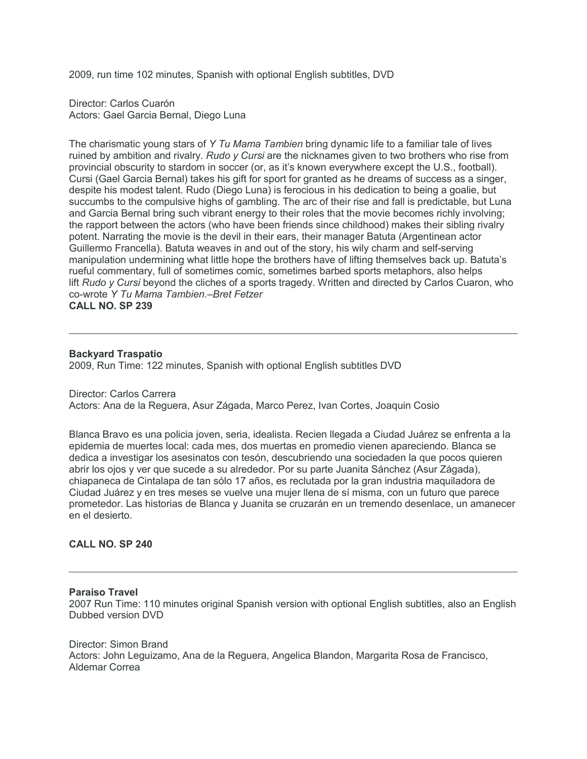2009, run time 102 minutes, Spanish with optional English subtitles, DVD

Director: Carlos Cuarón Actors: Gael Garcia Bernal, Diego Luna

The charismatic young stars of *Y Tu Mama Tambien* bring dynamic life to a familiar tale of lives ruined by ambition and rivalry. *Rudo y Cursi* are the nicknames given to two brothers who rise from provincial obscurity to stardom in soccer (or, as it's known everywhere except the U.S., football). Cursi (Gael Garcia Bernal) takes his gift for sport for granted as he dreams of success as a singer, despite his modest talent. Rudo (Diego Luna) is ferocious in his dedication to being a goalie, but succumbs to the compulsive highs of gambling. The arc of their rise and fall is predictable, but Luna and Garcia Bernal bring such vibrant energy to their roles that the movie becomes richly involving; the rapport between the actors (who have been friends since childhood) makes their sibling rivalry potent. Narrating the movie is the devil in their ears, their manager Batuta (Argentinean actor Guillermo Francella). Batuta weaves in and out of the story, his wily charm and self-serving manipulation undermining what little hope the brothers have of lifting themselves back up. Batuta's rueful commentary, full of sometimes comic, sometimes barbed sports metaphors, also helps lift *Rudo y Cursi* beyond the cliches of a sports tragedy. Written and directed by Carlos Cuaron, who co-wrote *Y Tu Mama Tambien*.*–Bret Fetzer*

**CALL NO. SP 239**

## **Backyard Traspatio**

2009, Run Time: 122 minutes, Spanish with optional English subtitles DVD

Director: Carlos Carrera Actors: Ana de la Reguera, Asur Zágada, Marco Perez, Ivan Cortes, Joaquin Cosio

Blanca Bravo es una policia joven, seria, idealista. Recien llegada a Ciudad Juárez se enfrenta a la epidemia de muertes local: cada mes, dos muertas en promedio vienen apareciendo. Blanca se dedica a investigar los asesinatos con tesón, descubriendo una sociedaden la que pocos quieren abrir los ojos y ver que sucede a su alrededor. Por su parte Juanita Sánchez (Asur Zágada), chiapaneca de Cintalapa de tan sólo 17 años, es reclutada por la gran industria maquiladora de Ciudad Juárez y en tres meses se vuelve una mujer llena de sí misma, con un futuro que parece prometedor. Las historias de Blanca y Juanita se cruzarán en un tremendo desenlace, un amanecer en el desierto.

#### **CALL NO. SP 240**

#### **Paraiso Travel**

2007 Run Time: 110 minutes original Spanish version with optional English subtitles, also an English Dubbed version DVD

Director: Simon Brand Actors: John Leguizamo, Ana de la Reguera, Angelica Blandon, Margarita Rosa de Francisco, Aldemar Correa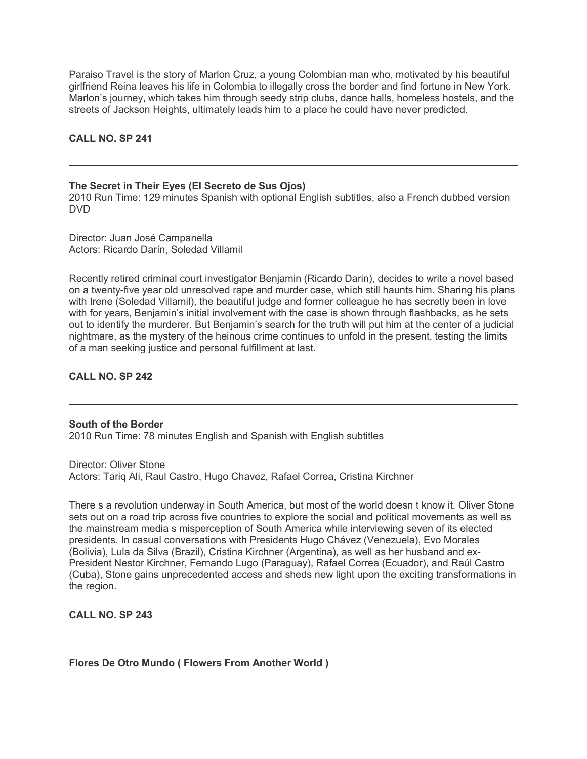Paraiso Travel is the story of Marlon Cruz, a young Colombian man who, motivated by his beautiful girlfriend Reina leaves his life in Colombia to illegally cross the border and find fortune in New York. Marlon's journey, which takes him through seedy strip clubs, dance halls, homeless hostels, and the streets of Jackson Heights, ultimately leads him to a place he could have never predicted.

## **CALL NO. SP 241**

**The Secret in Their Eyes (El Secreto de Sus Ojos)** 2010 Run Time: 129 minutes Spanish with optional English subtitles, also a French dubbed version DVD

Director: Juan José Campanella Actors: Ricardo Darín, Soledad Villamil

Recently retired criminal court investigator Benjamin (Ricardo Darin), decides to write a novel based on a twenty-five year old unresolved rape and murder case, which still haunts him. Sharing his plans with Irene (Soledad Villamil), the beautiful judge and former colleague he has secretly been in love with for years, Benjamin's initial involvement with the case is shown through flashbacks, as he sets out to identify the murderer. But Benjamin's search for the truth will put him at the center of a judicial nightmare, as the mystery of the heinous crime continues to unfold in the present, testing the limits of a man seeking justice and personal fulfillment at last.

## **CALL NO. SP 242**

**South of the Border** 2010 Run Time: 78 minutes English and Spanish with English subtitles

Director: Oliver Stone Actors: Tariq Ali, Raul Castro, Hugo Chavez, Rafael Correa, Cristina Kirchner

There s a revolution underway in South America, but most of the world doesn t know it. Oliver Stone sets out on a road trip across five countries to explore the social and political movements as well as the mainstream media s misperception of South America while interviewing seven of its elected presidents. In casual conversations with Presidents Hugo Chávez (Venezuela), Evo Morales (Bolivia), Lula da Silva (Brazil), Cristina Kirchner (Argentina), as well as her husband and ex-President Nestor Kirchner, Fernando Lugo (Paraguay), Rafael Correa (Ecuador), and Raúl Castro (Cuba), Stone gains unprecedented access and sheds new light upon the exciting transformations in the region.

**CALL NO. SP 243**

**Flores De Otro Mundo ( Flowers From Another World )**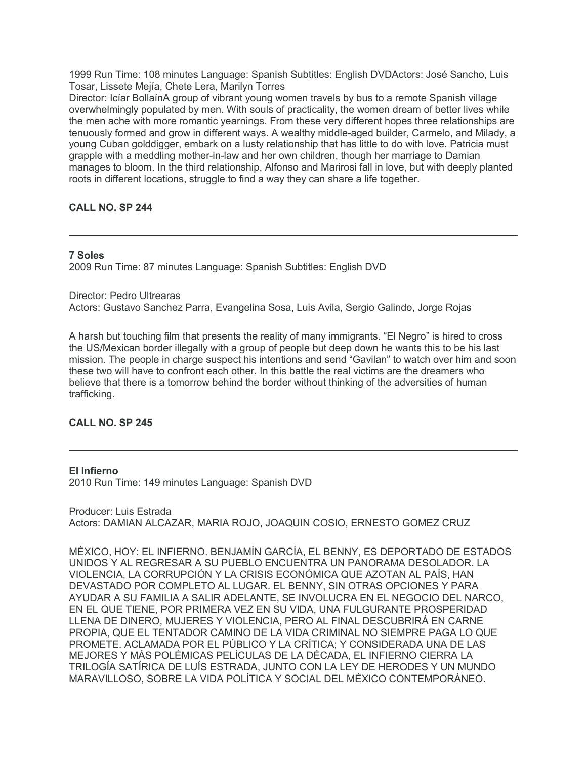1999 Run Time: 108 minutes Language: Spanish Subtitles: English DVDActors: José Sancho, Luis Tosar, Lissete Mejía, Chete Lera, Marilyn Torres

Director: Icíar BollaínA group of vibrant young women travels by bus to a remote Spanish village overwhelmingly populated by men. With souls of practicality, the women dream of better lives while the men ache with more romantic yearnings. From these very different hopes three relationships are tenuously formed and grow in different ways. A wealthy middle-aged builder, Carmelo, and Milady, a young Cuban golddigger, embark on a lusty relationship that has little to do with love. Patricia must grapple with a meddling mother-in-law and her own children, though her marriage to Damian manages to bloom. In the third relationship, Alfonso and Marirosi fall in love, but with deeply planted roots in different locations, struggle to find a way they can share a life together.

# **CALL NO. SP 244**

# **7 Soles**

2009 Run Time: 87 minutes Language: Spanish Subtitles: English DVD

Director: Pedro Ultrearas Actors: Gustavo Sanchez Parra, Evangelina Sosa, Luis Avila, Sergio Galindo, Jorge Rojas

A harsh but touching film that presents the reality of many immigrants. "El Negro" is hired to cross the US/Mexican border illegally with a group of people but deep down he wants this to be his last mission. The people in charge suspect his intentions and send "Gavilan" to watch over him and soon these two will have to confront each other. In this battle the real victims are the dreamers who believe that there is a tomorrow behind the border without thinking of the adversities of human trafficking.

# **CALL NO. SP 245**

#### **El Infierno**

2010 Run Time: 149 minutes Language: Spanish DVD

Producer: Luis Estrada Actors: DAMIAN ALCAZAR, MARIA ROJO, JOAQUIN COSIO, ERNESTO GOMEZ CRUZ

MÉXICO, HOY: EL INFIERNO. BENJAMÍN GARCÍA, EL BENNY, ES DEPORTADO DE ESTADOS UNIDOS Y AL REGRESAR A SU PUEBLO ENCUENTRA UN PANORAMA DESOLADOR. LA VIOLENCIA, LA CORRUPCIÓN Y LA CRISIS ECONÓMICA QUE AZOTAN AL PAÍS, HAN DEVASTADO POR COMPLETO AL LUGAR. EL BENNY, SIN OTRAS OPCIONES Y PARA AYUDAR A SU FAMILIA A SALIR ADELANTE, SE INVOLUCRA EN EL NEGOCIO DEL NARCO, EN EL QUE TIENE, POR PRIMERA VEZ EN SU VIDA, UNA FULGURANTE PROSPERIDAD LLENA DE DINERO, MUJERES Y VIOLENCIA, PERO AL FINAL DESCUBRIRÁ EN CARNE PROPIA, QUE EL TENTADOR CAMINO DE LA VIDA CRIMINAL NO SIEMPRE PAGA LO QUE PROMETE. ACLAMADA POR EL PÚBLICO Y LA CRÍTICA; Y CONSIDERADA UNA DE LAS MEJORES Y MÁS POLÉMICAS PELÍCULAS DE LA DÉCADA, EL INFIERNO CIERRA LA TRILOGÍA SATÍRICA DE LUÍS ESTRADA, JUNTO CON LA LEY DE HERODES Y UN MUNDO MARAVILLOSO, SOBRE LA VIDA POLÍTICA Y SOCIAL DEL MÉXICO CONTEMPORÁNEO.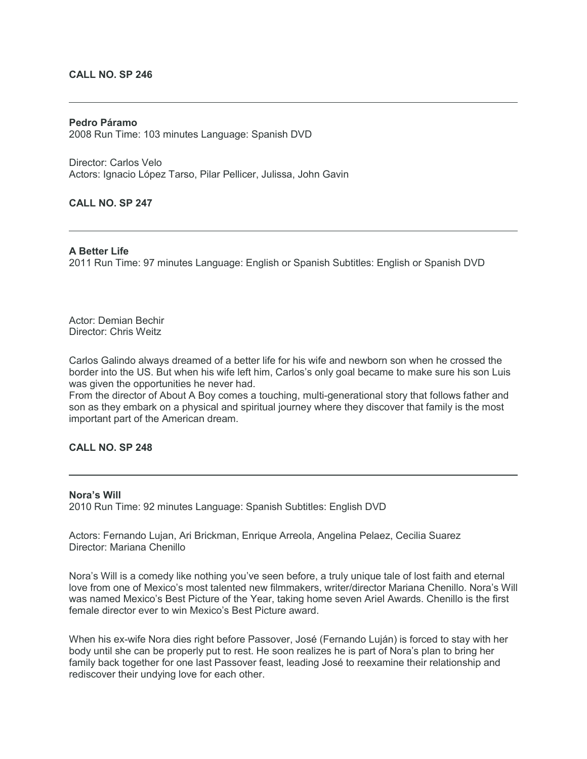#### **CALL NO. SP 246**

## **Pedro Páramo** 2008 Run Time: 103 minutes Language: Spanish DVD

Director: Carlos Velo Actors: Ignacio López Tarso, Pilar Pellicer, Julissa, John Gavin

#### **CALL NO. SP 247**

#### **A Better Life**

2011 Run Time: 97 minutes Language: English or Spanish Subtitles: English or Spanish DVD

Actor: Demian Bechir Director: Chris Weitz

Carlos Galindo always dreamed of a better life for his wife and newborn son when he crossed the border into the US. But when his wife left him, Carlos's only goal became to make sure his son Luis was given the opportunities he never had.

From the director of About A Boy comes a touching, multi-generational story that follows father and son as they embark on a physical and spiritual journey where they discover that family is the most important part of the American dream.

# **CALL NO. SP 248**

## **Nora's Will**

2010 Run Time: 92 minutes Language: Spanish Subtitles: English DVD

Actors: Fernando Lujan, Ari Brickman, Enrique Arreola, Angelina Pelaez, Cecilia Suarez Director: Mariana Chenillo

Nora's Will is a comedy like nothing you've seen before, a truly unique tale of lost faith and eternal love from one of Mexico's most talented new filmmakers, writer/director Mariana Chenillo. Nora's Will was named Mexico's Best Picture of the Year, taking home seven Ariel Awards. Chenillo is the first female director ever to win Mexico's Best Picture award.

When his ex-wife Nora dies right before Passover, José (Fernando Luján) is forced to stay with her body until she can be properly put to rest. He soon realizes he is part of Nora's plan to bring her family back together for one last Passover feast, leading José to reexamine their relationship and rediscover their undying love for each other.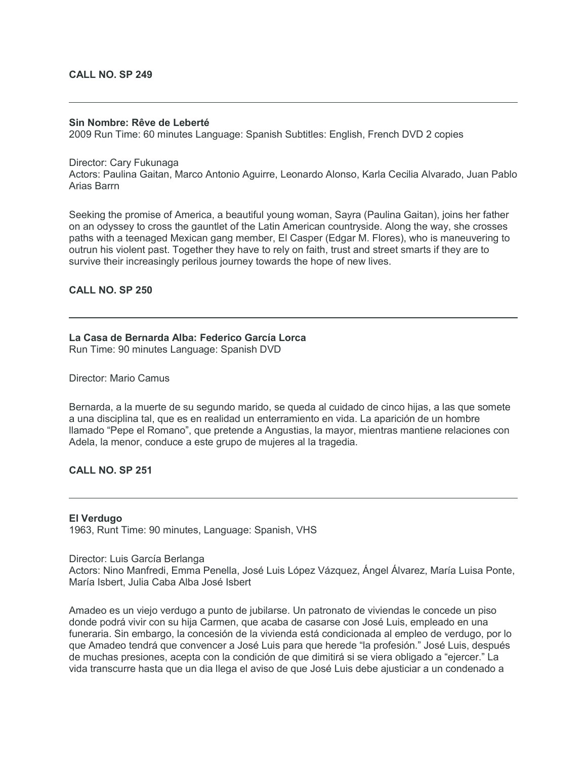#### **CALL NO. SP 249**

#### **Sin Nombre: Rêve de Leberté**

2009 Run Time: 60 minutes Language: Spanish Subtitles: English, French DVD 2 copies

#### Director: Cary Fukunaga

Actors: Paulina Gaitan, Marco Antonio Aguirre, Leonardo Alonso, Karla Cecilia Alvarado, Juan Pablo Arias Barrn

Seeking the promise of America, a beautiful young woman, Sayra (Paulina Gaitan), joins her father on an odyssey to cross the gauntlet of the Latin American countryside. Along the way, she crosses paths with a teenaged Mexican gang member, El Casper (Edgar M. Flores), who is maneuvering to outrun his violent past. Together they have to rely on faith, trust and street smarts if they are to survive their increasingly perilous journey towards the hope of new lives.

## **CALL NO. SP 250**

# **La Casa de Bernarda Alba: Federico García Lorca**

Run Time: 90 minutes Language: Spanish DVD

#### Director: Mario Camus

Bernarda, a la muerte de su segundo marido, se queda al cuidado de cinco hijas, a las que somete a una disciplina tal, que es en realidad un enterramiento en vida. La aparición de un hombre llamado "Pepe el Romano", que pretende a Angustias, la mayor, mientras mantiene relaciones con Adela, la menor, conduce a este grupo de mujeres al la tragedia.

## **CALL NO. SP 251**

#### **El Verdugo**

1963, Runt Time: 90 minutes, Language: Spanish, VHS

#### Director: Luis García Berlanga

Actors: Nino Manfredi, Emma Penella, José Luis López Vázquez, Ángel Álvarez, María Luisa Ponte, María Isbert, Julia Caba Alba José Isbert

Amadeo es un viejo verdugo a punto de jubilarse. Un patronato de viviendas le concede un piso donde podrá vivir con su hija Carmen, que acaba de casarse con José Luis, empleado en una funeraria. Sin embargo, la concesión de la vivienda está condicionada al empleo de verdugo, por lo que Amadeo tendrá que convencer a José Luis para que herede "la profesión." José Luis, después de muchas presiones, acepta con la condición de que dimitirá si se viera obligado a "ejercer." La vida transcurre hasta que un dia llega el aviso de que José Luis debe ajusticiar a un condenado a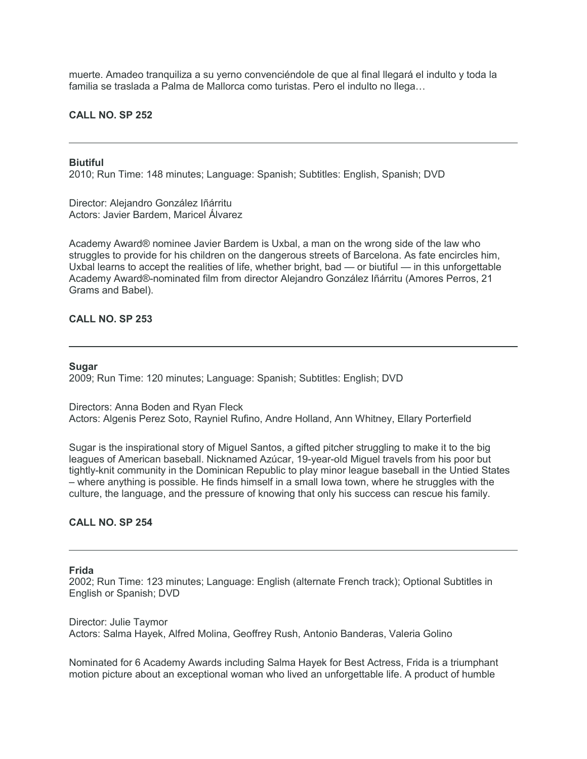muerte. Amadeo tranquiliza a su yerno convenciéndole de que al final llegará el indulto y toda la familia se traslada a Palma de Mallorca como turistas. Pero el indulto no llega…

## **CALL NO. SP 252**

#### **Biutiful**

2010; Run Time: 148 minutes; Language: Spanish; Subtitles: English, Spanish; DVD

Director: Alejandro González Iñárritu Actors: Javier Bardem, Maricel Álvarez

Academy Award® nominee Javier Bardem is Uxbal, a man on the wrong side of the law who struggles to provide for his children on the dangerous streets of Barcelona. As fate encircles him, Uxbal learns to accept the realities of life, whether bright, bad — or biutiful — in this unforgettable Academy Award®-nominated film from director Alejandro González Iñárritu (Amores Perros, 21 Grams and Babel).

## **CALL NO. SP 253**

#### **Sugar**

2009; Run Time: 120 minutes; Language: Spanish; Subtitles: English; DVD

Directors: Anna Boden and Ryan Fleck Actors: Algenis Perez Soto, Rayniel Rufino, Andre Holland, Ann Whitney, Ellary Porterfield

Sugar is the inspirational story of Miguel Santos, a gifted pitcher struggling to make it to the big leagues of American baseball. Nicknamed Azúcar, 19-year-old Miguel travels from his poor but tightly-knit community in the Dominican Republic to play minor league baseball in the Untied States – where anything is possible. He finds himself in a small Iowa town, where he struggles with the culture, the language, and the pressure of knowing that only his success can rescue his family.

## **CALL NO. SP 254**

#### **Frida**

2002; Run Time: 123 minutes; Language: English (alternate French track); Optional Subtitles in English or Spanish; DVD

Director: Julie Taymor Actors: Salma Hayek, Alfred Molina, Geoffrey Rush, Antonio Banderas, Valeria Golino

Nominated for 6 Academy Awards including Salma Hayek for Best Actress, Frida is a triumphant motion picture about an exceptional woman who lived an unforgettable life. A product of humble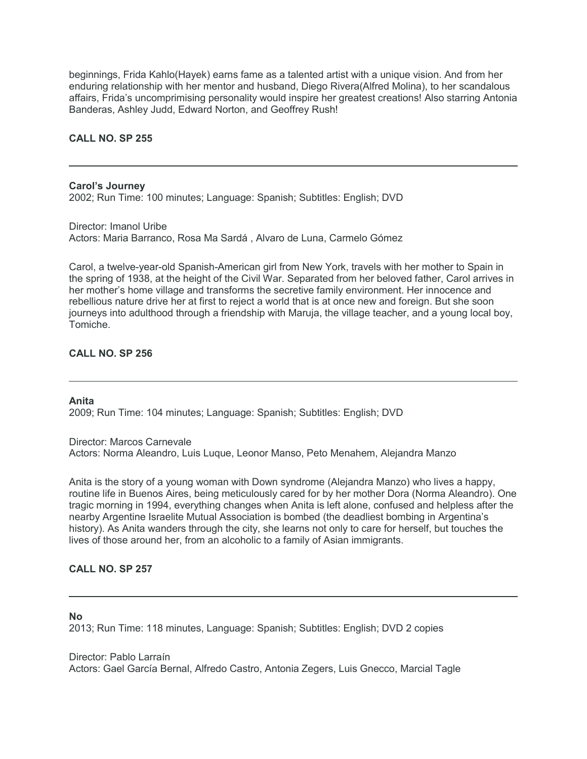beginnings, Frida Kahlo(Hayek) earns fame as a talented artist with a unique vision. And from her enduring relationship with her mentor and husband, Diego Rivera(Alfred Molina), to her scandalous affairs, Frida's uncomprimising personality would inspire her greatest creations! Also starring Antonia Banderas, Ashley Judd, Edward Norton, and Geoffrey Rush!

## **CALL NO. SP 255**

**Carol's Journey** 2002; Run Time: 100 minutes; Language: Spanish; Subtitles: English; DVD

Director: Imanol Uribe Actors: Maria Barranco, Rosa Ma Sardá , Alvaro de Luna, Carmelo Gómez

Carol, a twelve-year-old Spanish-American girl from New York, travels with her mother to Spain in the spring of 1938, at the height of the Civil War. Separated from her beloved father, Carol arrives in her mother's home village and transforms the secretive family environment. Her innocence and rebellious nature drive her at first to reject a world that is at once new and foreign. But she soon journeys into adulthood through a friendship with Maruja, the village teacher, and a young local boy, Tomiche.

# **CALL NO. SP 256**

#### **Anita**

2009; Run Time: 104 minutes; Language: Spanish; Subtitles: English; DVD

Director: Marcos Carnevale Actors: Norma Aleandro, Luis Luque, Leonor Manso, Peto Menahem, Alejandra Manzo

Anita is the story of a young woman with Down syndrome (Alejandra Manzo) who lives a happy, routine life in Buenos Aires, being meticulously cared for by her mother Dora (Norma Aleandro). One tragic morning in 1994, everything changes when Anita is left alone, confused and helpless after the nearby Argentine Israelite Mutual Association is bombed (the deadliest bombing in Argentina's history). As Anita wanders through the city, she learns not only to care for herself, but touches the lives of those around her, from an alcoholic to a family of Asian immigrants.

## **CALL NO. SP 257**

#### **No**

2013; Run Time: 118 minutes, Language: Spanish; Subtitles: English; DVD 2 copies

Director: Pablo Larraín Actors: Gael García Bernal, Alfredo Castro, Antonia Zegers, Luis Gnecco, Marcial Tagle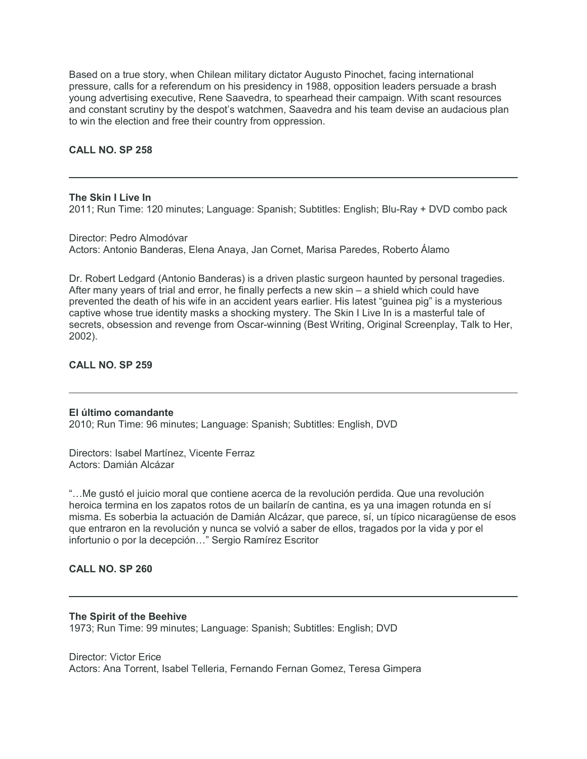Based on a true story, when Chilean military dictator Augusto Pinochet, facing international pressure, calls for a referendum on his presidency in 1988, opposition leaders persuade a brash young advertising executive, Rene Saavedra, to spearhead their campaign. With scant resources and constant scrutiny by the despot's watchmen, Saavedra and his team devise an audacious plan to win the election and free their country from oppression.

## **CALL NO. SP 258**

**The Skin I Live In**

2011; Run Time: 120 minutes; Language: Spanish; Subtitles: English; Blu-Ray + DVD combo pack

Director: Pedro Almodóvar Actors: Antonio Banderas, Elena Anaya, Jan Cornet, Marisa Paredes, Roberto Álamo

Dr. Robert Ledgard (Antonio Banderas) is a driven plastic surgeon haunted by personal tragedies. After many years of trial and error, he finally perfects a new skin – a shield which could have prevented the death of his wife in an accident years earlier. His latest "guinea pig" is a mysterious captive whose true identity masks a shocking mystery. The Skin I Live In is a masterful tale of secrets, obsession and revenge from Oscar-winning (Best Writing, Original Screenplay, Talk to Her, 2002).

## **CALL NO. SP 259**

#### **El último comandante**

2010; Run Time: 96 minutes; Language: Spanish; Subtitles: English, DVD

Directors: Isabel Martínez, Vicente Ferraz Actors: Damián Alcázar

"…Me gustó el juicio moral que contiene acerca de la revolución perdida. Que una revolución heroica termina en los zapatos rotos de un bailarín de cantina, es ya una imagen rotunda en sí misma. Es soberbia la actuación de Damián Alcázar, que parece, sí, un típico nicaragüense de esos que entraron en la revolución y nunca se volvió a saber de ellos, tragados por la vida y por el infortunio o por la decepción…" Sergio Ramírez Escritor

## **CALL NO. SP 260**

#### **The Spirit of the Beehive**

1973; Run Time: 99 minutes; Language: Spanish; Subtitles: English; DVD

Director: Victor Erice Actors: Ana Torrent, Isabel Telleria, Fernando Fernan Gomez, Teresa Gimpera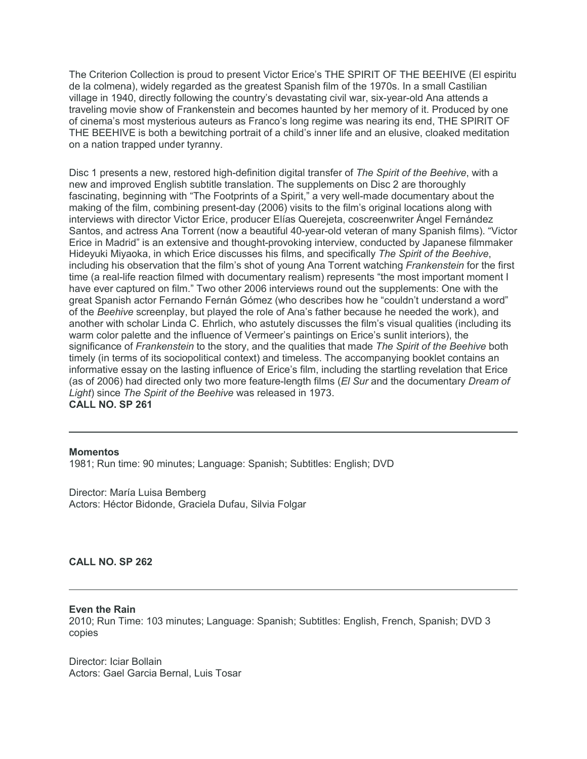The Criterion Collection is proud to present Victor Erice's THE SPIRIT OF THE BEEHIVE (El espiritu de la colmena), widely regarded as the greatest Spanish film of the 1970s. In a small Castilian village in 1940, directly following the country's devastating civil war, six-year-old Ana attends a traveling movie show of Frankenstein and becomes haunted by her memory of it. Produced by one of cinema's most mysterious auteurs as Franco's long regime was nearing its end, THE SPIRIT OF THE BEEHIVE is both a bewitching portrait of a child's inner life and an elusive, cloaked meditation on a nation trapped under tyranny.

Disc 1 presents a new, restored high-definition digital transfer of *The Spirit of the Beehive*, with a new and improved English subtitle translation. The supplements on Disc 2 are thoroughly fascinating, beginning with "The Footprints of a Spirit," a very well-made documentary about the making of the film, combining present-day (2006) visits to the film's original locations along with interviews with director Victor Erice, producer Elías Querejeta, coscreenwriter Ángel Fernández Santos, and actress Ana Torrent (now a beautiful 40-year-old veteran of many Spanish films). "Victor Erice in Madrid" is an extensive and thought-provoking interview, conducted by Japanese filmmaker Hideyuki Miyaoka, in which Erice discusses his films, and specifically *The Spirit of the Beehive*, including his observation that the film's shot of young Ana Torrent watching *Frankenstein* for the first time (a real-life reaction filmed with documentary realism) represents "the most important moment I have ever captured on film." Two other 2006 interviews round out the supplements: One with the great Spanish actor Fernando Fernán Gómez (who describes how he "couldn't understand a word" of the *Beehive* screenplay, but played the role of Ana's father because he needed the work), and another with scholar Linda C. Ehrlich, who astutely discusses the film's visual qualities (including its warm color palette and the influence of Vermeer's paintings on Erice's sunlit interiors), the significance of *Frankenstein* to the story, and the qualities that made *The Spirit of the Beehive* both timely (in terms of its sociopolitical context) and timeless. The accompanying booklet contains an informative essay on the lasting influence of Erice's film, including the startling revelation that Erice (as of 2006) had directed only two more feature-length films (*El Sur* and the documentary *Dream of Light*) since *The Spirit of the Beehive* was released in 1973. **CALL NO. SP 261**

#### **Momentos**

1981; Run time: 90 minutes; Language: Spanish; Subtitles: English; DVD

Director: María Luisa Bemberg Actors: Héctor Bidonde, Graciela Dufau, Silvia Folgar

#### **CALL NO. SP 262**

#### **Even the Rain**

2010; Run Time: 103 minutes; Language: Spanish; Subtitles: English, French, Spanish; DVD 3 copies

Director: Iciar Bollain Actors: Gael Garcia Bernal, Luis Tosar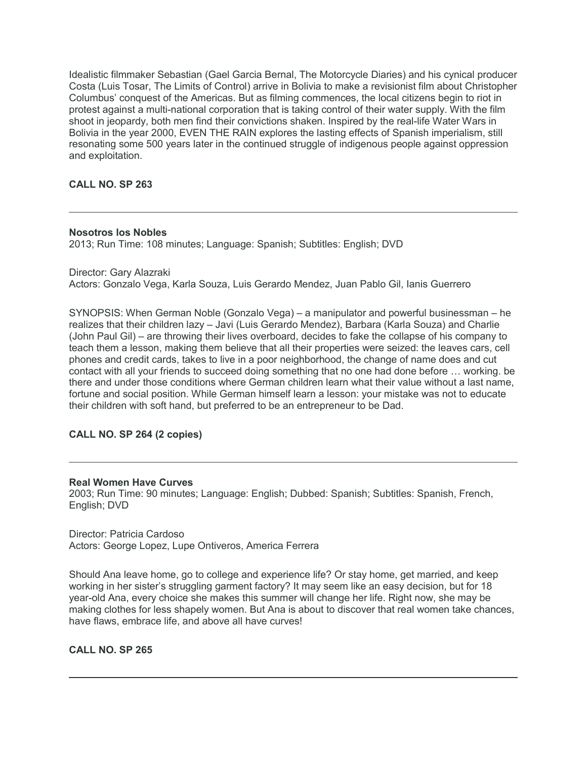Idealistic filmmaker Sebastian (Gael Garcia Bernal, The Motorcycle Diaries) and his cynical producer Costa (Luis Tosar, The Limits of Control) arrive in Bolivia to make a revisionist film about Christopher Columbus' conquest of the Americas. But as filming commences, the local citizens begin to riot in protest against a multi-national corporation that is taking control of their water supply. With the film shoot in jeopardy, both men find their convictions shaken. Inspired by the real-life Water Wars in Bolivia in the year 2000, EVEN THE RAIN explores the lasting effects of Spanish imperialism, still resonating some 500 years later in the continued struggle of indigenous people against oppression and exploitation.

# **CALL NO. SP 263**

# **Nosotros los Nobles**

2013; Run Time: 108 minutes; Language: Spanish; Subtitles: English; DVD

Director: Gary Alazraki Actors: Gonzalo Vega, Karla Souza, Luis Gerardo Mendez, Juan Pablo Gil, Ianis Guerrero

SYNOPSIS: When German Noble (Gonzalo Vega) – a manipulator and powerful businessman – he realizes that their children lazy – Javi (Luis Gerardo Mendez), Barbara (Karla Souza) and Charlie (John Paul Gil) – are throwing their lives overboard, decides to fake the collapse of his company to teach them a lesson, making them believe that all their properties were seized: the leaves cars, cell phones and credit cards, takes to live in a poor neighborhood, the change of name does and cut contact with all your friends to succeed doing something that no one had done before … working. be there and under those conditions where German children learn what their value without a last name, fortune and social position. While German himself learn a lesson: your mistake was not to educate their children with soft hand, but preferred to be an entrepreneur to be Dad.

# **CALL NO. SP 264 (2 copies)**

# **Real Women Have Curves**

2003; Run Time: 90 minutes; Language: English; Dubbed: Spanish; Subtitles: Spanish, French, English; DVD

Director: Patricia Cardoso Actors: George Lopez, Lupe Ontiveros, America Ferrera

Should Ana leave home, go to college and experience life? Or stay home, get married, and keep working in her sister's struggling garment factory? It may seem like an easy decision, but for 18 year-old Ana, every choice she makes this summer will change her life. Right now, she may be making clothes for less shapely women. But Ana is about to discover that real women take chances, have flaws, embrace life, and above all have curves!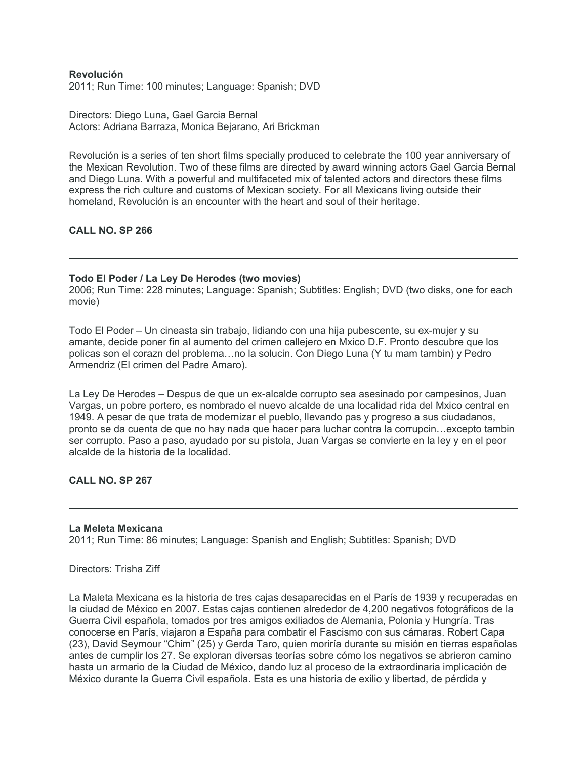## **Revolución**

2011; Run Time: 100 minutes; Language: Spanish; DVD

Directors: Diego Luna, Gael Garcia Bernal Actors: Adriana Barraza, Monica Bejarano, Ari Brickman

Revolución is a series of ten short films specially produced to celebrate the 100 year anniversary of the Mexican Revolution. Two of these films are directed by award winning actors Gael Garcia Bernal and Diego Luna. With a powerful and multifaceted mix of talented actors and directors these films express the rich culture and customs of Mexican society. For all Mexicans living outside their homeland, Revolución is an encounter with the heart and soul of their heritage.

## **CALL NO. SP 266**

#### **Todo El Poder / La Ley De Herodes (two movies)**

2006; Run Time: 228 minutes; Language: Spanish; Subtitles: English; DVD (two disks, one for each movie)

Todo El Poder – Un cineasta sin trabajo, lidiando con una hija pubescente, su ex-mujer y su amante, decide poner fin al aumento del crimen callejero en Mxico D.F. Pronto descubre que los policas son el corazn del problema…no la solucin. Con Diego Luna (Y tu mam tambin) y Pedro Armendriz (El crimen del Padre Amaro).

La Ley De Herodes – Despus de que un ex-alcalde corrupto sea asesinado por campesinos, Juan Vargas, un pobre portero, es nombrado el nuevo alcalde de una localidad rida del Mxico central en 1949. A pesar de que trata de modernizar el pueblo, llevando pas y progreso a sus ciudadanos, pronto se da cuenta de que no hay nada que hacer para luchar contra la corrupcin…excepto tambin ser corrupto. Paso a paso, ayudado por su pistola, Juan Vargas se convierte en la ley y en el peor alcalde de la historia de la localidad.

## **CALL NO. SP 267**

#### **La Meleta Mexicana**

2011; Run Time: 86 minutes; Language: Spanish and English; Subtitles: Spanish; DVD

Directors: Trisha Ziff

La Maleta Mexicana es la historia de tres cajas desaparecidas en el París de 1939 y recuperadas en la ciudad de México en 2007. Estas cajas contienen alrededor de 4,200 negativos fotográficos de la Guerra Civil española, tomados por tres amigos exiliados de Alemania, Polonia y Hungría. Tras conocerse en París, viajaron a España para combatir el Fascismo con sus cámaras. Robert Capa (23), David Seymour "Chim" (25) y Gerda Taro, quien moriría durante su misión en tierras españolas antes de cumplir los 27. Se exploran diversas teorías sobre cómo los negativos se abrieron camino hasta un armario de la Ciudad de México, dando luz al proceso de la extraordinaria implicación de México durante la Guerra Civil española. Esta es una historia de exilio y libertad, de pérdida y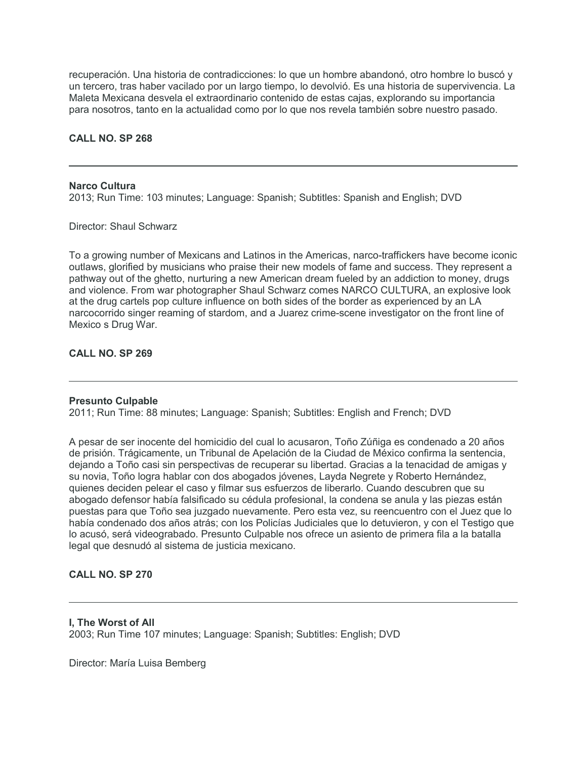recuperación. Una historia de contradicciones: lo que un hombre abandonó, otro hombre lo buscó y un tercero, tras haber vacilado por un largo tiempo, lo devolvió. Es una historia de supervivencia. La Maleta Mexicana desvela el extraordinario contenido de estas cajas, explorando su importancia para nosotros, tanto en la actualidad como por lo que nos revela también sobre nuestro pasado.

## **CALL NO. SP 268**

#### **Narco Cultura**

2013; Run Time: 103 minutes; Language: Spanish; Subtitles: Spanish and English; DVD

Director: Shaul Schwarz

To a growing number of Mexicans and Latinos in the Americas, narco-traffickers have become iconic outlaws, glorified by musicians who praise their new models of fame and success. They represent a pathway out of the ghetto, nurturing a new American dream fueled by an addiction to money, drugs and violence. From war photographer Shaul Schwarz comes NARCO CULTURA, an explosive look at the drug cartels pop culture influence on both sides of the border as experienced by an LA narcocorrido singer reaming of stardom, and a Juarez crime-scene investigator on the front line of Mexico s Drug War.

# **CALL NO. SP 269**

#### **Presunto Culpable**

2011; Run Time: 88 minutes; Language: Spanish; Subtitles: English and French; DVD

A pesar de ser inocente del homicidio del cual lo acusaron, Toño Zúñiga es condenado a 20 años de prisión. Trágicamente, un Tribunal de Apelación de la Ciudad de México confirma la sentencia, dejando a Toño casi sin perspectivas de recuperar su libertad. Gracias a la tenacidad de amigas y su novia, Toño logra hablar con dos abogados jóvenes, Layda Negrete y Roberto Hernández, quienes deciden pelear el caso y filmar sus esfuerzos de liberarlo. Cuando descubren que su abogado defensor había falsificado su cédula profesional, la condena se anula y las piezas están puestas para que Toño sea juzgado nuevamente. Pero esta vez, su reencuentro con el Juez que lo había condenado dos años atrás; con los Policías Judiciales que lo detuvieron, y con el Testigo que lo acusó, será videograbado. Presunto Culpable nos ofrece un asiento de primera fila a la batalla legal que desnudó al sistema de justicia mexicano.

# **CALL NO. SP 270**

**I, The Worst of All**

2003; Run Time 107 minutes; Language: Spanish; Subtitles: English; DVD

Director: María Luisa Bemberg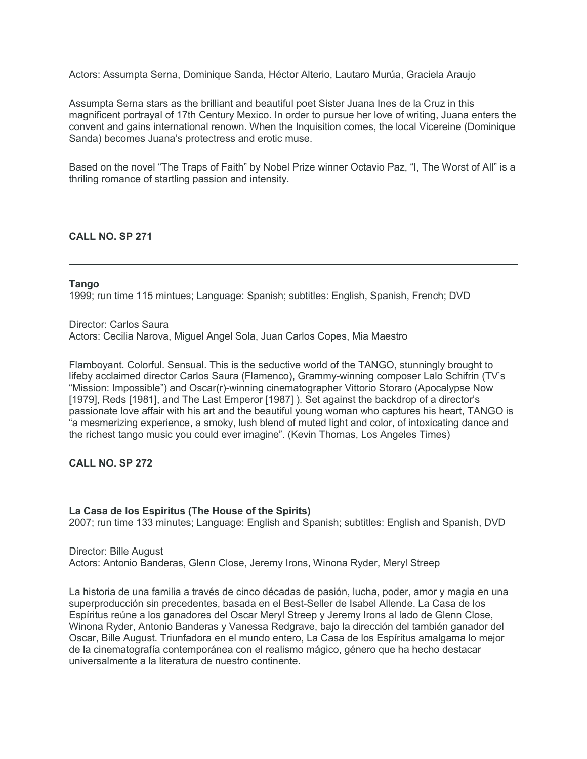Actors: Assumpta Serna, Dominique Sanda, Héctor Alterio, Lautaro Murúa, Graciela Araujo

Assumpta Serna stars as the brilliant and beautiful poet Sister Juana Ines de la Cruz in this magnificent portrayal of 17th Century Mexico. In order to pursue her love of writing, Juana enters the convent and gains international renown. When the Inquisition comes, the local Vicereine (Dominique Sanda) becomes Juana's protectress and erotic muse.

Based on the novel "The Traps of Faith" by Nobel Prize winner Octavio Paz, "I, The Worst of All" is a thriling romance of startling passion and intensity.

## **CALL NO. SP 271**

## **Tango**

1999; run time 115 mintues; Language: Spanish; subtitles: English, Spanish, French; DVD

Director: Carlos Saura Actors: Cecilia Narova, Miguel Angel Sola, Juan Carlos Copes, Mia Maestro

Flamboyant. Colorful. Sensual. This is the seductive world of the TANGO, stunningly brought to lifeby acclaimed director Carlos Saura (Flamenco), Grammy-winning composer Lalo Schifrin (TV's "Mission: Impossible") and Oscar(r)-winning cinematographer Vittorio Storaro (Apocalypse Now [1979], Reds [1981], and The Last Emperor [1987] ). Set against the backdrop of a director's passionate love affair with his art and the beautiful young woman who captures his heart, TANGO is "a mesmerizing experience, a smoky, lush blend of muted light and color, of intoxicating dance and the richest tango music you could ever imagine". (Kevin Thomas, Los Angeles Times)

## **CALL NO. SP 272**

**La Casa de los Espiritus (The House of the Spirits)** 2007; run time 133 minutes; Language: English and Spanish; subtitles: English and Spanish, DVD

Director: Bille August Actors: Antonio Banderas, Glenn Close, Jeremy Irons, Winona Ryder, Meryl Streep

La historia de una familia a través de cinco décadas de pasión, lucha, poder, amor y magia en una superproducción sin precedentes, basada en el Best-Seller de Isabel Allende. La Casa de los Espíritus reúne a los ganadores del Oscar Meryl Streep y Jeremy Irons al lado de Glenn Close, Winona Ryder, Antonio Banderas y Vanessa Redgrave, bajo la dirección del también ganador del Oscar, Bille August. Triunfadora en el mundo entero, La Casa de los Espíritus amalgama lo mejor de la cinematografía contemporánea con el realismo mágico, género que ha hecho destacar universalmente a la literatura de nuestro continente.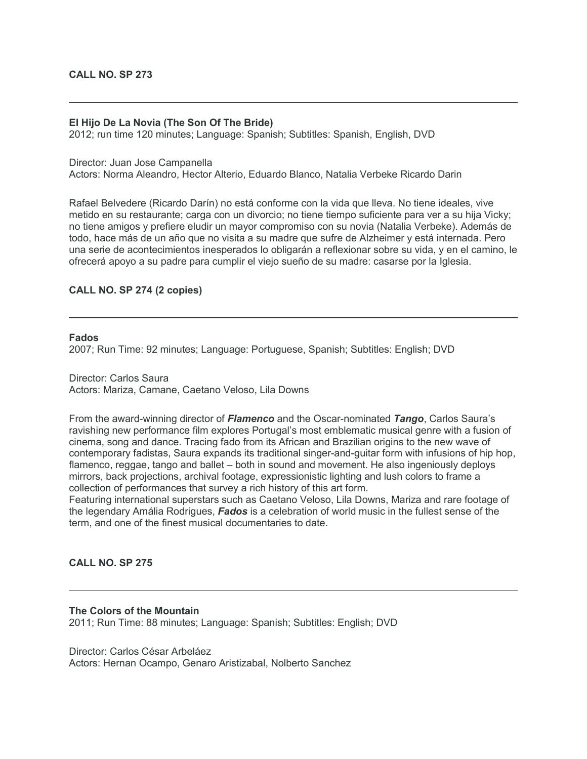## **El Hijo De La Novia (The Son Of The Bride)**

2012; run time 120 minutes; Language: Spanish; Subtitles: Spanish, English, DVD

Director: Juan Jose Campanella

Actors: Norma Aleandro, Hector Alterio, Eduardo Blanco, Natalia Verbeke Ricardo Darin

Rafael Belvedere (Ricardo Darín) no está conforme con la vida que lleva. No tiene ideales, vive metido en su restaurante; carga con un divorcio; no tiene tiempo suficiente para ver a su hija Vicky; no tiene amigos y prefiere eludir un mayor compromiso con su novia (Natalia Verbeke). Además de todo, hace más de un año que no visita a su madre que sufre de Alzheimer y está internada. Pero una serie de acontecimientos inesperados lo obligarán a reflexionar sobre su vida, y en el camino, le ofrecerá apoyo a su padre para cumplir el viejo sueño de su madre: casarse por la Iglesia.

# **CALL NO. SP 274 (2 copies)**

#### **Fados**

2007; Run Time: 92 minutes; Language: Portuguese, Spanish; Subtitles: English; DVD

Director: Carlos Saura Actors: Mariza, Camane, Caetano Veloso, Lila Downs

From the award-winning director of *Flamenco* and the Oscar-nominated *Tango*, Carlos Saura's ravishing new performance film explores Portugal's most emblematic musical genre with a fusion of cinema, song and dance. Tracing fado from its African and Brazilian origins to the new wave of contemporary fadistas, Saura expands its traditional singer-and-guitar form with infusions of hip hop, flamenco, reggae, tango and ballet – both in sound and movement. He also ingeniously deploys mirrors, back projections, archival footage, expressionistic lighting and lush colors to frame a collection of performances that survey a rich history of this art form.

Featuring international superstars such as Caetano Veloso, Lila Downs, Mariza and rare footage of the legendary Amália Rodrigues, *Fados* is a celebration of world music in the fullest sense of the term, and one of the finest musical documentaries to date.

**CALL NO. SP 275**

#### **The Colors of the Mountain**

2011; Run Time: 88 minutes; Language: Spanish; Subtitles: English; DVD

Director: Carlos César Arbeláez Actors: Hernan Ocampo, Genaro Aristizabal, Nolberto Sanchez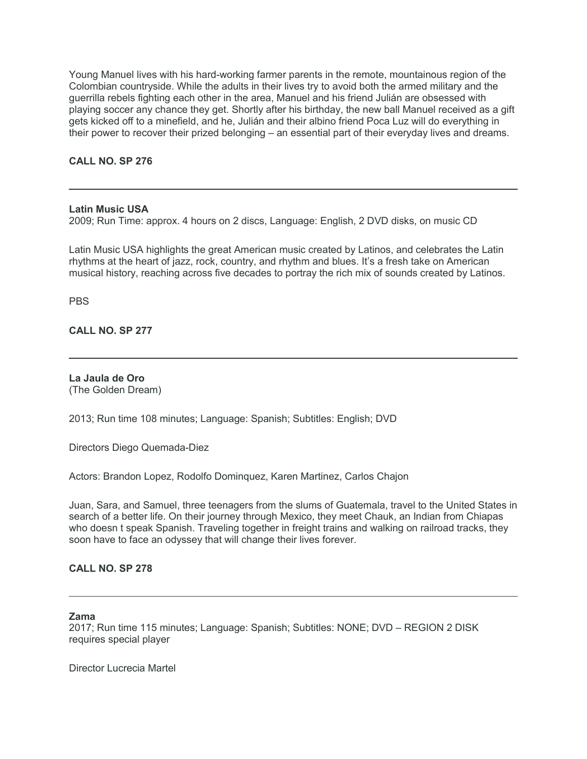Young Manuel lives with his hard-working farmer parents in the remote, mountainous region of the Colombian countryside. While the adults in their lives try to avoid both the armed military and the guerrilla rebels fighting each other in the area, Manuel and his friend Julián are obsessed with playing soccer any chance they get. Shortly after his birthday, the new ball Manuel received as a gift gets kicked off to a minefield, and he, Julián and their albino friend Poca Luz will do everything in their power to recover their prized belonging – an essential part of their everyday lives and dreams.

**CALL NO. SP 276**

#### **Latin Music USA**

2009; Run Time: approx. 4 hours on 2 discs, Language: English, 2 DVD disks, on music CD

Latin Music USA highlights the great American music created by Latinos, and celebrates the Latin rhythms at the heart of jazz, rock, country, and rhythm and blues. It's a fresh take on American musical history, reaching across five decades to portray the rich mix of sounds created by Latinos.

**PBS** 

**CALL NO. SP 277**

**La Jaula de Oro** (The Golden Dream)

2013; Run time 108 minutes; Language: Spanish; Subtitles: English; DVD

Directors Diego Quemada-Diez

Actors: Brandon Lopez, Rodolfo Dominquez, Karen Martinez, Carlos Chajon

Juan, Sara, and Samuel, three teenagers from the slums of Guatemala, travel to the United States in search of a better life. On their journey through Mexico, they meet Chauk, an Indian from Chiapas who doesn t speak Spanish. Traveling together in freight trains and walking on railroad tracks, they soon have to face an odyssey that will change their lives forever.

## **CALL NO. SP 278**

## **Zama**

2017; Run time 115 minutes; Language: Spanish; Subtitles: NONE; DVD – REGION 2 DISK requires special player

Director Lucrecia Martel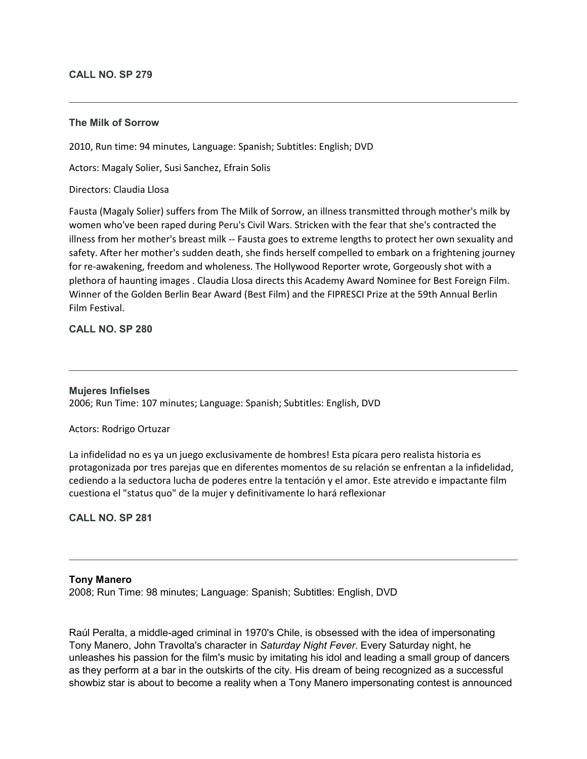## **CALL NO. SP 279**

## **The Milk of Sorrow**

2010, Run time: 94 minutes, Language: Spanish; Subtitles: English; DVD

Actors: Magaly Solier, Susi Sanchez, Efrain Solis

## Directors: Claudia Llosa

Fausta (Magaly Solier) suffers from The Milk of Sorrow, an illness transmitted through mother's milk by women who've been raped during Peru's Civil Wars. Stricken with the fear that she's contracted the illness from her mother's breast milk -- Fausta goes to extreme lengths to protect her own sexuality and safety. After her mother's sudden death, she finds herself compelled to embark on a frightening journey for re-awakening, freedom and wholeness. The Hollywood Reporter wrote, Gorgeously shot with a plethora of haunting images . Claudia Llosa directs this Academy Award Nominee for Best Foreign Film. Winner of the Golden Berlin Bear Award (Best Film) and the FIPRESCI Prize at the 59th Annual Berlin Film Festival.

# **CALL NO. SP 280**

#### **Mujeres Infielses**

2006; Run Time: 107 minutes; Language: Spanish; Subtitles: English, DVD

#### Actors: Rodrigo Ortuzar

La infidelidad no es ya un juego exclusivamente de hombres! Esta pícara pero realista historia es protagonizada por tres parejas que en diferentes momentos de su relación se enfrentan a la infidelidad, cediendo a la seductora lucha de poderes entre la tentación y el amor. Este atrevido e impactante film cuestiona el "status quo" de la mujer y definitivamente lo hará reflexionar

# **CALL NO. SP 281**

#### **Tony Manero**

2008; Run Time: 98 minutes; Language: Spanish; Subtitles: English, DVD

Raúl Peralta, a middle-aged criminal in 1970's Chile, is obsessed with the idea of impersonating Tony Manero, John Travolta's character in *Saturday Night Fever*. Every Saturday night, he unleashes his passion for the film's music by imitating his idol and leading a small group of dancers as they perform at a bar in the outskirts of the city. His dream of being recognized as a successful showbiz star is about to become a reality when a Tony Manero impersonating contest is announced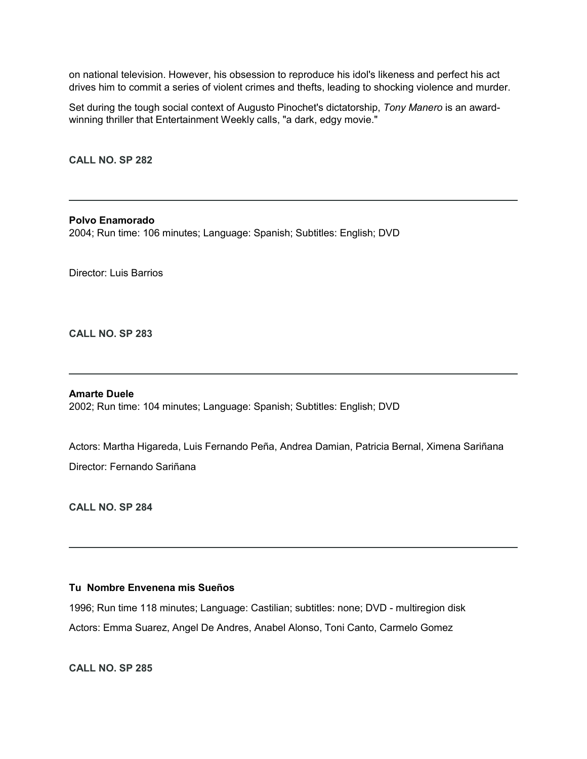on national television. However, his obsession to reproduce his idol's likeness and perfect his act drives him to commit a series of violent crimes and thefts, leading to shocking violence and murder.

Set during the tough social context of Augusto Pinochet's dictatorship, *Tony Manero* is an awardwinning thriller that Entertainment Weekly calls, "a dark, edgy movie."

**CALL NO. SP 282**

**Polvo Enamorado** 2004; Run time: 106 minutes; Language: Spanish; Subtitles: English; DVD

Director: Luis Barrios

**CALL NO. SP 283**

#### **Amarte Duele**

2002; Run time: 104 minutes; Language: Spanish; Subtitles: English; DVD

Actors: Martha Higareda, Luis Fernando Peña, Andrea Damian, Patricia Bernal, Ximena Sariñana Director: Fernando Sariñana

**CALL NO. SP 284**

## **Tu Nombre Envenena mis Sueños**

1996; Run time 118 minutes; Language: Castilian; subtitles: none; DVD - multiregion disk Actors: Emma Suarez, Angel De Andres, Anabel Alonso, Toni Canto, Carmelo Gomez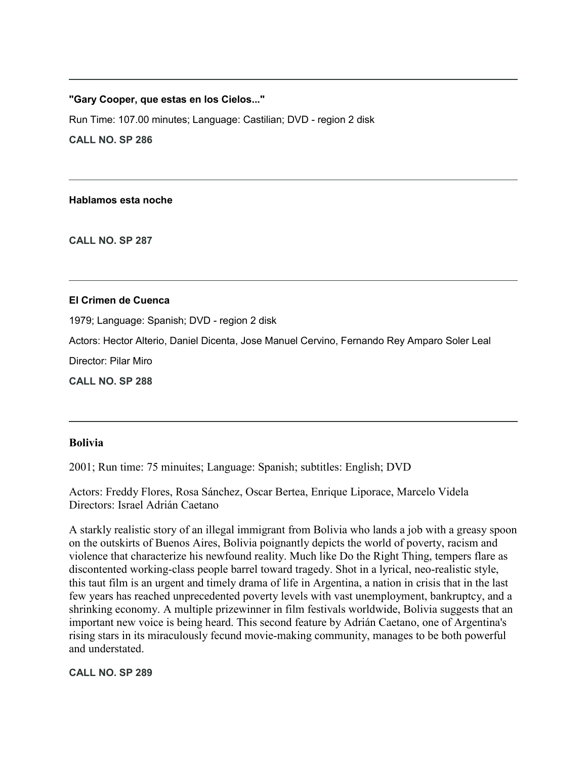## **"Gary Cooper, que estas en los Cielos..."**

Run Time: 107.00 minutes; Language: Castilian; DVD - region 2 disk **CALL NO. SP 286**

**Hablamos esta noche**

**CALL NO. SP 287**

## **El Crimen de Cuenca**

1979; Language: Spanish; DVD - region 2 disk

Actors: Hector Alterio, Daniel Dicenta, Jose Manuel Cervino, Fernando Rey Amparo Soler Leal

Director: Pilar Miro

**CALL NO. SP 288**

# **Bolivia**

2001; Run time: 75 minuites; Language: Spanish; subtitles: English; DVD

Actors: Freddy Flores, Rosa Sánchez, Oscar Bertea, Enrique Liporace, Marcelo Videla Directors: Israel Adrián Caetano

A starkly realistic story of an illegal immigrant from Bolivia who lands a job with a greasy spoon on the outskirts of Buenos Aires, Bolivia poignantly depicts the world of poverty, racism and violence that characterize his newfound reality. Much like Do the Right Thing, tempers flare as discontented working-class people barrel toward tragedy. Shot in a lyrical, neo-realistic style, this taut film is an urgent and timely drama of life in Argentina, a nation in crisis that in the last few years has reached unprecedented poverty levels with vast unemployment, bankruptcy, and a shrinking economy. A multiple prizewinner in film festivals worldwide, Bolivia suggests that an important new voice is being heard. This second feature by Adrián Caetano, one of Argentina's rising stars in its miraculously fecund movie-making community, manages to be both powerful and understated.